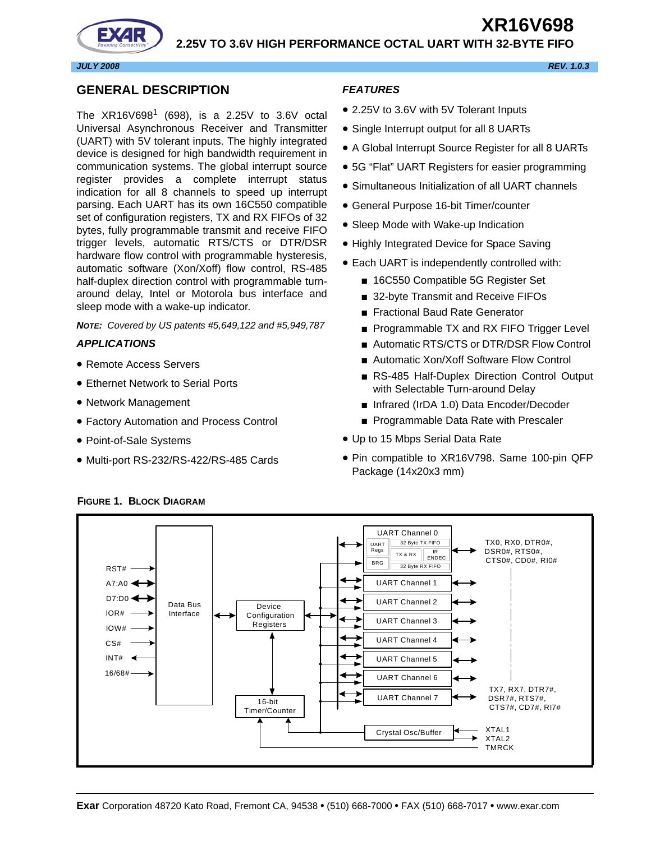# **XR16V698 2.25V TO 3.6V HIGH PERFORMANCE OCTAL UART WITH 32-BYTE FIFO**



*JULY 2008 REV. 1.0.3*

#### **GENERAL DESCRIPTION**

The  $XR16V698<sup>1</sup>$  (698), is a 2.25V to 3.6V octal Universal Asynchronous Receiver and Transmitter (UART) with 5V tolerant inputs. The highly integrated device is designed for high bandwidth requirement in communication systems. The global interrupt source register provides a complete interrupt status indication for all 8 channels to speed up interrupt parsing. Each UART has its own 16C550 compatible set of configuration registers, TX and RX FIFOs of 32 bytes, fully programmable transmit and receive FIFO trigger levels, automatic RTS/CTS or DTR/DSR hardware flow control with programmable hysteresis, automatic software (Xon/Xoff) flow control, RS-485 half-duplex direction control with programmable turnaround delay, Intel or Motorola bus interface and sleep mode with a wake-up indicator.

*NOTE: Covered by US patents #5,649,122 and #5,949,787* 

#### <span id="page-0-0"></span>*APPLICATIONS*

- Remote Access Servers
- Ethernet Network to Serial Ports
- Network Management
- Factory Automation and Process Control
- Point-of-Sale Systems
- Multi-port RS-232/RS-422/RS-485 Cards

#### <span id="page-0-1"></span>*FEATURES*

- 2.25V to 3.6V with 5V Tolerant Inputs
- Single Interrupt output for all 8 UARTs
- A Global Interrupt Source Register for all 8 UARTs
- 5G "Flat" UART Registers for easier programming
- Simultaneous Initialization of all UART channels
- General Purpose 16-bit Timer/counter
- Sleep Mode with Wake-up Indication
- Highly Integrated Device for Space Saving
- Each UART is independently controlled with:
	- 16C550 Compatible 5G Register Set
	- 32-byte Transmit and Receive FIFOs
	- Fractional Baud Rate Generator
	- Programmable TX and RX FIFO Trigger Level
	- Automatic RTS/CTS or DTR/DSR Flow Control
	- Automatic Xon/Xoff Software Flow Control
	- RS-485 Half-Duplex Direction Control Output with Selectable Turn-around Delay
	- Infrared (IrDA 1.0) Data Encoder/Decoder
	- Programmable Data Rate with Prescaler
- Up to 15 Mbps Serial Data Rate
- Pin compatible to XR16V798. Same 100-pin QFP Package (14x20x3 mm)



#### <span id="page-0-2"></span>**FIGURE 1. BLOCK DIAGRAM**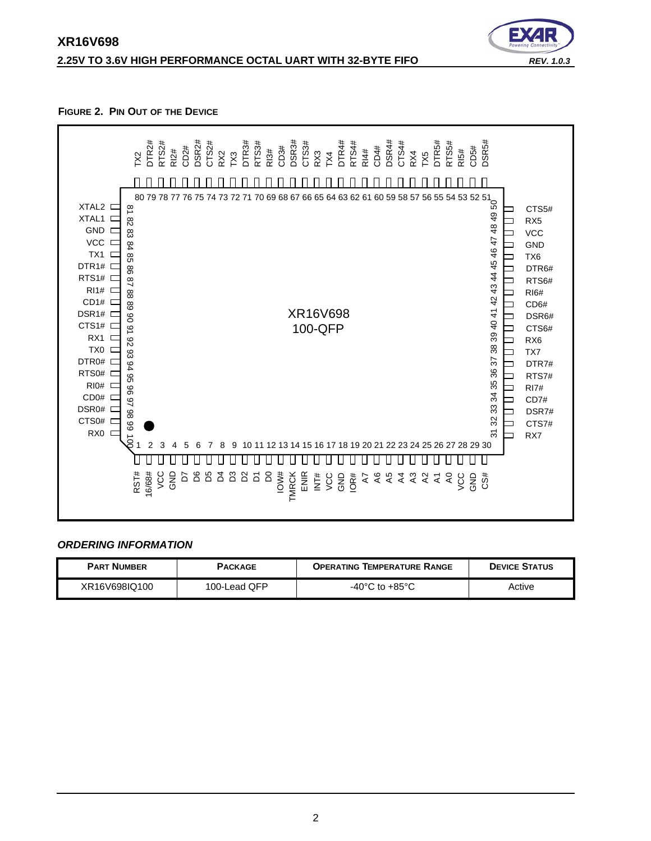# **2.25V TO 3.6V HIGH PERFORMANCE OCTAL UART WITH 32-BYTE FIFO** *REV. 1.0.3*



#### <span id="page-1-0"></span>**FIGURE 2. PIN OUT OF THE DEVICE**

**XR16V698**



#### <span id="page-1-1"></span>*ORDERING INFORMATION*

| <b>PART NUMBER</b> | <b>PACKAGE</b> | <b>OPERATING TEMPERATURE RANGE</b> | <b>DEVICE STATUS</b> |
|--------------------|----------------|------------------------------------|----------------------|
| XR16V698IQ100      | 100-Lead QFP   | $-40^{\circ}$ C to $+85^{\circ}$ C | Active               |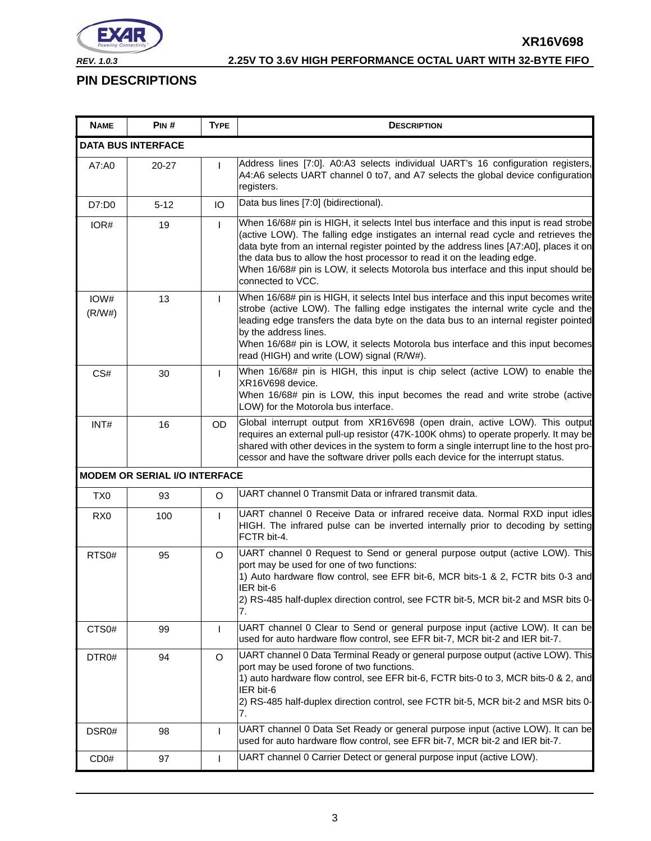

**XR16V698**

<span id="page-2-0"></span>**PIN DESCRIPTIONS** 

| <b>NAME</b>       | PIN#                                 | <b>TYPE</b>  | <b>DESCRIPTION</b>                                                                                                                                                                                                                                                                                                                                                                                                                                           |
|-------------------|--------------------------------------|--------------|--------------------------------------------------------------------------------------------------------------------------------------------------------------------------------------------------------------------------------------------------------------------------------------------------------------------------------------------------------------------------------------------------------------------------------------------------------------|
|                   | <b>DATA BUS INTERFACE</b>            |              |                                                                                                                                                                                                                                                                                                                                                                                                                                                              |
| A7:AO             | 20-27                                | $\mathbf{I}$ | Address lines [7:0]. A0:A3 selects individual UART's 16 configuration registers,<br>A4:A6 selects UART channel 0 to7, and A7 selects the global device configuration<br>registers.                                                                                                                                                                                                                                                                           |
| D7:D0             | $5 - 12$                             | IO           | Data bus lines [7:0] (bidirectional).                                                                                                                                                                                                                                                                                                                                                                                                                        |
| IOR#              | 19                                   | $\mathbf{I}$ | When 16/68# pin is HIGH, it selects Intel bus interface and this input is read strobe<br>(active LOW). The falling edge instigates an internal read cycle and retrieves the<br>data byte from an internal register pointed by the address lines [A7:A0], places it on<br>the data bus to allow the host processor to read it on the leading edge.<br>When 16/68# pin is LOW, it selects Motorola bus interface and this input should be<br>connected to VCC. |
| IOW#<br>(R/W#)    | 13                                   | $\mathbf{I}$ | When 16/68# pin is HIGH, it selects Intel bus interface and this input becomes write<br>strobe (active LOW). The falling edge instigates the internal write cycle and the<br>leading edge transfers the data byte on the data bus to an internal register pointed<br>by the address lines.<br>When 16/68# pin is LOW, it selects Motorola bus interface and this input becomes<br>read (HIGH) and write (LOW) signal (R/W#).                                 |
| CS#               | 30                                   | $\mathbf{I}$ | When 16/68# pin is HIGH, this input is chip select (active LOW) to enable the<br>XR16V698 device.<br>When 16/68# pin is LOW, this input becomes the read and write strobe (active<br>LOW) for the Motorola bus interface.                                                                                                                                                                                                                                    |
| INT#              | 16                                   | OD           | Global interrupt output from XR16V698 (open drain, active LOW). This output<br>requires an external pull-up resistor (47K-100K ohms) to operate properly. It may be<br>shared with other devices in the system to form a single interrupt line to the host pro-<br>cessor and have the software driver polls each device for the interrupt status.                                                                                                           |
|                   | <b>MODEM OR SERIAL I/O INTERFACE</b> |              |                                                                                                                                                                                                                                                                                                                                                                                                                                                              |
| TX0               | 93                                   | $\circ$      | UART channel 0 Transmit Data or infrared transmit data.                                                                                                                                                                                                                                                                                                                                                                                                      |
| R <sub>X0</sub>   | 100                                  | $\mathbf{I}$ | UART channel 0 Receive Data or infrared receive data. Normal RXD input idles<br>HIGH. The infrared pulse can be inverted internally prior to decoding by setting<br>FCTR bit-4.                                                                                                                                                                                                                                                                              |
| RTS0#             | 95                                   | $\circ$      | UART channel 0 Request to Send or general purpose output (active LOW). This<br>port may be used for one of two functions:<br>1) Auto hardware flow control, see EFR bit-6, MCR bits-1 & 2, FCTR bits 0-3 and<br>IER bit-6<br>2) RS-485 half-duplex direction control, see FCTR bit-5, MCR bit-2 and MSR bits 0-<br>7.                                                                                                                                        |
| CTS <sub>0#</sub> | 99                                   | L            | UART channel 0 Clear to Send or general purpose input (active LOW). It can be<br>used for auto hardware flow control, see EFR bit-7, MCR bit-2 and IER bit-7.                                                                                                                                                                                                                                                                                                |
| DTR0#             | 94                                   | $\circ$      | UART channel 0 Data Terminal Ready or general purpose output (active LOW). This<br>port may be used forone of two functions.<br>1) auto hardware flow control, see EFR bit-6, FCTR bits-0 to 3, MCR bits-0 & 2, and<br>IER bit-6<br>2) RS-485 half-duplex direction control, see FCTR bit-5, MCR bit-2 and MSR bits 0-<br>7.                                                                                                                                 |
| DSR0#             | 98                                   | I.           | UART channel 0 Data Set Ready or general purpose input (active LOW). It can be<br>used for auto hardware flow control, see EFR bit-7, MCR bit-2 and IER bit-7.                                                                                                                                                                                                                                                                                               |
| CD0#              | 97                                   | $\mathbf{I}$ | UART channel 0 Carrier Detect or general purpose input (active LOW).                                                                                                                                                                                                                                                                                                                                                                                         |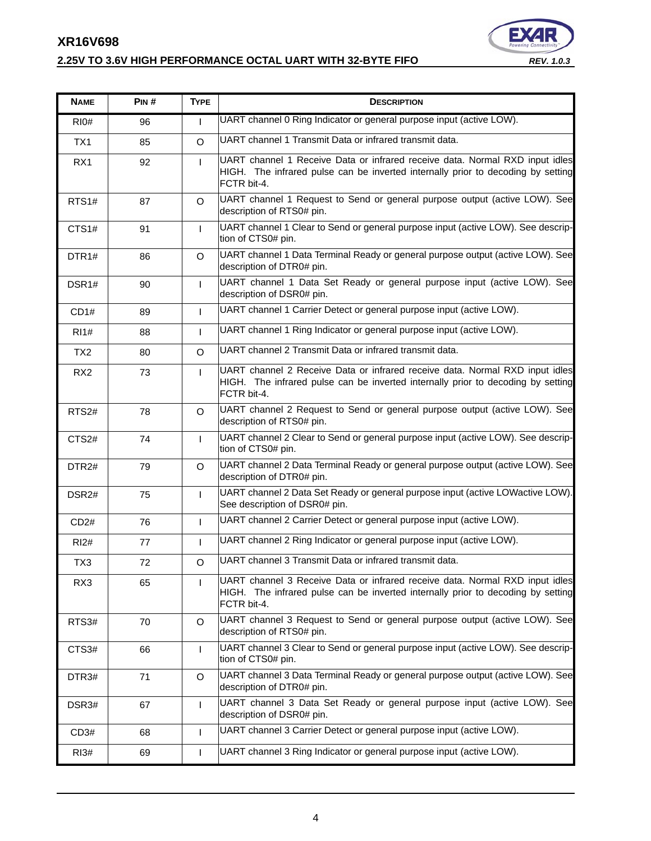# **2.25V TO 3.6V HIGH PERFORMANCE OCTAL UART WITH 32-BYTE FIFO** *REV. 1.0.3*



| <b>NAME</b>       | PIN# | <b>TYPE</b>  | <b>DESCRIPTION</b>                                                                                                                                                              |
|-------------------|------|--------------|---------------------------------------------------------------------------------------------------------------------------------------------------------------------------------|
| R10#              | 96   | $\mathbf{L}$ | UART channel 0 Ring Indicator or general purpose input (active LOW).                                                                                                            |
| TX <sub>1</sub>   | 85   | O            | UART channel 1 Transmit Data or infrared transmit data.                                                                                                                         |
| RX1               | 92   | $\mathbf{L}$ | UART channel 1 Receive Data or infrared receive data. Normal RXD input idles<br>HIGH. The infrared pulse can be inverted internally prior to decoding by setting<br>FCTR bit-4. |
| RTS1#             | 87   | O            | UART channel 1 Request to Send or general purpose output (active LOW). See<br>description of RTS0# pin.                                                                         |
| CTS1#             | 91   | $\mathbf{L}$ | UART channel 1 Clear to Send or general purpose input (active LOW). See descrip-<br>tion of CTS0# pin.                                                                          |
| DTR1#             | 86   | O            | UART channel 1 Data Terminal Ready or general purpose output (active LOW). See<br>description of DTR0# pin.                                                                     |
| DSR <sub>1#</sub> | 90   | $\mathbf{I}$ | UART channel 1 Data Set Ready or general purpose input (active LOW). See<br>description of DSR0# pin.                                                                           |
| CD1#              | 89   | $\mathbf{L}$ | UART channel 1 Carrier Detect or general purpose input (active LOW).                                                                                                            |
| R11#              | 88   | $\mathbf{I}$ | UART channel 1 Ring Indicator or general purpose input (active LOW).                                                                                                            |
| TX <sub>2</sub>   | 80   | O            | UART channel 2 Transmit Data or infrared transmit data.                                                                                                                         |
| RX <sub>2</sub>   | 73   | $\mathbf{L}$ | UART channel 2 Receive Data or infrared receive data. Normal RXD input idles<br>HIGH. The infrared pulse can be inverted internally prior to decoding by setting<br>FCTR bit-4. |
| RTS <sub>2#</sub> | 78   | O            | UART channel 2 Request to Send or general purpose output (active LOW). See<br>description of RTS0# pin.                                                                         |
| CTS2#             | 74   | $\mathbf{L}$ | UART channel 2 Clear to Send or general purpose input (active LOW). See descrip-<br>tion of CTS0# pin.                                                                          |
| DTR <sub>2#</sub> | 79   | O            | UART channel 2 Data Terminal Ready or general purpose output (active LOW). See<br>description of DTR0# pin.                                                                     |
| DSR <sub>2#</sub> | 75   | $\mathbf{I}$ | UART channel 2 Data Set Ready or general purpose input (active LOWactive LOW).<br>See description of DSR0# pin.                                                                 |
| CD2#              | 76   | $\mathbf{L}$ | UART channel 2 Carrier Detect or general purpose input (active LOW).                                                                                                            |
| R12#              | 77   | $\mathbf{L}$ | UART channel 2 Ring Indicator or general purpose input (active LOW).                                                                                                            |
| TX <sub>3</sub>   | 72   | O            | UART channel 3 Transmit Data or infrared transmit data.                                                                                                                         |
| RX3               | 65   | $\mathbf{I}$ | UART channel 3 Receive Data or infrared receive data. Normal RXD input idles<br>HIGH. The infrared pulse can be inverted internally prior to decoding by setting<br>FCTR bit-4. |
| RTS3#             | 70   | O            | UART channel 3 Request to Send or general purpose output (active LOW). See<br>description of RTS0# pin.                                                                         |
| CTS3#             | 66   | $\mathbf{I}$ | UART channel 3 Clear to Send or general purpose input (active LOW). See descrip-<br>tion of CTS0# pin.                                                                          |
| DTR3#             | 71   | O            | UART channel 3 Data Terminal Ready or general purpose output (active LOW). See<br>description of DTR0# pin.                                                                     |
| DSR3#             | 67   | $\mathsf{I}$ | UART channel 3 Data Set Ready or general purpose input (active LOW). See<br>description of DSR0# pin.                                                                           |
| CD3#              | 68   | $\mathbf{L}$ | UART channel 3 Carrier Detect or general purpose input (active LOW).                                                                                                            |
| <b>RI3#</b>       | 69   | T            | UART channel 3 Ring Indicator or general purpose input (active LOW).                                                                                                            |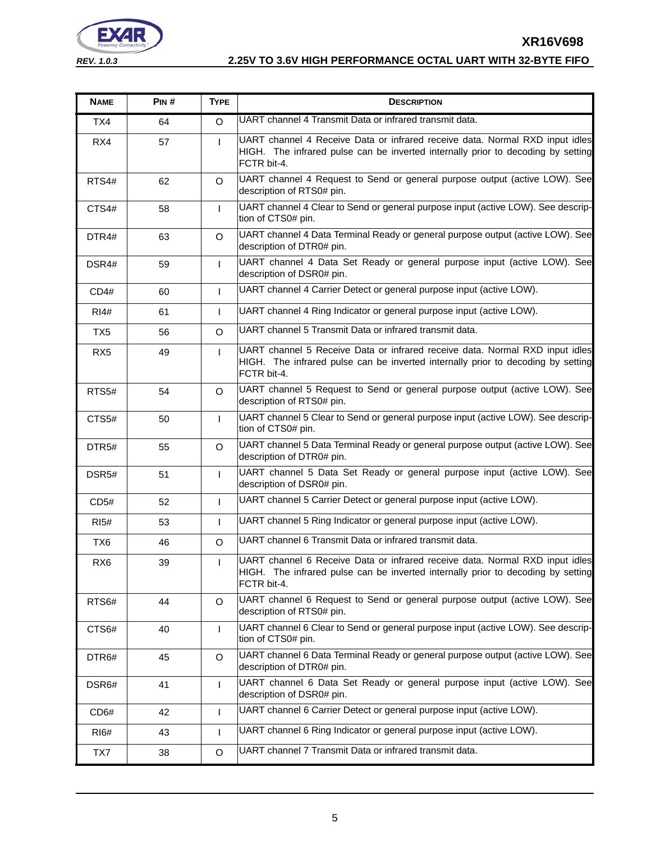

| <b>NAME</b>       | PIN# | <b>TYPE</b>  | <b>DESCRIPTION</b>                                                                                                                                                              |
|-------------------|------|--------------|---------------------------------------------------------------------------------------------------------------------------------------------------------------------------------|
| TX4               | 64   | O            | UART channel 4 Transmit Data or infrared transmit data.                                                                                                                         |
| RX4               | 57   | $\mathbf{I}$ | UART channel 4 Receive Data or infrared receive data. Normal RXD input idles<br>HIGH. The infrared pulse can be inverted internally prior to decoding by setting<br>FCTR bit-4. |
| RTS4#             | 62   | O            | UART channel 4 Request to Send or general purpose output (active LOW). See<br>description of RTS0# pin.                                                                         |
| CTS4#             | 58   | $\mathbf{I}$ | UART channel 4 Clear to Send or general purpose input (active LOW). See descrip-<br>tion of CTS0# pin.                                                                          |
| DTR4#             | 63   | O            | UART channel 4 Data Terminal Ready or general purpose output (active LOW). See<br>description of DTR0# pin.                                                                     |
| DSR4#             | 59   | $\mathbf{L}$ | UART channel 4 Data Set Ready or general purpose input (active LOW). See<br>description of DSR0# pin.                                                                           |
| CD4#              | 60   | $\mathbf{I}$ | UART channel 4 Carrier Detect or general purpose input (active LOW).                                                                                                            |
| RI4#              | 61   | $\mathbf{I}$ | UART channel 4 Ring Indicator or general purpose input (active LOW).                                                                                                            |
| TX <sub>5</sub>   | 56   | $\Omega$     | UART channel 5 Transmit Data or infrared transmit data.                                                                                                                         |
| RX <sub>5</sub>   | 49   | $\mathbf{I}$ | UART channel 5 Receive Data or infrared receive data. Normal RXD input idles<br>HIGH. The infrared pulse can be inverted internally prior to decoding by setting<br>FCTR bit-4. |
| RTS5#             | 54   | O            | UART channel 5 Request to Send or general purpose output (active LOW). See<br>description of RTS0# pin.                                                                         |
| CTS5#             | 50   | $\mathbf{I}$ | UART channel 5 Clear to Send or general purpose input (active LOW). See descrip-<br>tion of CTS0# pin.                                                                          |
| DTR <sub>5#</sub> | 55   | O            | UART channel 5 Data Terminal Ready or general purpose output (active LOW). See<br>description of DTR0# pin.                                                                     |
| DSR <sub>5#</sub> | 51   | $\mathbf{L}$ | UART channel 5 Data Set Ready or general purpose input (active LOW). See<br>description of DSR0# pin.                                                                           |
| CD5#              | 52   | $\mathbf{I}$ | UART channel 5 Carrier Detect or general purpose input (active LOW).                                                                                                            |
| R15#              | 53   | I.           | UART channel 5 Ring Indicator or general purpose input (active LOW).                                                                                                            |
| TX <sub>6</sub>   | 46   | O            | UART channel 6 Transmit Data or infrared transmit data.                                                                                                                         |
| RX <sub>6</sub>   | 39   | $\mathbf{I}$ | UART channel 6 Receive Data or infrared receive data. Normal RXD input idles<br>HIGH. The infrared pulse can be inverted internally prior to decoding by setting<br>FCTR bit-4. |
| RTS6#             | 44   | $\Omega$     | UART channel 6 Request to Send or general purpose output (active LOW). See<br>description of RTS0# pin.                                                                         |
| CTS6#             | 40   | $\mathbf{I}$ | UART channel 6 Clear to Send or general purpose input (active LOW). See descrip-<br>tion of CTS0# pin.                                                                          |
| DTR6#             | 45   | O            | UART channel 6 Data Terminal Ready or general purpose output (active LOW). See<br>description of DTR0# pin.                                                                     |
| DSR6#             | 41   | $\mathbf{I}$ | UART channel 6 Data Set Ready or general purpose input (active LOW). See<br>description of DSR0# pin.                                                                           |
| CD6#              | 42   | $\mathbf{I}$ | UART channel 6 Carrier Detect or general purpose input (active LOW).                                                                                                            |
| <b>RI6#</b>       | 43   | $\mathbf{I}$ | UART channel 6 Ring Indicator or general purpose input (active LOW).                                                                                                            |
| TX7               | 38   | O            | UART channel 7 Transmit Data or infrared transmit data.                                                                                                                         |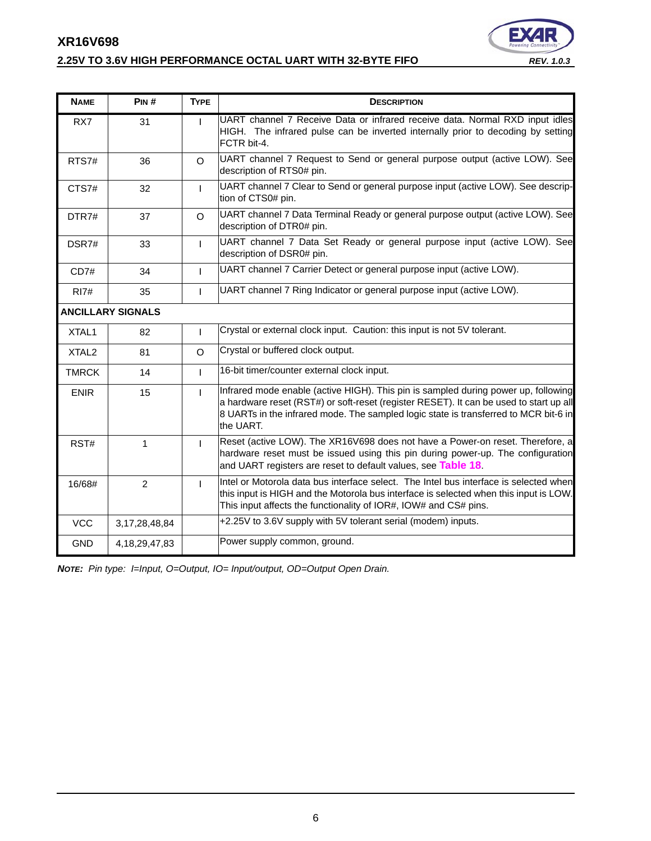# **2.25V TO 3.6V HIGH PERFORMANCE OCTAL UART WITH 32-BYTE FIFO**

| <b>Powering Connectiv</b> |
|---------------------------|
| <b>REV. 1.0.3</b>         |

| <b>NAME</b>       | PIN#                     | <b>TYPE</b>  | <b>DESCRIPTION</b>                                                                                                                                                                                                                                                                |
|-------------------|--------------------------|--------------|-----------------------------------------------------------------------------------------------------------------------------------------------------------------------------------------------------------------------------------------------------------------------------------|
| RX7               | 31                       | $\mathbf{L}$ | UART channel 7 Receive Data or infrared receive data. Normal RXD input idles<br>HIGH. The infrared pulse can be inverted internally prior to decoding by setting<br>FCTR bit-4.                                                                                                   |
| RTS7#             | 36                       | $\Omega$     | UART channel 7 Request to Send or general purpose output (active LOW). See<br>description of RTS0# pin.                                                                                                                                                                           |
| CTS7#             | 32                       | L            | UART channel 7 Clear to Send or general purpose input (active LOW). See descrip-<br>tion of CTS0# pin.                                                                                                                                                                            |
| DTR7#             | 37                       | $\Omega$     | UART channel 7 Data Terminal Ready or general purpose output (active LOW). See<br>description of DTR0# pin.                                                                                                                                                                       |
| DSR7#             | 33                       | $\mathbf{I}$ | UART channel 7 Data Set Ready or general purpose input (active LOW). See<br>description of DSR0# pin.                                                                                                                                                                             |
| CD7#              | 34                       | $\mathbf{I}$ | UART channel 7 Carrier Detect or general purpose input (active LOW).                                                                                                                                                                                                              |
| <b>RI7#</b>       | 35                       | L            | UART channel 7 Ring Indicator or general purpose input (active LOW).                                                                                                                                                                                                              |
|                   | <b>ANCILLARY SIGNALS</b> |              |                                                                                                                                                                                                                                                                                   |
| XTAL1             | 82                       | $\mathbf{I}$ | Crystal or external clock input. Caution: this input is not 5V tolerant.                                                                                                                                                                                                          |
| XTAL <sub>2</sub> | 81                       | O            | Crystal or buffered clock output.                                                                                                                                                                                                                                                 |
| <b>TMRCK</b>      | 14                       | L            | 16-bit timer/counter external clock input.                                                                                                                                                                                                                                        |
| <b>ENIR</b>       | 15                       | L            | Infrared mode enable (active HIGH). This pin is sampled during power up, following<br>a hardware reset (RST#) or soft-reset (register RESET). It can be used to start up all<br>8 UARTs in the infrared mode. The sampled logic state is transferred to MCR bit-6 in<br>the UART. |
| RST#              | $\mathbf{1}$             | L            | Reset (active LOW). The XR16V698 does not have a Power-on reset. Therefore, a<br>hardware reset must be issued using this pin during power-up. The configuration<br>and UART registers are reset to default values, see Table 18.                                                 |
| 16/68#            | 2                        | $\mathbf{L}$ | Intel or Motorola data bus interface select. The Intel bus interface is selected when<br>this input is HIGH and the Motorola bus interface is selected when this input is LOW.<br>This input affects the functionality of IOR#, IOW# and CS# pins.                                |
| <b>VCC</b>        | 3, 17, 28, 48, 84        |              | +2.25V to 3.6V supply with 5V tolerant serial (modem) inputs.                                                                                                                                                                                                                     |
| <b>GND</b>        | 4, 18, 29, 47, 83        |              | Power supply common, ground.                                                                                                                                                                                                                                                      |

*NOTE: Pin type: I=Input, O=Output, IO= Input/output, OD=Output Open Drain.*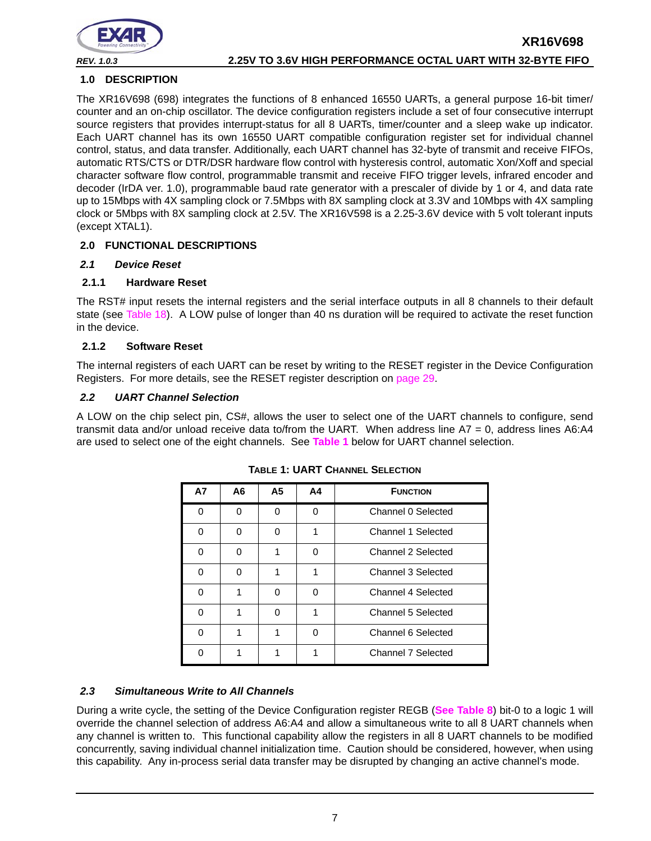

#### <span id="page-6-1"></span>**1.0 DESCRIPTION**

The XR16V698 (698) integrates the functions of 8 enhanced 16550 UARTs, a general purpose 16-bit timer/ counter and an on-chip oscillator. The device configuration registers include a set of four consecutive interrupt source registers that provides interrupt-status for all 8 UARTs, timer/counter and a sleep wake up indicator. Each UART channel has its own 16550 UART compatible configuration register set for individual channel control, status, and data transfer. Additionally, each UART channel has 32-byte of transmit and receive FIFOs, automatic RTS/CTS or DTR/DSR hardware flow control with hysteresis control, automatic Xon/Xoff and special character software flow control, programmable transmit and receive FIFO trigger levels, infrared encoder and decoder (IrDA ver. 1.0), programmable baud rate generator with a prescaler of divide by 1 or 4, and data rate up to 15Mbps with 4X sampling clock or 7.5Mbps with 8X sampling clock at 3.3V and 10Mbps with 4X sampling clock or 5Mbps with 8X sampling clock at 2.5V. The XR16V598 is a 2.25-3.6V device with 5 volt tolerant inputs (except XTAL1).

#### <span id="page-6-2"></span>**2.0 FUNCTIONAL DESCRIPTIONS**

#### <span id="page-6-3"></span>*2.1 Device Reset*

#### <span id="page-6-4"></span>**2.1.1 Hardware Reset**

The RST# input resets the internal registers and the serial interface outputs in all 8 channels to their default state (see [Table](#page-46-0) 18). A LOW pulse of longer than 40 ns duration will be required to activate the reset function in the device.

#### <span id="page-6-5"></span>**2.1.2 Software Reset**

The internal registers of each UART can be reset by writing to the RESET register in the Device Configuration Registers. For more details, see the RESET register description on [page](#page-28-0) 29.

#### <span id="page-6-6"></span>*2.2 UART Channel Selection*

<span id="page-6-0"></span>A LOW on the chip select pin, CS#, allows the user to select one of the UART channels to configure, send transmit data and/or unload receive data to/from the UART. When address line A7 = 0, address lines A6:A4 are used to select one of the eight channels. See **[Table](#page-6-0) 1** below for UART channel selection.

| <b>A7</b> | A6 | <b>A5</b> | A4 | <b>FUNCTION</b>    |
|-----------|----|-----------|----|--------------------|
| $\Omega$  | U  | ∩         | O  | Channel 0 Selected |
| O         | U  | U         | 1  | Channel 1 Selected |
| O         | O  |           | 0  | Channel 2 Selected |
| ∩         | O  |           |    | Channel 3 Selected |
| 0         |    |           | 0  | Channel 4 Selected |
| 0         | 1  |           | 1  | Channel 5 Selected |
| U         | 1  |           | 0  | Channel 6 Selected |
| U         |    |           |    | Channel 7 Selected |

#### <span id="page-6-7"></span>*2.3 Simultaneous Write to All Channels*

During a write cycle, the setting of the Device Configuration register REGB (**[See Table](#page-23-0) 8**) bit-0 to a logic 1 will override the channel selection of address A6:A4 and allow a simultaneous write to all 8 UART channels when any channel is written to. This functional capability allow the registers in all 8 UART channels to be modified concurrently, saving individual channel initialization time. Caution should be considered, however, when using this capability. Any in-process serial data transfer may be disrupted by changing an active channel's mode.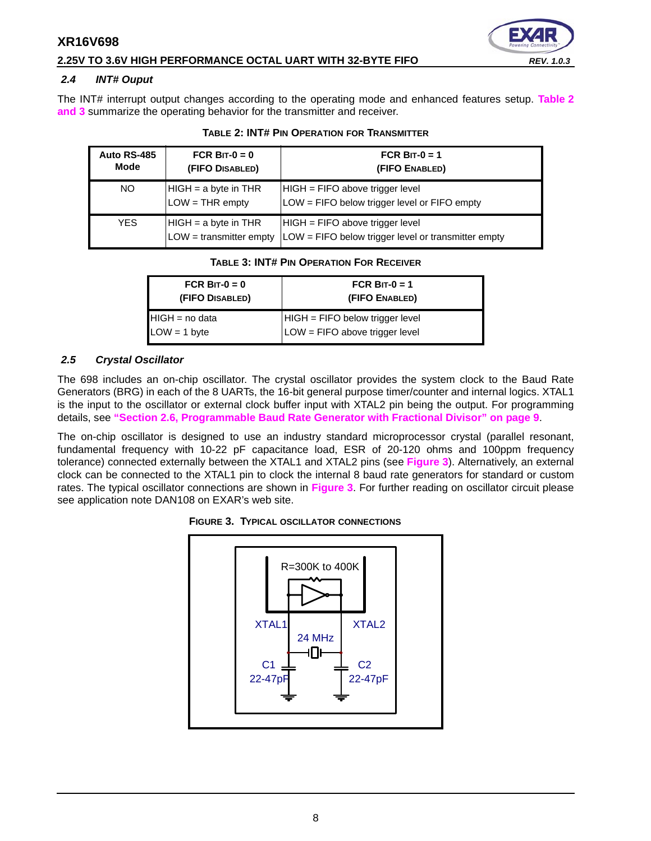

#### **2.25V TO 3.6V HIGH PERFORMANCE OCTAL UART WITH 32-BYTE FIFO** *REV. 1.0.3*

#### <span id="page-7-3"></span>*2.4 INT# Ouput*

<span id="page-7-1"></span>The INT# interrupt output changes according to the operating mode and enhanced features setup. **[Table](#page-7-1) 2 [and](#page-7-2) 3** summarize the operating behavior for the transmitter and receiver.

| Auto RS-485<br><b>Mode</b> | FCR BIT- $0 = 0$<br>(FIFO DISABLED)                 | FCR BIT-0 = $1$<br>(FIFO ENABLED)                                                        |
|----------------------------|-----------------------------------------------------|------------------------------------------------------------------------------------------|
| NO.                        | $HIGH = a byte in THR$<br>$LOW = THR$ empty         | $HIGH = FIFO above trigger level$<br>LOW = FIFO below trigger level or FIFO empty        |
| YES.                       | $HIGH = a byte in THR$<br>$LOW =$ transmitter empty | $HIGH = FIFO above trigger level$<br>LOW = FIFO below trigger level or transmitter empty |

#### **TABLE 2: INT# PIN OPERATION FOR TRANSMITTER**

#### **TABLE 3: INT# PIN OPERATION FOR RECEIVER**

<span id="page-7-2"></span>

| FCR BIT- $0 = 0$ | FCR BIT-0 = 1                     |
|------------------|-----------------------------------|
| (FIFO DISABLED)  | (FIFO ENABLED)                    |
| $HIGH = no data$ | $HIGH = FIFO below trigger level$ |
| $LOW = 1 byte$   | $LOW = FIFO$ above trigger level  |

#### <span id="page-7-4"></span>*2.5 Crystal Oscillator*

The 698 includes an on-chip oscillator. The crystal oscillator provides the system clock to the Baud Rate Generators (BRG) in each of the 8 UARTs, the 16-bit general purpose timer/counter and internal logics. XTAL1 is the input to the oscillator or external clock buffer input with XTAL2 pin being the output. For programming details, see **["Section 2.6, Programmable Baud Rate Generator with Fractional Divisor" on page](#page-8-0) 9**.

The on-chip oscillator is designed to use an industry standard microprocessor crystal (parallel resonant, fundamental frequency with 10-22 pF capacitance load, ESR of 20-120 ohms and 100ppm frequency tolerance) connected externally between the XTAL1 and XTAL2 pins (see **[Figure](#page-7-0) 3**). Alternatively, an external clock can be connected to the XTAL1 pin to clock the internal 8 baud rate generators for standard or custom rates. The typical oscillator connections are shown in **[Figure](#page-7-0) 3**. For further reading on oscillator circuit please see application note DAN108 on EXAR's web site.

<span id="page-7-0"></span>

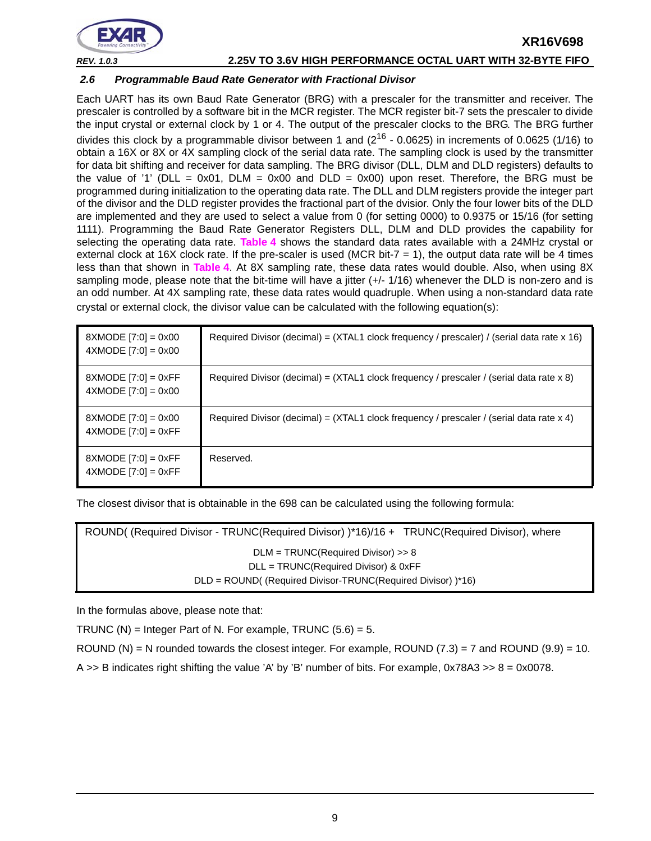

#### <span id="page-8-0"></span>*2.6 Programmable Baud Rate Generator with Fractional Divisor*

Each UART has its own Baud Rate Generator (BRG) with a prescaler for the transmitter and receiver. The prescaler is controlled by a software bit in the MCR register. The MCR register bit-7 sets the prescaler to divide the input crystal or external clock by 1 or 4. The output of the prescaler clocks to the BRG. The BRG further divides this clock by a programmable divisor between 1 and  $(2^{16} - 0.0625)$  in increments of 0.0625 (1/16) to obtain a 16X or 8X or 4X sampling clock of the serial data rate. The sampling clock is used by the transmitter for data bit shifting and receiver for data sampling. The BRG divisor (DLL, DLM and DLD registers) defaults to the value of '1' (DLL = 0x01, DLM = 0x00 and DLD = 0x00) upon reset. Therefore, the BRG must be programmed during initialization to the operating data rate. The DLL and DLM registers provide the integer part of the divisor and the DLD register provides the fractional part of the dvisior. Only the four lower bits of the DLD are implemented and they are used to select a value from 0 (for setting 0000) to 0.9375 or 15/16 (for setting 1111). Programming the Baud Rate Generator Registers DLL, DLM and DLD provides the capability for selecting the operating data rate. **[Table](#page-9-0) 4** shows the standard data rates available with a 24MHz crystal or external clock at 16X clock rate. If the pre-scaler is used (MCR bit-7  $=$  1), the output data rate will be 4 times less than that shown in **[Table](#page-9-0) 4**. At 8X sampling rate, these data rates would double. Also, when using 8X sampling mode, please note that the bit-time will have a jitter (+/- 1/16) whenever the DLD is non-zero and is an odd number. At 4X sampling rate, these data rates would quadruple. When using a non-standard data rate crystal or external clock, the divisor value can be calculated with the following equation(s):

| $8XMODE$ [7:0] = 0x00<br>$4XMODE$ [7:0] = 0x00           | Required Divisor (decimal) = (XTAL1 clock frequency / prescaler) / (serial data rate x 16) |
|----------------------------------------------------------|--------------------------------------------------------------------------------------------|
| $8XMODE$ [7:0] = 0xFF<br>$4XMODE$ [7:0] = 0x00           | Required Divisor (decimal) = $(XTAL1$ clock frequency / prescaler / (serial data rate x 8) |
| $8XMODE$ [7:0] = 0x00<br>$4$ XMODE [7:0] = 0 $\times$ FF | Required Divisor (decimal) = (XTAL1 clock frequency / prescaler / (serial data rate x 4)   |
| $8XMODE$ [7:0] = 0xFF<br>$4$ XMODE [7:0] = 0 $\times$ FF | Reserved.                                                                                  |

The closest divisor that is obtainable in the 698 can be calculated using the following formula:

ROUND( (Required Divisor - TRUNC(Required Divisor) )\*16)/16 + TRUNC(Required Divisor), where DLM = TRUNC(Required Divisor) >> 8 DLL = TRUNC(Required Divisor) & 0xFF DLD = ROUND( (Required Divisor-TRUNC(Required Divisor) )\*16)

In the formulas above, please note that:

TRUNC (N) = Integer Part of N. For example, TRUNC  $(5.6) = 5$ .

ROUND (N) = N rounded towards the closest integer. For example, ROUND  $(7.3)$  = 7 and ROUND  $(9.9)$  = 10.

A  $>>$  B indicates right shifting the value 'A' by 'B' number of bits. For example, 0x78A3  $>> 8 = 0x0078$ .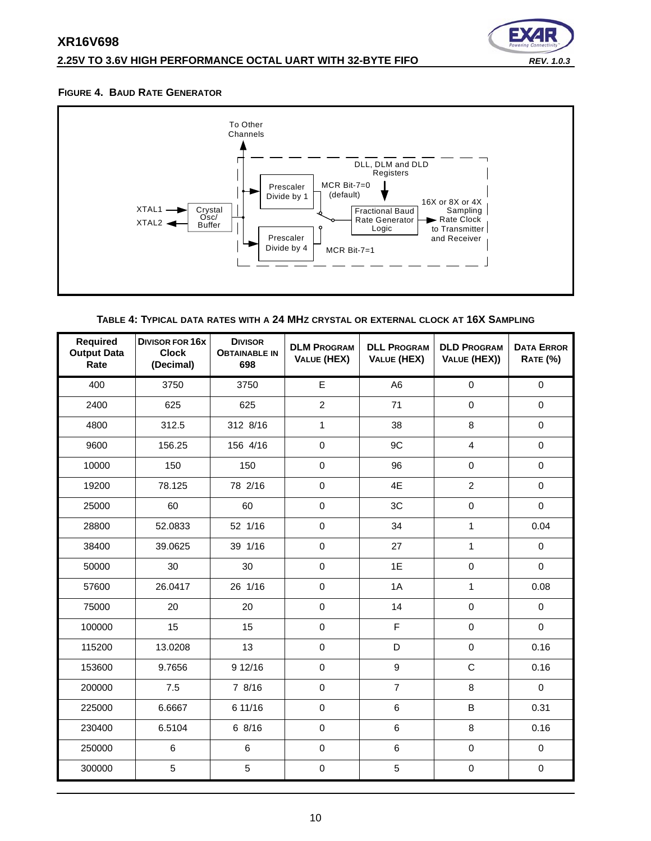#### **2.25V TO 3.6V HIGH PERFORMANCE OCTAL UART WITH 32-BYTE FIFO** *REV. 1.0.3*



#### <span id="page-9-1"></span>**FIGURE 4. BAUD RATE GENERATOR**



| TABLE 4: TYPICAL DATA RATES WITH A 24 MHZ CRYSTAL OR EXTERNAL CLOCK AT 16X SAMPLING |  |
|-------------------------------------------------------------------------------------|--|
|-------------------------------------------------------------------------------------|--|

<span id="page-9-0"></span>

| <b>Required</b><br><b>Output Data</b><br>Rate | <b>DIVISOR FOR 16X</b><br><b>DIVISOR</b><br><b>DLM PROGRAM</b><br><b>DLL PROGRAM</b><br><b>Clock</b><br><b>OBTAINABLE IN</b><br><b>VALUE (HEX)</b><br>VALUE (HEX)<br>(Decimal)<br>698 |                        | <b>DLD PROGRAM</b><br>VALUE (HEX)) | <b>DATA ERROR</b><br><b>RATE (%)</b> |                         |             |
|-----------------------------------------------|---------------------------------------------------------------------------------------------------------------------------------------------------------------------------------------|------------------------|------------------------------------|--------------------------------------|-------------------------|-------------|
| 400                                           | 3750                                                                                                                                                                                  | 3750                   | E                                  | A <sub>6</sub>                       | $\mathbf 0$             | $\mathbf 0$ |
| 2400                                          | 625                                                                                                                                                                                   | 625                    | $\overline{c}$                     | 71                                   | $\mathbf 0$             | $\mathbf 0$ |
| 4800                                          | 312.5                                                                                                                                                                                 | 312 8/16               | $\mathbf{1}$                       | 38                                   | 8                       | $\mathbf 0$ |
| 9600                                          | 156.25                                                                                                                                                                                | 156 4/16               | $\mathsf 0$                        | 9C                                   | $\overline{\mathbf{4}}$ | $\pmb{0}$   |
| 10000                                         | 150                                                                                                                                                                                   | 150                    | $\mathbf 0$                        | 96                                   | $\mathbf 0$             | $\mathbf 0$ |
| 19200                                         | 78.125                                                                                                                                                                                | 78 2/16                | $\mathsf 0$                        | 4E                                   | $\overline{c}$          | $\mathbf 0$ |
| 25000                                         | 60                                                                                                                                                                                    | 60                     | $\pmb{0}$                          | 3C                                   | $\mathbf 0$             | $\mathbf 0$ |
| 28800                                         | 52.0833                                                                                                                                                                               | 52 1/16<br>$\mathsf 0$ |                                    | 34                                   | $\mathbf{1}$            | 0.04        |
| 38400                                         | 39.0625                                                                                                                                                                               | 39 1/16                | $\mathsf 0$                        | 27                                   | $\mathbf{1}$            | $\pmb{0}$   |
| 50000                                         | 30                                                                                                                                                                                    | 30                     |                                    | 1E                                   | $\mathbf 0$             | $\Omega$    |
| 57600                                         | 26.0417                                                                                                                                                                               | 26 1/16                | $\mathsf 0$<br>1A                  |                                      | $\mathbf{1}$            | 0.08        |
| 75000                                         | 20                                                                                                                                                                                    | 20                     | $\mathsf 0$                        | 14                                   | $\pmb{0}$               | $\pmb{0}$   |
| 100000                                        | 15                                                                                                                                                                                    | 15                     | $\mathsf 0$                        | F                                    | $\mathbf 0$             | $\mathbf 0$ |
| 115200                                        | 13.0208                                                                                                                                                                               | 13                     | $\pmb{0}$                          | D                                    | $\mathbf 0$             | 0.16        |
| 153600                                        | 9.7656                                                                                                                                                                                | 9 12/16                | $\mathsf 0$                        | 9                                    | $\mathsf C$             | 0.16        |
| 200000                                        | 7.5                                                                                                                                                                                   | 7 8/16                 | $\mathsf 0$                        | $\overline{7}$                       | 8                       | $\mathbf 0$ |
| 225000                                        | 6.6667                                                                                                                                                                                | 6 11/16                | $\mathsf 0$                        | 6                                    | B                       | 0.31        |
| 230400                                        | 6.5104                                                                                                                                                                                | 68/16                  | $\mathbf 0$                        | $6\phantom{a}$                       | 8                       | 0.16        |
| 250000                                        | 6                                                                                                                                                                                     | 6                      | $\pmb{0}$                          | 6                                    | $\mathbf 0$             | $\mathbf 0$ |
| 300000                                        | 5                                                                                                                                                                                     | 5                      | $\mathsf 0$                        | 5                                    | $\mathbf 0$             | $\pmb{0}$   |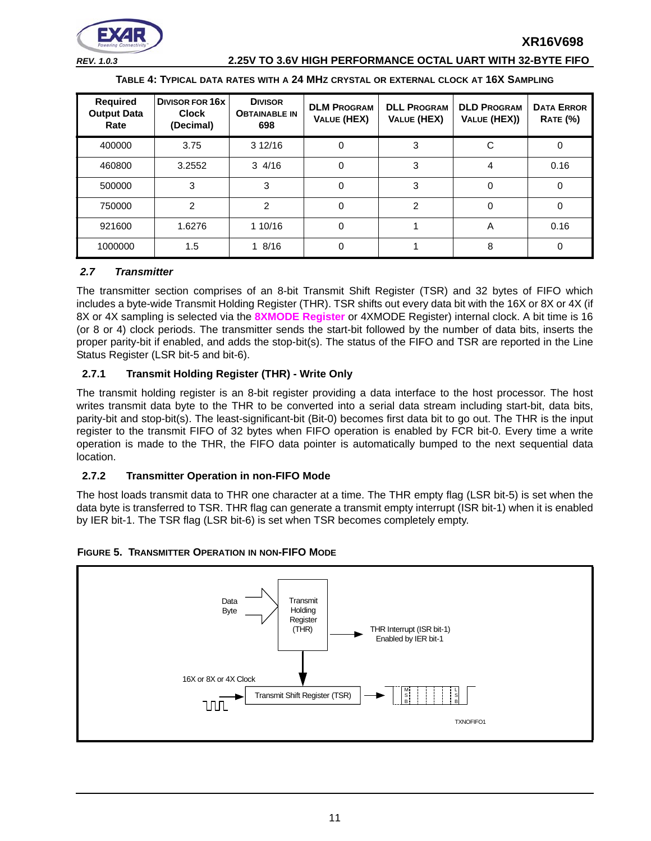

*REV. 1.0.3* **2.25V TO 3.6V HIGH PERFORMANCE OCTAL UART WITH 32-BYTE FIFO**

| TABLE 4: TYPICAL DATA RATES WITH A 24 MHZ CRYSTAL OR EXTERNAL CLOCK AT 16X SAMPLING |  |
|-------------------------------------------------------------------------------------|--|
|-------------------------------------------------------------------------------------|--|

| Required<br><b>Output Data</b><br>Rate | <b>DIVISOR FOR 16X</b><br><b>Clock</b><br>(Decimal) | <b>DIVISOR</b><br><b>OBTAINABLE IN</b><br>698 | <b>DLM PROGRAM</b><br><b>VALUE (HEX)</b> | <b>DLL PROGRAM</b><br>VALUE (HEX) | <b>DLD PROGRAM</b><br>VALUE (HEX)) | <b>DATA ERROR</b><br><b>RATE (%)</b> |
|----------------------------------------|-----------------------------------------------------|-----------------------------------------------|------------------------------------------|-----------------------------------|------------------------------------|--------------------------------------|
| 400000                                 | 3.75                                                | 3 12/16                                       | 0                                        | 3                                 | C                                  | $\mathbf 0$                          |
| 460800                                 | 3.2552                                              | $3 \frac{4}{16}$                              | 0                                        | 3                                 | 4                                  | 0.16                                 |
| 500000                                 | 3                                                   | 3                                             | 0                                        | 3                                 | $\Omega$                           | $\mathbf 0$                          |
| 750000                                 | $\mathfrak{p}$                                      | $\mathfrak{p}$                                | 0                                        | $\mathfrak{p}$                    | 0                                  | 0                                    |
| 921600                                 | 1.6276                                              | 1 10/16                                       | 0                                        |                                   | A                                  | 0.16                                 |
| 1000000                                | 1.5                                                 | 18/16                                         | 0                                        |                                   | 8                                  | $\Omega$                             |

#### <span id="page-10-0"></span>*2.7 Transmitter*

The transmitter section comprises of an 8-bit Transmit Shift Register (TSR) and 32 bytes of FIFO which includes a byte-wide Transmit Holding Register (THR). TSR shifts out every data bit with the 16X or 8X or 4X (if 8X or 4X sampling is selected via the **[8XMODE Register](#page-27-0)** or 4XMODE Register) internal clock. A bit time is 16 (or 8 or 4) clock periods. The transmitter sends the start-bit followed by the number of data bits, inserts the proper parity-bit if enabled, and adds the stop-bit(s). The status of the FIFO and TSR are reported in the Line Status Register (LSR bit-5 and bit-6).

#### <span id="page-10-1"></span>**2.7.1 Transmit Holding Register (THR) - Write Only**

The transmit holding register is an 8-bit register providing a data interface to the host processor. The host writes transmit data byte to the THR to be converted into a serial data stream including start-bit, data bits, parity-bit and stop-bit(s). The least-significant-bit (Bit-0) becomes first data bit to go out. The THR is the input register to the transmit FIFO of 32 bytes when FIFO operation is enabled by FCR bit-0. Every time a write operation is made to the THR, the FIFO data pointer is automatically bumped to the next sequential data location.

#### <span id="page-10-2"></span>**2.7.2 Transmitter Operation in non-FIFO Mode**

The host loads transmit data to THR one character at a time. The THR empty flag (LSR bit-5) is set when the data byte is transferred to TSR. THR flag can generate a transmit empty interrupt (ISR bit-1) when it is enabled by IER bit-1. The TSR flag (LSR bit-6) is set when TSR becomes completely empty.



<span id="page-10-3"></span>**FIGURE 5. TRANSMITTER OPERATION IN NON-FIFO MODE**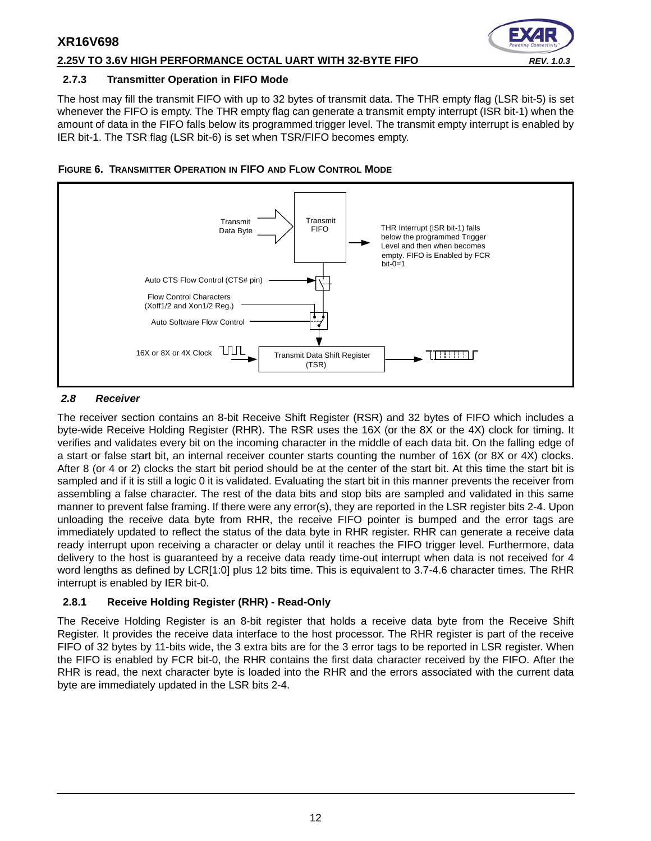#### **2.25V TO 3.6V HIGH PERFORMANCE OCTAL UART WITH 32-BYTE FIFO** *REV. 1.0.3*

#### <span id="page-11-1"></span>**2.7.3 Transmitter Operation in FIFO Mode**

The host may fill the transmit FIFO with up to 32 bytes of transmit data. The THR empty flag (LSR bit-5) is set whenever the FIFO is empty. The THR empty flag can generate a transmit empty interrupt (ISR bit-1) when the amount of data in the FIFO falls below its programmed trigger level. The transmit empty interrupt is enabled by IER bit-1. The TSR flag (LSR bit-6) is set when TSR/FIFO becomes empty.



#### <span id="page-11-2"></span>**FIGURE 6. TRANSMITTER OPERATION IN FIFO AND FLOW CONTROL MODE**

#### <span id="page-11-0"></span>*2.8 Receiver*

The receiver section contains an 8-bit Receive Shift Register (RSR) and 32 bytes of FIFO which includes a byte-wide Receive Holding Register (RHR). The RSR uses the 16X (or the 8X or the 4X) clock for timing. It verifies and validates every bit on the incoming character in the middle of each data bit. On the falling edge of a start or false start bit, an internal receiver counter starts counting the number of 16X (or 8X or 4X) clocks. After 8 (or 4 or 2) clocks the start bit period should be at the center of the start bit. At this time the start bit is sampled and if it is still a logic 0 it is validated. Evaluating the start bit in this manner prevents the receiver from assembling a false character. The rest of the data bits and stop bits are sampled and validated in this same manner to prevent false framing. If there were any error(s), they are reported in the LSR register bits 2-4. Upon unloading the receive data byte from RHR, the receive FIFO pointer is bumped and the error tags are immediately updated to reflect the status of the data byte in RHR register. RHR can generate a receive data ready interrupt upon receiving a character or delay until it reaches the FIFO trigger level. Furthermore, data delivery to the host is guaranteed by a receive data ready time-out interrupt when data is not received for 4 word lengths as defined by LCR[1:0] plus 12 bits time. This is equivalent to 3.7-4.6 character times. The RHR interrupt is enabled by IER bit-0.

#### <span id="page-11-3"></span>**2.8.1 Receive Holding Register (RHR) - Read-Only**

The Receive Holding Register is an 8-bit register that holds a receive data byte from the Receive Shift Register. It provides the receive data interface to the host processor. The RHR register is part of the receive FIFO of 32 bytes by 11-bits wide, the 3 extra bits are for the 3 error tags to be reported in LSR register. When the FIFO is enabled by FCR bit-0, the RHR contains the first data character received by the FIFO. After the RHR is read, the next character byte is loaded into the RHR and the errors associated with the current data byte are immediately updated in the LSR bits 2-4.

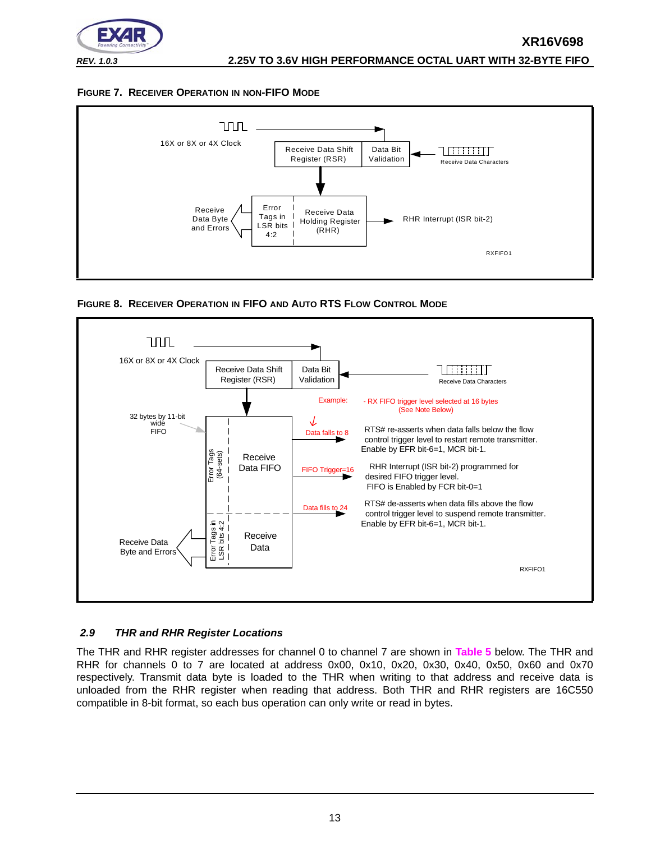

#### <span id="page-12-0"></span>**FIGURE 7. RECEIVER OPERATION IN NON-FIFO MODE**



<span id="page-12-1"></span>**FIGURE 8. RECEIVER OPERATION IN FIFO AND AUTO RTS FLOW CONTROL MODE**



#### <span id="page-12-2"></span>*2.9 THR and RHR Register Locations*

The THR and RHR register addresses for channel 0 to channel 7 are shown in **[Table](#page-13-0) 5** below. The THR and RHR for channels 0 to 7 are located at address 0x00, 0x10, 0x20, 0x30, 0x40, 0x50, 0x60 and 0x70 respectively. Transmit data byte is loaded to the THR when writing to that address and receive data is unloaded from the RHR register when reading that address. Both THR and RHR registers are 16C550 compatible in 8-bit format, so each bus operation can only write or read in bytes.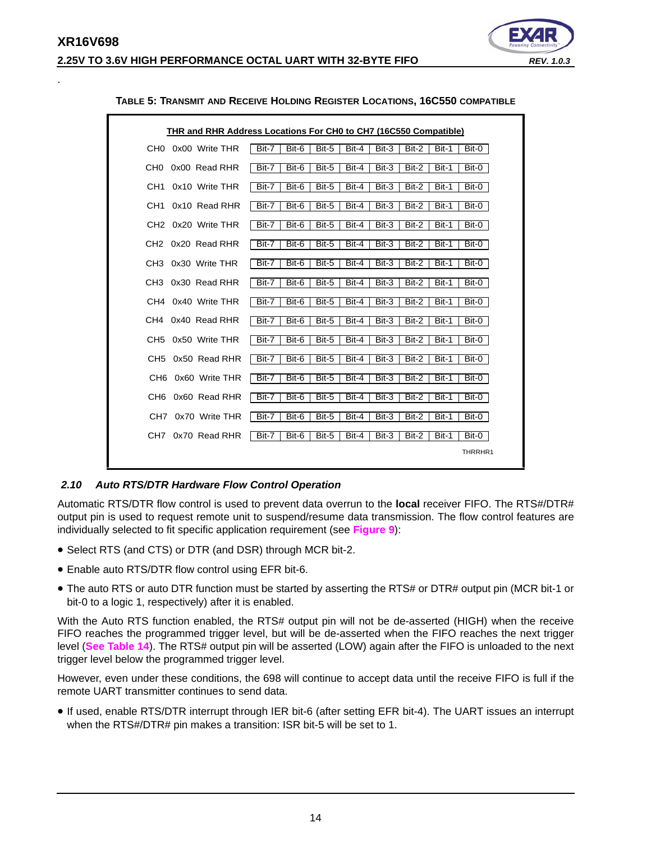<span id="page-13-0"></span>.

#### **2.25V TO 3.6V HIGH PERFORMANCE OCTAL UART WITH 32-BYTE FIFO** *REV. 1.0.3*



|                                  | THR and RHR Address Locations For CH0 to CH7 (16C550 Compatible)       |
|----------------------------------|------------------------------------------------------------------------|
| CHO 0x00 Write THR               | Bit-7<br>Bit-6<br>Bit-5<br>Bit-4<br>Bit-3<br>Bit-2<br>Bit-1<br>Bit-0   |
| 0x00 Read RHR<br>CH0             | Bit-7<br>Bit-6<br>Bit-5<br>Bit-4<br>Bit-3<br>Bit-2<br>Bit-1<br>Bit-0   |
| 0x10 Write THR<br>CH1            | Bit-7<br>Bit-6<br>Bit-4<br>Bit-1<br>Bit-5<br>Bit-3<br>Bit-2<br>Bit-0   |
| CH <sub>1</sub><br>0x10 Read RHR | Bit-5<br>Bit-4<br>Bit-3<br>Bit-1<br>Bit-0<br>Bit-7<br>Bit-6<br>Bit-2   |
| CH <sub>2</sub> 0x20 Write THR   | Bit-3<br>Bit-1<br>Bit-7<br>Bit-6<br>Bit-5<br>Bit-4<br>Bit-2<br>Bit-0   |
| CH <sub>2</sub> 0x20 Read RHR    | Bit-7<br>Bit-6<br>Bit-5<br>Bit-4<br>Bit-3<br>Bit-2<br>Bit-1<br>Bit-0   |
| CH3 0x30 Write THR               | Bit-7<br>Bit-6<br>Bit-5<br>Bit-3<br>Bit-2<br>Bit-1<br>Bit-0<br>Bit-4   |
| CH3 0x30 Read RHR                | Bit-5<br>Bit-1<br>$Bit-0$<br>Bit-7<br>Bit-6<br>Bit-4<br>Bit-3<br>Bit-2 |
| CH4 0x40 Write THR               | Bit-7<br>Bit-6<br>Bit-5<br>Bit-4<br>Bit-3<br>Bit-2<br>Bit-1<br>Bit-0   |
| CH4 0x40 Read RHR                | Bit-7<br>Bit-6<br>Bit-5<br>Bit-4<br>Bit-3<br>Bit-2<br>Bit-1<br>Bit-0   |
| CH5 0x50 Write THR               | Bit-7<br>Bit-6<br>Bit-5<br>Bit-4<br>Bit-3<br>Bit-2<br>Bit-1<br>Bit-0   |
| CH5 0x50 Read RHR                | Bit-3<br>Bit-1<br>Bit-7<br>Bit-6<br>Bit-5<br>Bit-4<br>Bit-2<br>Bit-0   |
| 0x60 Write THR<br>CH6            | Bit 7<br>Bit-6<br>Bit-5<br>Bit-4<br>Bit-3<br>Bit-2<br>Bit-1<br>Bit-0   |
| CH6<br>0x60 Read RHR             | Bit-7<br>Bit-6<br>Bit-5<br>Bit-4<br>Bit-3<br>Bit-2<br>Bit-1<br>Bit-0   |
| CH7<br>0x70 Write THR            | Bit-7<br>Bit-6<br>Bit-5<br>Bit-4<br>Bit-3<br>Bit-2<br>Bit-1<br>Bit-0   |
| 0x70 Read RHR<br>CH7             | Bit-6<br>Bit-5<br>Bit-4<br>Bit-1<br>Bit-7<br>Bit-3<br>Bit-2<br>Bit-0   |
|                                  | THRRHR1                                                                |

#### **TABLE 5: TRANSMIT AND RECEIVE HOLDING REGISTER LOCATIONS, 16C550 COMPATIBLE**

#### <span id="page-13-1"></span>*2.10 Auto RTS/DTR Hardware Flow Control Operation*

Automatic RTS/DTR flow control is used to prevent data overrun to the **local** receiver FIFO. The RTS#/DTR# output pin is used to request remote unit to suspend/resume data transmission. The flow control features are individually selected to fit specific application requirement (see **[Figure](#page-15-0) 9**):

- Select RTS (and CTS) or DTR (and DSR) through MCR bit-2.
- Enable auto RTS/DTR flow control using EFR bit-6.
- The auto RTS or auto DTR function must be started by asserting the RTS# or DTR# output pin (MCR bit-1 or bit-0 to a logic 1, respectively) after it is enabled.

With the Auto RTS function enabled, the RTS# output pin will not be de-asserted (HIGH) when the receive FIFO reaches the programmed trigger level, but will be de-asserted when the FIFO reaches the next trigger level (**[See Table](#page-35-0) 14**). The RTS# output pin will be asserted (LOW) again after the FIFO is unloaded to the next trigger level below the programmed trigger level.

However, even under these conditions, the 698 will continue to accept data until the receive FIFO is full if the remote UART transmitter continues to send data.

• If used, enable RTS/DTR interrupt through IER bit-6 (after setting EFR bit-4). The UART issues an interrupt when the RTS#/DTR# pin makes a transition: ISR bit-5 will be set to 1.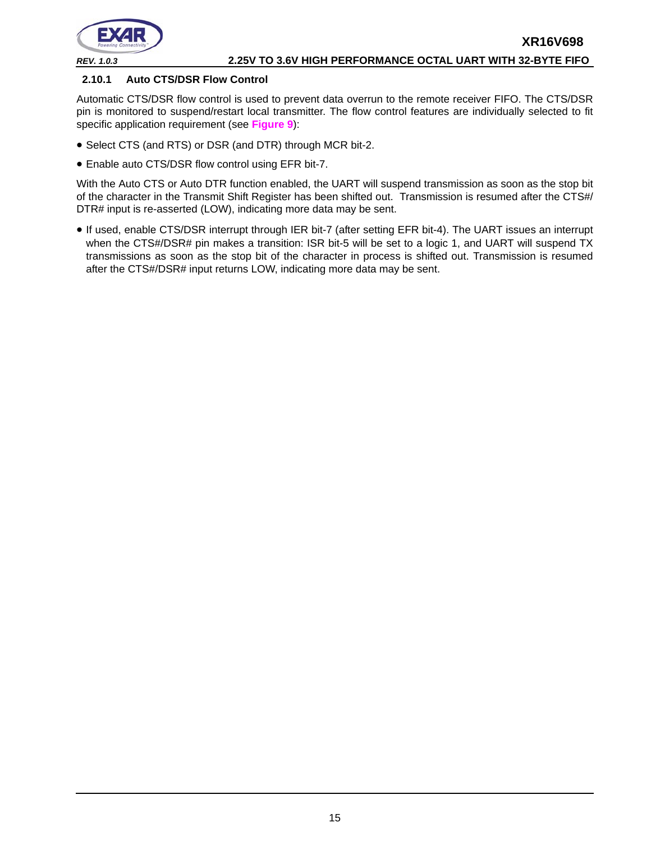

#### <span id="page-14-0"></span>**2.10.1 Auto CTS/DSR Flow Control**

Automatic CTS/DSR flow control is used to prevent data overrun to the remote receiver FIFO. The CTS/DSR pin is monitored to suspend/restart local transmitter. The flow control features are individually selected to fit specific application requirement (see **[Figure](#page-15-0) 9**):

- Select CTS (and RTS) or DSR (and DTR) through MCR bit-2.
- Enable auto CTS/DSR flow control using EFR bit-7.

With the Auto CTS or Auto DTR function enabled, the UART will suspend transmission as soon as the stop bit of the character in the Transmit Shift Register has been shifted out. Transmission is resumed after the CTS#/ DTR# input is re-asserted (LOW), indicating more data may be sent.

• If used, enable CTS/DSR interrupt through IER bit-7 (after setting EFR bit-4). The UART issues an interrupt when the CTS#/DSR# pin makes a transition: ISR bit-5 will be set to a logic 1, and UART will suspend TX transmissions as soon as the stop bit of the character in process is shifted out. Transmission is resumed after the CTS#/DSR# input returns LOW, indicating more data may be sent.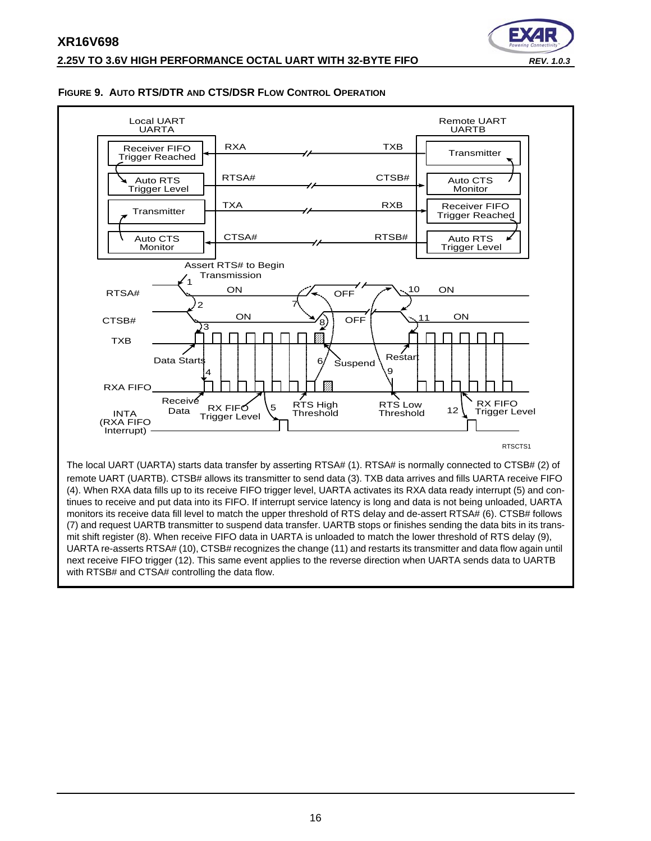# **XR16V698 2.25V TO 3.6V HIGH PERFORMANCE OCTAL UART WITH 32-BYTE FIFO** *REV. 1.0.3*



#### <span id="page-15-0"></span>**FIGURE 9. AUTO RTS/DTR AND CTS/DSR FLOW CONTROL OPERATION**

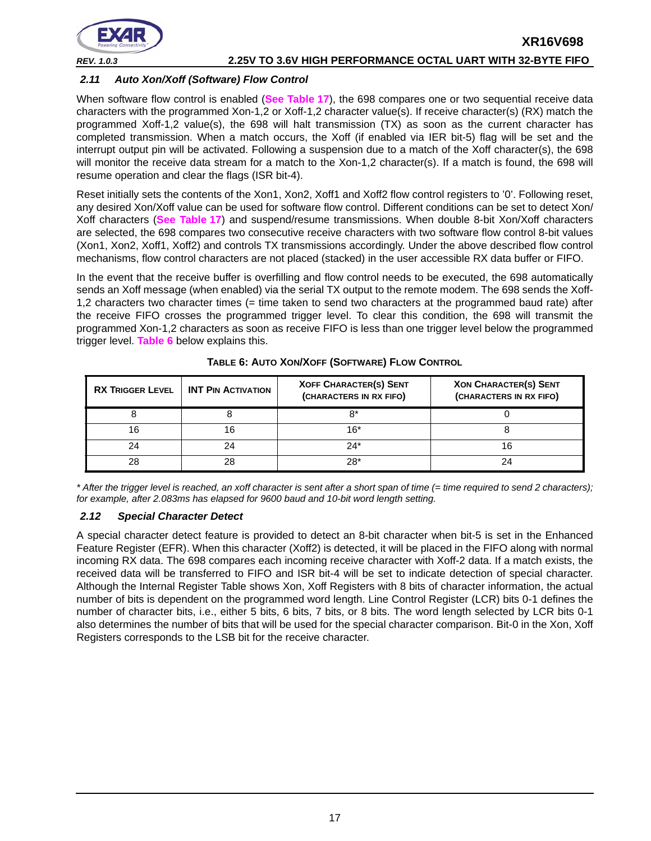

#### <span id="page-16-1"></span>*2.11 Auto Xon/Xoff (Software) Flow Control*

When software flow control is enabled (**[See Table](#page-44-0) 17**), the 698 compares one or two sequential receive data characters with the programmed Xon-1,2 or Xoff-1,2 character value(s). If receive character(s) (RX) match the programmed Xoff-1,2 value(s), the 698 will halt transmission (TX) as soon as the current character has completed transmission. When a match occurs, the Xoff (if enabled via IER bit-5) flag will be set and the interrupt output pin will be activated. Following a suspension due to a match of the Xoff character(s), the 698 will monitor the receive data stream for a match to the Xon-1,2 character(s). If a match is found, the 698 will resume operation and clear the flags (ISR bit-4).

Reset initially sets the contents of the Xon1, Xon2, Xoff1 and Xoff2 flow control registers to '0'. Following reset, any desired Xon/Xoff value can be used for software flow control. Different conditions can be set to detect Xon/ Xoff characters (**[See Table](#page-44-0) 17**) and suspend/resume transmissions. When double 8-bit Xon/Xoff characters are selected, the 698 compares two consecutive receive characters with two software flow control 8-bit values (Xon1, Xon2, Xoff1, Xoff2) and controls TX transmissions accordingly. Under the above described flow control mechanisms, flow control characters are not placed (stacked) in the user accessible RX data buffer or FIFO.

In the event that the receive buffer is overfilling and flow control needs to be executed, the 698 automatically sends an Xoff message (when enabled) via the serial TX output to the remote modem. The 698 sends the Xoff-1,2 characters two character times (= time taken to send two characters at the programmed baud rate) after the receive FIFO crosses the programmed trigger level. To clear this condition, the 698 will transmit the programmed Xon-1,2 characters as soon as receive FIFO is less than one trigger level below the programmed trigger level. **[Table](#page-16-0) 6** below explains this.

<span id="page-16-0"></span>

| <b>RX TRIGGER LEVEL</b> | <b>INT PIN ACTIVATION</b> | <b>XOFF CHARACTER(S) SENT</b><br>(CHARACTERS IN RX FIFO) | <b>XON CHARACTER(S) SENT</b><br>(CHARACTERS IN RX FIFO) |
|-------------------------|---------------------------|----------------------------------------------------------|---------------------------------------------------------|
|                         |                           | 8*                                                       |                                                         |
| 16                      | 16                        | $16*$                                                    |                                                         |
| 24                      |                           | $24*$                                                    |                                                         |
| 28                      | 28                        | $28*$                                                    |                                                         |

#### **TABLE 6: AUTO XON/XOFF (SOFTWARE) FLOW CONTROL**

*\* After the trigger level is reached, an xoff character is sent after a short span of time (= time required to send 2 characters); for example, after 2.083ms has elapsed for 9600 baud and 10-bit word length setting.*

#### <span id="page-16-2"></span>*2.12 Special Character Detect*

A special character detect feature is provided to detect an 8-bit character when bit-5 is set in the Enhanced Feature Register (EFR). When this character (Xoff2) is detected, it will be placed in the FIFO along with normal incoming RX data. The 698 compares each incoming receive character with Xoff-2 data. If a match exists, the received data will be transferred to FIFO and ISR bit-4 will be set to indicate detection of special character. Although the Internal Register Table shows Xon, Xoff Registers with 8 bits of character information, the actual number of bits is dependent on the programmed word length. Line Control Register (LCR) bits 0-1 defines the number of character bits, i.e., either 5 bits, 6 bits, 7 bits, or 8 bits. The word length selected by LCR bits 0-1 also determines the number of bits that will be used for the special character comparison. Bit-0 in the Xon, Xoff Registers corresponds to the LSB bit for the receive character.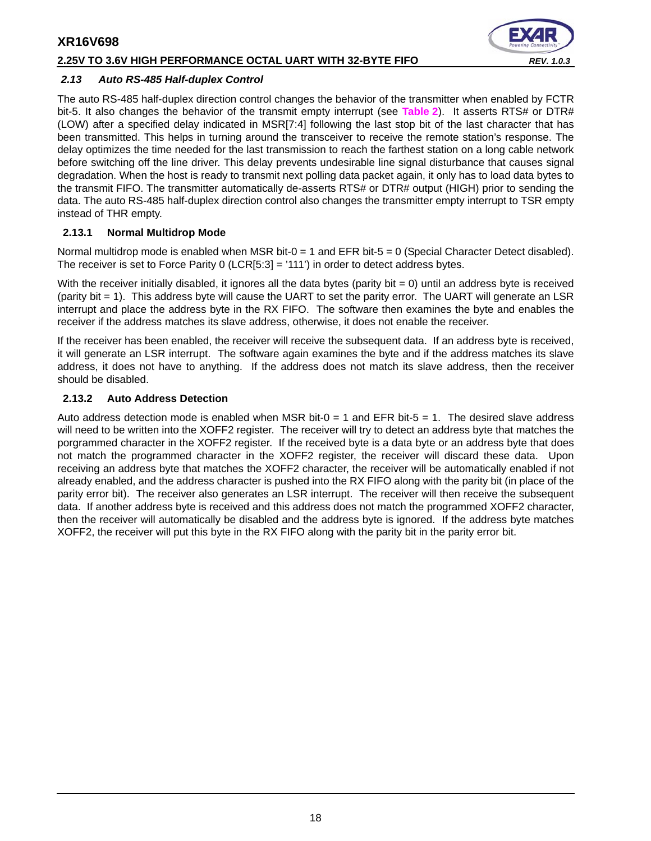#### **2.25V TO 3.6V HIGH PERFORMANCE OCTAL UART WITH 32-BYTE FIFO** *REV. 1.0.3*



#### <span id="page-17-0"></span>*2.13 Auto RS-485 Half-duplex Control*

The auto RS-485 half-duplex direction control changes the behavior of the transmitter when enabled by FCTR bit-5. It also changes the behavior of the transmit empty interrupt (see **[Table](#page-7-1) 2**). It asserts RTS# or DTR# (LOW) after a specified delay indicated in MSR[7:4] following the last stop bit of the last character that has been transmitted. This helps in turning around the transceiver to receive the remote station's response. The delay optimizes the time needed for the last transmission to reach the farthest station on a long cable network before switching off the line driver. This delay prevents undesirable line signal disturbance that causes signal degradation. When the host is ready to transmit next polling data packet again, it only has to load data bytes to the transmit FIFO. The transmitter automatically de-asserts RTS# or DTR# output (HIGH) prior to sending the data. The auto RS-485 half-duplex direction control also changes the transmitter empty interrupt to TSR empty instead of THR empty.

#### <span id="page-17-1"></span>**2.13.1 Normal Multidrop Mode**

Normal multidrop mode is enabled when MSR bit-0 = 1 and EFR bit-5 = 0 (Special Character Detect disabled). The receiver is set to Force Parity 0 (LCR[5:3] = '111') in order to detect address bytes.

With the receiver initially disabled, it ignores all the data bytes (parity bit  $= 0$ ) until an address byte is received (parity bit = 1). This address byte will cause the UART to set the parity error. The UART will generate an LSR interrupt and place the address byte in the RX FIFO. The software then examines the byte and enables the receiver if the address matches its slave address, otherwise, it does not enable the receiver.

If the receiver has been enabled, the receiver will receive the subsequent data. If an address byte is received, it will generate an LSR interrupt. The software again examines the byte and if the address matches its slave address, it does not have to anything. If the address does not match its slave address, then the receiver should be disabled.

#### <span id="page-17-2"></span>**2.13.2 Auto Address Detection**

Auto address detection mode is enabled when MSR bit-0 = 1 and EFR bit-5 = 1. The desired slave address will need to be written into the XOFF2 register. The receiver will try to detect an address byte that matches the porgrammed character in the XOFF2 register. If the received byte is a data byte or an address byte that does not match the programmed character in the XOFF2 register, the receiver will discard these data. Upon receiving an address byte that matches the XOFF2 character, the receiver will be automatically enabled if not already enabled, and the address character is pushed into the RX FIFO along with the parity bit (in place of the parity error bit). The receiver also generates an LSR interrupt. The receiver will then receive the subsequent data. If another address byte is received and this address does not match the programmed XOFF2 character, then the receiver will automatically be disabled and the address byte is ignored. If the address byte matches XOFF2, the receiver will put this byte in the RX FIFO along with the parity bit in the parity error bit.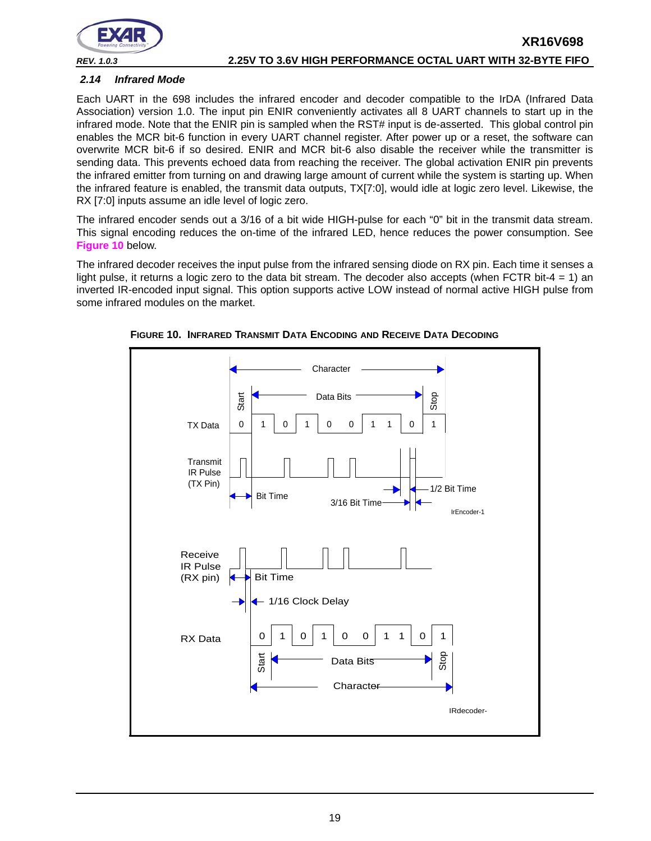

**XR16V698**

## <span id="page-18-1"></span>*2.14 Infrared Mode*

Each UART in the 698 includes the infrared encoder and decoder compatible to the IrDA (Infrared Data Association) version 1.0. The input pin ENIR conveniently activates all 8 UART channels to start up in the infrared mode. Note that the ENIR pin is sampled when the RST# input is de-asserted. This global control pin enables the MCR bit-6 function in every UART channel register. After power up or a reset, the software can overwrite MCR bit-6 if so desired. ENIR and MCR bit-6 also disable the receiver while the transmitter is sending data. This prevents echoed data from reaching the receiver. The global activation ENIR pin prevents the infrared emitter from turning on and drawing large amount of current while the system is starting up. When the infrared feature is enabled, the transmit data outputs, TX[7:0], would idle at logic zero level. Likewise, the RX [7:0] inputs assume an idle level of logic zero.

The infrared encoder sends out a 3/16 of a bit wide HIGH-pulse for each "0" bit in the transmit data stream. This signal encoding reduces the on-time of the infrared LED, hence reduces the power consumption. See **[Figure](#page-18-0) 10** below.

The infrared decoder receives the input pulse from the infrared sensing diode on RX pin. Each time it senses a light pulse, it returns a logic zero to the data bit stream. The decoder also accepts (when FCTR bit-4 = 1) an inverted IR-encoded input signal. This option supports active LOW instead of normal active HIGH pulse from some infrared modules on the market.



<span id="page-18-0"></span>**FIGURE 10. INFRARED TRANSMIT DATA ENCODING AND RECEIVE DATA DECODING**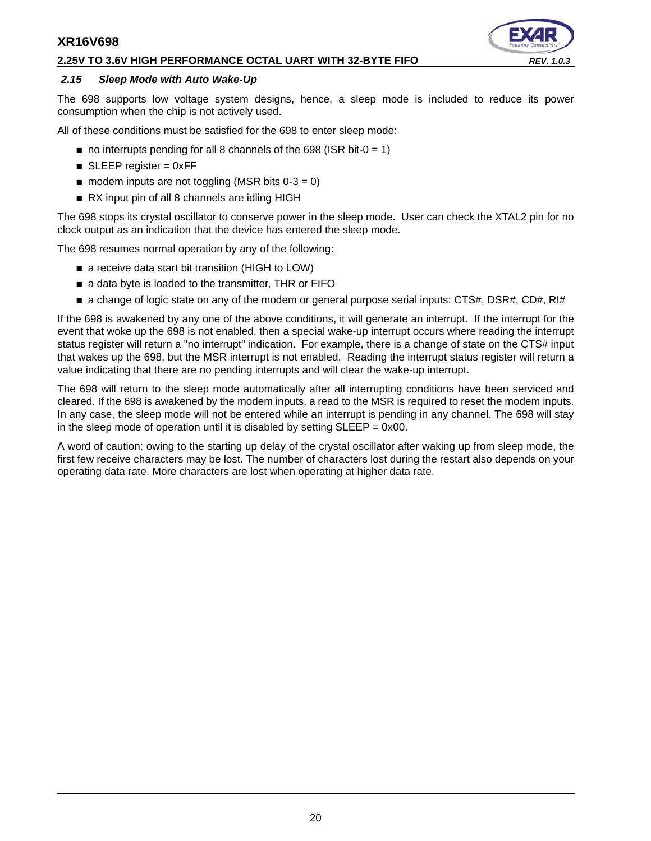#### **2.25V TO 3.6V HIGH PERFORMANCE OCTAL UART WITH 32-BYTE FIFO** *REV. 1.0.3*



#### <span id="page-19-0"></span>*2.15 Sleep Mode with Auto Wake-Up*

The 698 supports low voltage system designs, hence, a sleep mode is included to reduce its power consumption when the chip is not actively used.

All of these conditions must be satisfied for the 698 to enter sleep mode:

- $\blacksquare$  no interrupts pending for all 8 channels of the 698 (ISR bit-0 = 1)
- $\blacksquare$  SLEEP register = 0xFF
- $\blacksquare$  modem inputs are not toggling (MSR bits 0-3 = 0)
- RX input pin of all 8 channels are idling HIGH

The 698 stops its crystal oscillator to conserve power in the sleep mode. User can check the XTAL2 pin for no clock output as an indication that the device has entered the sleep mode.

The 698 resumes normal operation by any of the following:

- a receive data start bit transition (HIGH to LOW)
- a data byte is loaded to the transmitter, THR or FIFO
- a change of logic state on any of the modem or general purpose serial inputs: CTS#, DSR#, CD#, RI#

If the 698 is awakened by any one of the above conditions, it will generate an interrupt. If the interrupt for the event that woke up the 698 is not enabled, then a special wake-up interrupt occurs where reading the interrupt status register will return a "no interrupt" indication. For example, there is a change of state on the CTS# input that wakes up the 698, but the MSR interrupt is not enabled. Reading the interrupt status register will return a value indicating that there are no pending interrupts and will clear the wake-up interrupt.

The 698 will return to the sleep mode automatically after all interrupting conditions have been serviced and cleared. If the 698 is awakened by the modem inputs, a read to the MSR is required to reset the modem inputs. In any case, the sleep mode will not be entered while an interrupt is pending in any channel. The 698 will stay in the sleep mode of operation until it is disabled by setting  $SLEEP = 0x00$ .

A word of caution: owing to the starting up delay of the crystal oscillator after waking up from sleep mode, the first few receive characters may be lost. The number of characters lost during the restart also depends on your operating data rate. More characters are lost when operating at higher data rate.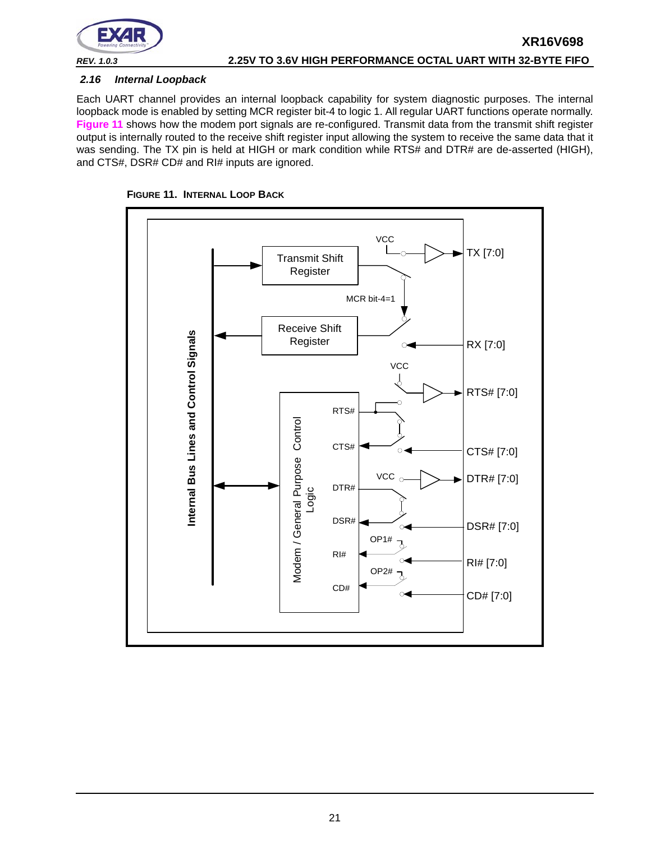

#### <span id="page-20-1"></span>*2.16 Internal Loopback*

Each UART channel provides an internal loopback capability for system diagnostic purposes. The internal loopback mode is enabled by setting MCR register bit-4 to logic 1. All regular UART functions operate normally. **[Figure](#page-20-0) 11** shows how the modem port signals are re-configured. Transmit data from the transmit shift register output is internally routed to the receive shift register input allowing the system to receive the same data that it was sending. The TX pin is held at HIGH or mark condition while RTS# and DTR# are de-asserted (HIGH), and CTS#, DSR# CD# and RI# inputs are ignored.

<span id="page-20-0"></span>

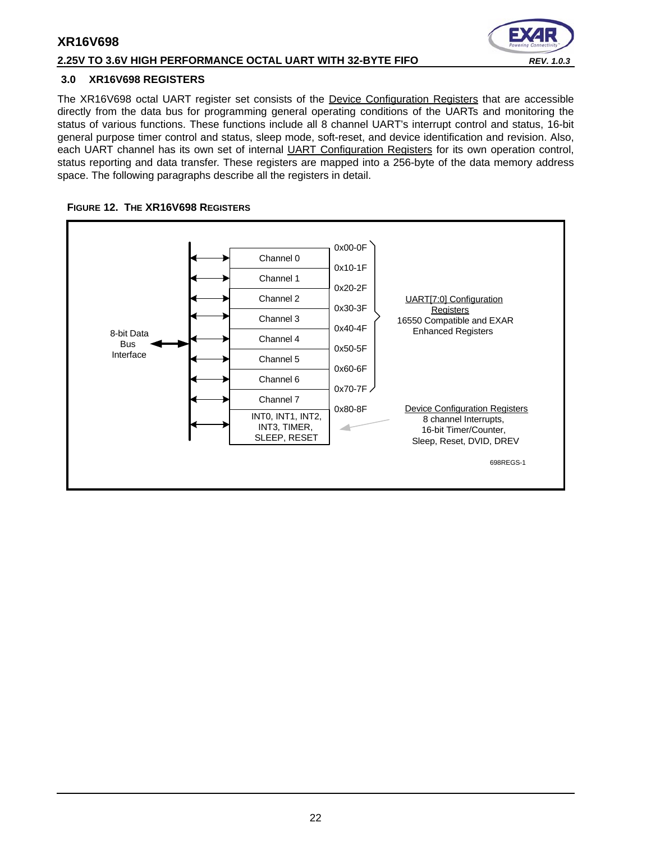#### **2.25V TO 3.6V HIGH PERFORMANCE OCTAL UART WITH 32-BYTE FIFO** *REV. 1.0.3*

#### <span id="page-21-1"></span>**3.0 XR16V698 REGISTERS**

The XR16V698 octal UART register set consists of the Device Configuration Registers that are accessible directly from the data bus for programming general operating conditions of the UARTs and monitoring the status of various functions. These functions include all 8 channel UART's interrupt control and status, 16-bit general purpose timer control and status, sleep mode, soft-reset, and device identification and revision. Also, each UART channel has its own set of internal UART Configuration Registers for its own operation control, status reporting and data transfer. These registers are mapped into a 256-byte of the data memory address space. The following paragraphs describe all the registers in detail.

<span id="page-21-0"></span>![](_page_21_Figure_5.jpeg)

![](_page_21_Figure_6.jpeg)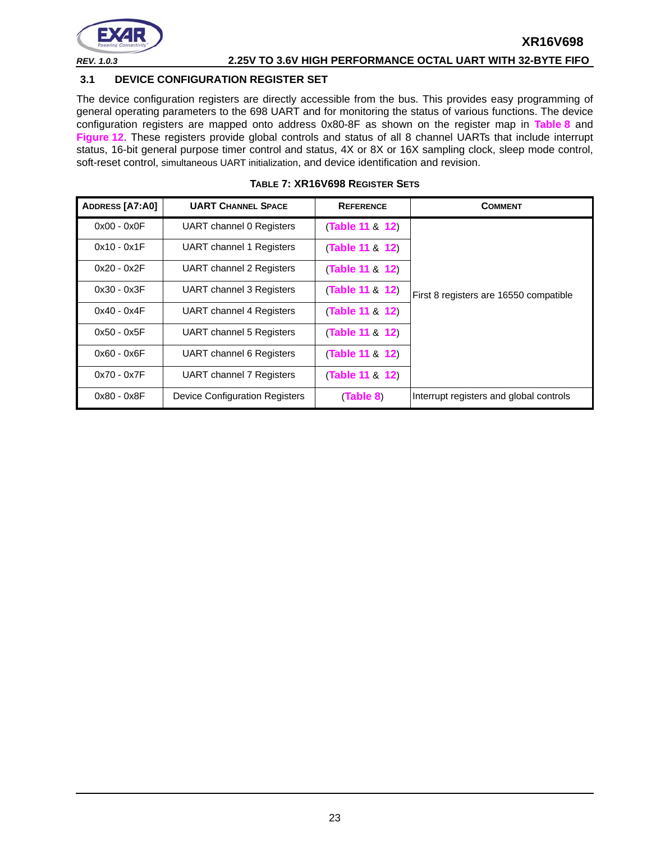![](_page_22_Picture_0.jpeg)

#### <span id="page-22-0"></span>**3.1 DEVICE CONFIGURATION REGISTER SET**

The device configuration registers are directly accessible from the bus. This provides easy programming of general operating parameters to the 698 UART and for monitoring the status of various functions. The device configuration registers are mapped onto address 0x80-8F as shown on the register map in **[Table](#page-23-0) 8** and **[Figure](#page-21-0) 12**. These registers provide global controls and status of all 8 channel UARTs that include interrupt status, 16-bit general purpose timer control and status, 4X or 8X or 16X sampling clock, sleep mode control, soft-reset control, simultaneous UART initialization, and device identification and revision.

<span id="page-22-1"></span>

| <b>ADDRESS [A7:A0]</b> | <b>UART CHANNEL SPACE</b>       | <b>REFERENCE</b> | <b>COMMENT</b>                          |
|------------------------|---------------------------------|------------------|-----------------------------------------|
| $0x00 - 0x0F$          | UART channel 0 Registers        | (Table 11 & 12)  |                                         |
| $0x10 - 0x1F$          | UART channel 1 Registers        | (Table 11 & 12)  |                                         |
| $0x20 - 0x2F$          | <b>UART</b> channel 2 Registers | (Table 11 & 12)  |                                         |
| $0x30 - 0x3F$          | UART channel 3 Registers        | (Table 11 & 12)  | First 8 registers are 16550 compatible  |
| $0x40 - 0x4F$          | <b>UART</b> channel 4 Registers | (Table 11 & 12)  |                                         |
| $0x50 - 0x5F$          | <b>UART</b> channel 5 Registers | (Table 11 & 12)  |                                         |
| $0x60 - 0x6F$          | <b>UART</b> channel 6 Registers | (Table 11 & 12)  |                                         |
| $0x70 - 0x7F$          | UART channel 7 Registers        | (Table 11 & 12)  |                                         |
| $0x80 - 0x8F$          | Device Configuration Registers  | (Table 8)        | Interrupt registers and global controls |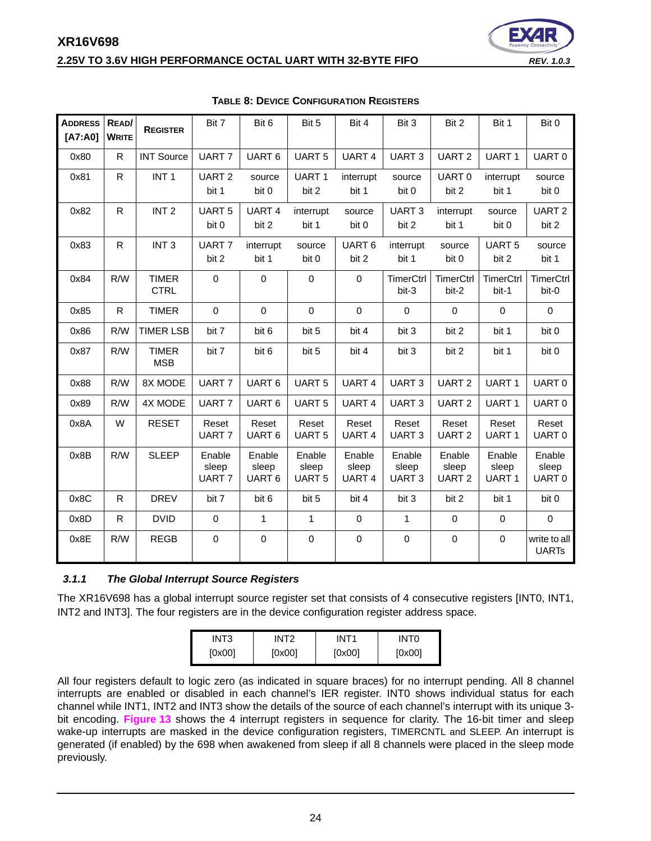#### **2.25V TO 3.6V HIGH PERFORMANCE OCTAL UART WITH 32-BYTE FIFO** *REV. 1.0.3*

![](_page_23_Picture_2.jpeg)

<span id="page-23-0"></span>

| <b>ADDRESS READ/</b><br>[A7:A0] | <b>WRITE</b> | <b>REGISTER</b>             | Bit 7                                | Bit 6                                | Bit 5                           | Bit 4                                | Bit 3                           | Bit 2                           | Bit 1                                | Bit 0                        |
|---------------------------------|--------------|-----------------------------|--------------------------------------|--------------------------------------|---------------------------------|--------------------------------------|---------------------------------|---------------------------------|--------------------------------------|------------------------------|
| 0x80                            | R            | <b>INT Source</b>           | <b>UART7</b>                         | UART <sub>6</sub>                    | <b>UART 5</b>                   | UART <sub>4</sub>                    | UART <sub>3</sub>               | <b>UART2</b>                    | UART <sub>1</sub>                    | UART 0                       |
| 0x81                            | R            | INT <sub>1</sub>            | UART <sub>2</sub><br>bit 1           | source<br>bit 0                      | UART <sub>1</sub><br>bit 2      | interrupt<br>bit 1                   | source<br>bit 0                 | UART <sub>0</sub><br>bit 2      | interrupt<br>bit 1                   | source<br>bit 0              |
| 0x82                            | R            | INT <sub>2</sub>            | UART <sub>5</sub><br>bit 0           | <b>UART4</b><br>bit 2                | interrupt<br>bit 1              | source<br>bit 0                      | <b>UART3</b><br>bit 2           | interrupt<br>bit 1              | source<br>bit 0                      | UART <sub>2</sub><br>bit 2   |
| 0x83                            | $\mathsf{R}$ | INT <sub>3</sub>            | UART <sub>7</sub><br>bit 2           | interrupt<br>bit 1                   | source<br>bit 0                 | UART <sub>6</sub><br>bit 2           | interrupt<br>bit 1              | source<br>bit 0                 | UART <sub>5</sub><br>bit 2           | source<br>bit 1              |
| 0x84                            | R/W          | <b>TIMER</b><br><b>CTRL</b> | $\mathbf 0$                          | $\mathbf 0$                          | $\mathbf 0$                     | $\mathbf 0$                          | TimerCtrl<br>bit-3              | <b>TimerCtrl</b><br>bit-2       | <b>TimerCtrl</b><br>bit-1            | TimerCtrl<br>bit-0           |
| 0x85                            | $\mathsf{R}$ | <b>TIMER</b>                | $\mathbf 0$                          | $\mathbf 0$                          | $\mathbf 0$                     | $\mathbf 0$                          | $\mathbf 0$                     | $\mathbf 0$                     | $\mathbf 0$                          | $\mathbf 0$                  |
| 0x86                            | R/W          | <b>TIMER LSB</b>            | bit 7                                | bit 6                                | bit 5                           | bit 4                                | bit 3                           | bit 2                           | bit 1                                | bit 0                        |
| 0x87                            | R/W          | <b>TIMER</b><br><b>MSB</b>  | bit 7                                | bit 6                                | bit 5                           | bit 4                                | bit 3                           | bit 2                           | bit 1                                | bit 0                        |
| 0x88                            | R/W          | 8X MODE                     | <b>UART7</b>                         | UART <sub>6</sub>                    | <b>UART 5</b>                   | <b>UART4</b>                         | <b>UART3</b>                    | <b>UART2</b>                    | <b>UART1</b>                         | UART <sub>0</sub>            |
| 0x89                            | R/W          | 4X MODE                     | UART <sub>7</sub>                    | UART <sub>6</sub>                    | <b>UART 5</b>                   | UART <sub>4</sub>                    | UART <sub>3</sub>               | UART <sub>2</sub>               | UART <sub>1</sub>                    | UART <sub>0</sub>            |
| 0x8A                            | W            | <b>RESET</b>                | Reset<br>UART <sub>7</sub>           | Reset<br><b>UART6</b>                | Reset<br><b>UART 5</b>          | Reset<br>UART <sub>4</sub>           | Reset<br><b>UART3</b>           | Reset<br><b>UART2</b>           | Reset<br>UART <sub>1</sub>           | Reset<br>UART <sub>0</sub>   |
| 0x8B                            | R/W          | <b>SLEEP</b>                | Enable<br>sleep<br>UART <sub>7</sub> | Enable<br>sleep<br>UART <sub>6</sub> | Enable<br>sleep<br><b>UART5</b> | Enable<br>sleep<br>UART <sub>4</sub> | Enable<br>sleep<br><b>UART3</b> | Enable<br>sleep<br><b>UART2</b> | Enable<br>sleep<br>UART <sub>1</sub> | Enable<br>sleep<br>UART0     |
| 0x8C                            | $\mathsf{R}$ | <b>DREV</b>                 | bit 7                                | bit 6                                | bit 5                           | bit 4                                | bit 3                           | bit 2                           | bit 1                                | bit 0                        |
| 0x8D                            | R            | <b>DVID</b>                 | $\mathbf 0$                          | $\mathbf{1}$                         | $\mathbf{1}$                    | $\mathbf 0$                          | 1                               | $\mathbf 0$                     | $\boldsymbol{0}$                     | $\mathbf 0$                  |
| 0x8E                            | R/W          | <b>REGB</b>                 | $\mathbf 0$                          | $\pmb{0}$                            | $\pmb{0}$                       | $\pmb{0}$                            | $\pmb{0}$                       | $\mathbf 0$                     | 0                                    | write to all<br><b>UARTs</b> |

#### **TABLE 8: DEVICE CONFIGURATION REGISTERS**

#### <span id="page-23-1"></span>*3.1.1 The Global Interrupt Source Registers*

The XR16V698 has a global interrupt source register set that consists of 4 consecutive registers [INT0, INT1, INT2 and INT3]. The four registers are in the device configuration register address space.

| INT3   | INT2   | INT1   | INT0   |
|--------|--------|--------|--------|
| [0x00] | [0x00] | [0x00] | [0x00] |

All four registers default to logic zero (as indicated in square braces) for no interrupt pending. All 8 channel interrupts are enabled or disabled in each channel's IER register. INT0 shows individual status for each channel while INT1, INT2 and INT3 show the details of the source of each channel's interrupt with its unique 3 bit encoding. **[Figure](#page-24-0) 13** shows the 4 interrupt registers in sequence for clarity. The 16-bit timer and sleep wake-up interrupts are masked in the device configuration registers, TIMERCNTL and SLEEP. An interrupt is generated (if enabled) by the 698 when awakened from sleep if all 8 channels were placed in the sleep mode previously.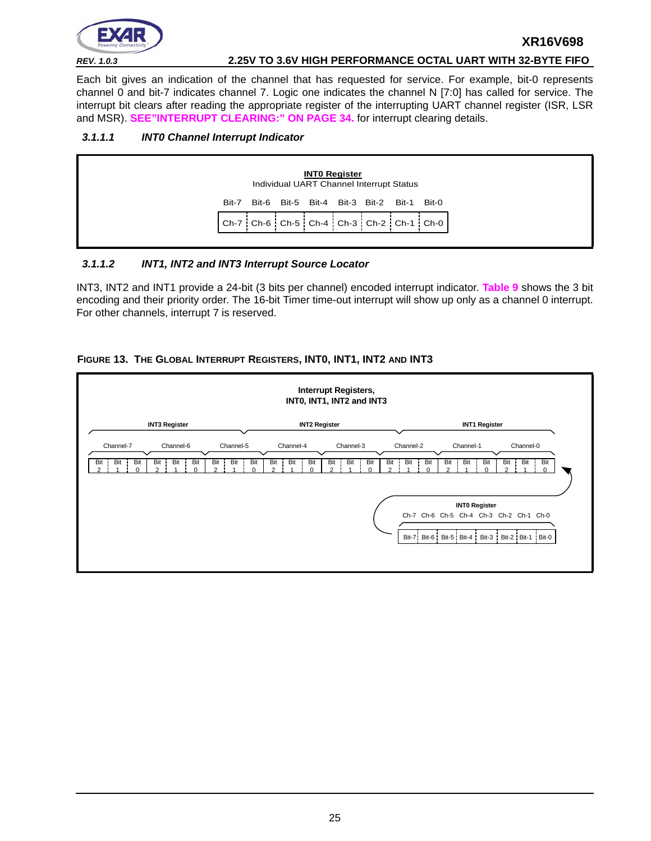![](_page_24_Picture_0.jpeg)

Each bit gives an indication of the channel that has requested for service. For example, bit-0 represents channel 0 and bit-7 indicates channel 7. Logic one indicates the channel N [7:0] has called for service. The interrupt bit clears after reading the appropriate register of the interrupting UART channel register (ISR, LSR and MSR). **[SEE"INTERRUPT CLEARING:" ON PAGE](#page-33-0) 34.** for interrupt clearing details.

#### <span id="page-24-1"></span>*3.1.1.1 INT0 Channel Interrupt Indicator*

|       |       | <b>INTO Register</b><br>Individual UART Channel Interrupt Status |  |       |       |
|-------|-------|------------------------------------------------------------------|--|-------|-------|
| Bit-7 | Bit-6 | Bit-5 Bit-4 Bit-3 Bit-2                                          |  | Bit-1 | Bit-0 |
|       |       | Ch-7   Ch-6   Ch-5   Ch-4   Ch-3   Ch-2   Ch-1   Ch-0            |  |       |       |

#### <span id="page-24-2"></span>*3.1.1.2 INT1, INT2 and INT3 Interrupt Source Locator*

INT3, INT2 and INT1 provide a 24-bit (3 bits per channel) encoded interrupt indicator. **[Table](#page-25-0) 9** shows the 3 bit encoding and their priority order. The 16-bit Timer time-out interrupt will show up only as a channel 0 interrupt. For other channels, interrupt 7 is reserved.

#### <span id="page-24-0"></span>**FIGURE 13. THE GLOBAL INTERRUPT REGISTERS, INT0, INT1, INT2 AND INT3**

|                                                    |                                 |                                        |                                 | Interrupt Registers,<br>INTO, INT1, INT2 and INT3 |                                 |                                                                 |                                      |
|----------------------------------------------------|---------------------------------|----------------------------------------|---------------------------------|---------------------------------------------------|---------------------------------|-----------------------------------------------------------------|--------------------------------------|
|                                                    | <b>INT3 Register</b>            |                                        | <b>INT2 Register</b>            |                                                   |                                 | <b>INT1 Register</b>                                            |                                      |
| Channel-7                                          | Channel-6                       | Channel-5                              | Channel-4                       | Channel-3                                         | Channel-2                       | Channel-1                                                       | Channel-0                            |
| <b>Bit</b><br><b>Bit</b><br><b>Bit</b><br>$\Omega$ | <b>Bit</b><br><b>Bit</b><br>Bit | <b>Bit</b><br><b>Bit</b><br><b>Bit</b> | <b>Bit</b><br><b>Bit</b><br>Bit | <b>Bit</b><br>Bit<br>Bit<br>٠                     | Bit<br><b>Bit</b><br><b>Bit</b> | <b>Bit</b><br><b>Bit</b><br>Bit                                 | $Bit \frac{1}{2}$<br>Bit<br>Bit<br>U |
|                                                    |                                 |                                        |                                 |                                                   |                                 | <b>INTO Register</b><br>Ch-7 Ch-6 Ch-5 Ch-4 Ch-3 Ch-2 Ch-1 Ch-0 |                                      |
|                                                    |                                 |                                        |                                 |                                                   |                                 | Bit-7: Bit-6: Bit-5: Bit-4: Bit-3: Bit-2: Bit-1: Bit-0          |                                      |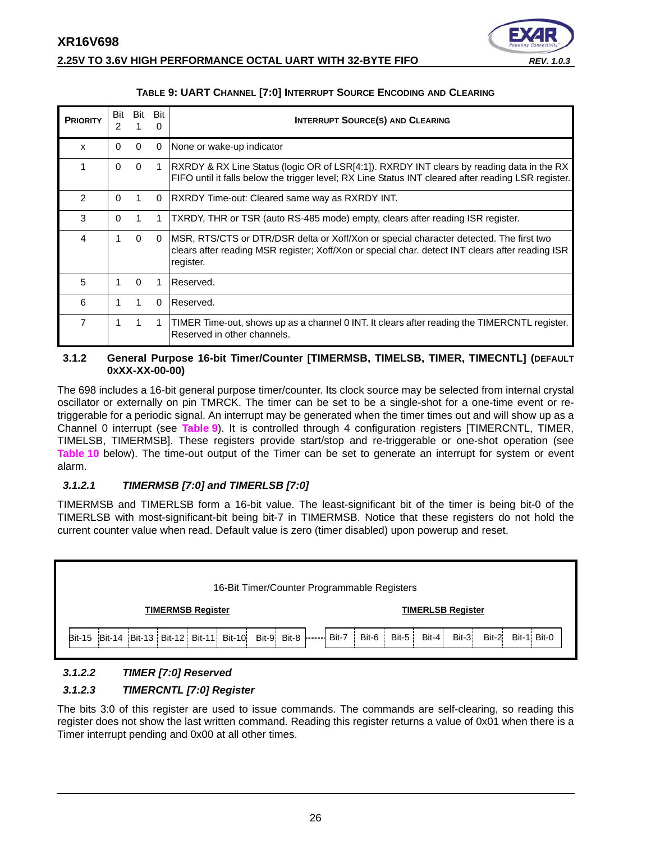![](_page_25_Picture_1.jpeg)

![](_page_25_Picture_2.jpeg)

#### **TABLE 9: UART CHANNEL [7:0] INTERRUPT SOURCE ENCODING AND CLEARING**

<span id="page-25-0"></span>

| <b>PRIORITY</b> | Bit<br>$\mathcal{P}$ | Bit      | Bit<br>0       | <b>INTERRUPT SOURCE(S) AND CLEARING</b>                                                                                                                                                                  |
|-----------------|----------------------|----------|----------------|----------------------------------------------------------------------------------------------------------------------------------------------------------------------------------------------------------|
| X               | 0                    | $\Omega$ | $\Omega$       | None or wake-up indicator                                                                                                                                                                                |
| 1               | $\Omega$             | $\Omega$ | $\overline{1}$ | JRXRDY & RX Line Status (logic OR of LSR[4:1]). RXRDY INT clears by reading data in the RX<br>FIFO until it falls below the trigger level; RX Line Status INT cleared after reading LSR register.        |
| $\mathcal{P}$   | $\Omega$             |          | $\Omega$       | <b>RXRDY Time-out: Cleared same way as RXRDY INT.</b>                                                                                                                                                    |
| 3               | $\Omega$             |          | 1              | TXRDY, THR or TSR (auto RS-485 mode) empty, clears after reading ISR register.                                                                                                                           |
| 4               |                      | $\Omega$ | $\Omega$       | IMSR, RTS/CTS or DTR/DSR delta or Xoff/Xon or special character detected. The first two<br>clears after reading MSR register; Xoff/Xon or special char. detect INT clears after reading ISR<br>register. |
| 5               |                      | $\Omega$ |                | Reserved.                                                                                                                                                                                                |
| 6               |                      | 1        | 0              | Reserved.                                                                                                                                                                                                |
| 7               |                      | 1        | $\overline{1}$ | TIMER Time-out, shows up as a channel 0 INT. It clears after reading the TIMERCNTL register.<br>Reserved in other channels.                                                                              |

#### <span id="page-25-1"></span>**3.1.2 General Purpose 16-bit Timer/Counter [TIMERMSB, TIMELSB, TIMER, TIMECNTL] (DEFAULT 0XXX-XX-00-00)**

The 698 includes a 16-bit general purpose timer/counter. Its clock source may be selected from internal crystal oscillator or externally on pin TMRCK. The timer can be set to be a single-shot for a one-time event or retriggerable for a periodic signal. An interrupt may be generated when the timer times out and will show up as a Channel 0 interrupt (see **[Table](#page-25-0) 9**). It is controlled through 4 configuration registers [TIMERCNTL, TIMER, TIMELSB, TIMERMSB]. These registers provide start/stop and re-triggerable or one-shot operation (see **[Table](#page-26-0) 10** below). The time-out output of the Timer can be set to generate an interrupt for system or event alarm.

#### <span id="page-25-2"></span>*3.1.2.1 TIMERMSB [7:0] and TIMERLSB [7:0]*

TIMERMSB and TIMERLSB form a 16-bit value. The least-significant bit of the timer is being bit-0 of the TIMERLSB with most-significant-bit being bit-7 in TIMERMSB. Notice that these registers do not hold the current counter value when read. Default value is zero (timer disabled) upon powerup and reset.

| 16-Bit Timer/Counter Programmable Registers                              |                                                                  |  |  |  |  |  |  |  |
|--------------------------------------------------------------------------|------------------------------------------------------------------|--|--|--|--|--|--|--|
| <b>TIMERMSB Register</b>                                                 | <b>TIMERLSB Register</b>                                         |  |  |  |  |  |  |  |
| Bit-15 Bit-14   Bit-13   Bit-12   Bit-11   Bit-10   Bit-9   Bit-8  ----- | Bit-3<br>  Bit-6   Bit-5   Bit-4  <br>Bit-2 Bit-1 Bit-0<br>Bit-7 |  |  |  |  |  |  |  |

#### <span id="page-25-3"></span>*3.1.2.2 TIMER [7:0] Reserved*

## <span id="page-25-4"></span>*3.1.2.3 TIMERCNTL [7:0] Register*

The bits 3:0 of this register are used to issue commands. The commands are self-clearing, so reading this register does not show the last written command. Reading this register returns a value of 0x01 when there is a Timer interrupt pending and 0x00 at all other times.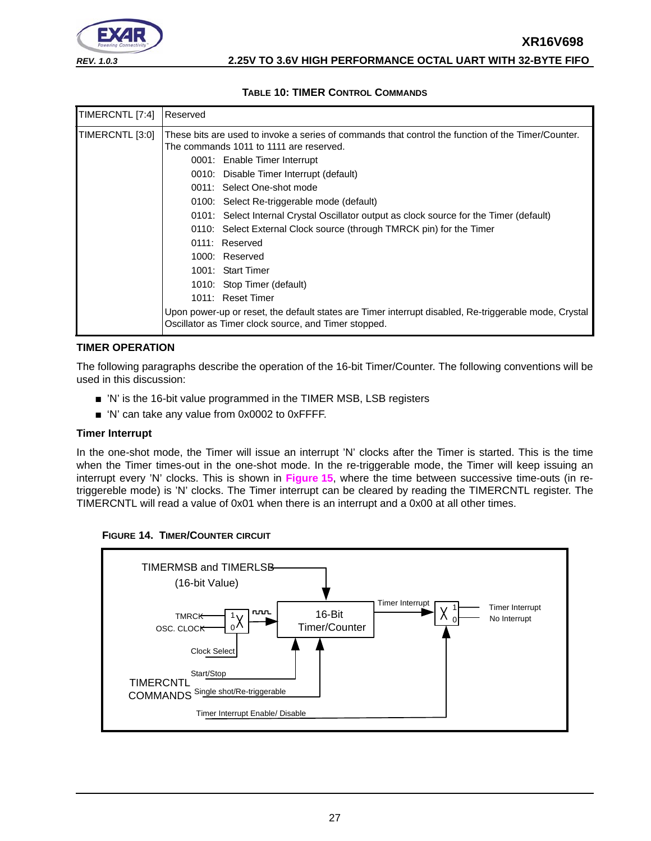![](_page_26_Picture_0.jpeg)

![](_page_26_Picture_1.jpeg)

#### **TABLE 10: TIMER CONTROL COMMANDS**

<span id="page-26-0"></span>

| TIMERCNTL [7:4] | Reserved                                                                                                                                                      |  |  |  |  |  |  |
|-----------------|---------------------------------------------------------------------------------------------------------------------------------------------------------------|--|--|--|--|--|--|
| TIMERCNTL [3:0] | These bits are used to invoke a series of commands that control the function of the Timer/Counter.<br>The commands 1011 to 1111 are reserved.                 |  |  |  |  |  |  |
|                 | 0001: Enable Timer Interrupt                                                                                                                                  |  |  |  |  |  |  |
|                 | 0010: Disable Timer Interrupt (default)                                                                                                                       |  |  |  |  |  |  |
|                 | 0011: Select One-shot mode                                                                                                                                    |  |  |  |  |  |  |
|                 | 0100: Select Re-triggerable mode (default)                                                                                                                    |  |  |  |  |  |  |
|                 | 0101: Select Internal Crystal Oscillator output as clock source for the Timer (default)                                                                       |  |  |  |  |  |  |
|                 | 0110: Select External Clock source (through TMRCK pin) for the Timer                                                                                          |  |  |  |  |  |  |
|                 | 0111: Reserved                                                                                                                                                |  |  |  |  |  |  |
|                 | 1000: Reserved                                                                                                                                                |  |  |  |  |  |  |
|                 | 1001: Start Timer                                                                                                                                             |  |  |  |  |  |  |
|                 | 1010: Stop Timer (default)                                                                                                                                    |  |  |  |  |  |  |
|                 | 1011: Reset Timer                                                                                                                                             |  |  |  |  |  |  |
|                 | Upon power-up or reset, the default states are Timer interrupt disabled, Re-triggerable mode, Crystal<br>Oscillator as Timer clock source, and Timer stopped. |  |  |  |  |  |  |

#### <span id="page-26-1"></span>**TIMER OPERATION**

The following paragraphs describe the operation of the 16-bit Timer/Counter. The following conventions will be used in this discussion:

- 'N' is the 16-bit value programmed in the TIMER MSB, LSB registers
- 'N' can take any value from 0x0002 to 0xFFFF.

#### **Timer Interrupt**

In the one-shot mode, the Timer will issue an interrupt 'N' clocks after the Timer is started. This is the time when the Timer times-out in the one-shot mode. In the re-triggerable mode, the Timer will keep issuing an interrupt every 'N' clocks. This is shown in **[Figure](#page-27-1) 15**, where the time between successive time-outs (in retriggereble mode) is 'N' clocks. The Timer interrupt can be cleared by reading the TIMERCNTL register. The TIMERCNTL will read a value of 0x01 when there is an interrupt and a 0x00 at all other times.

<span id="page-26-2"></span>![](_page_26_Figure_11.jpeg)

![](_page_26_Figure_12.jpeg)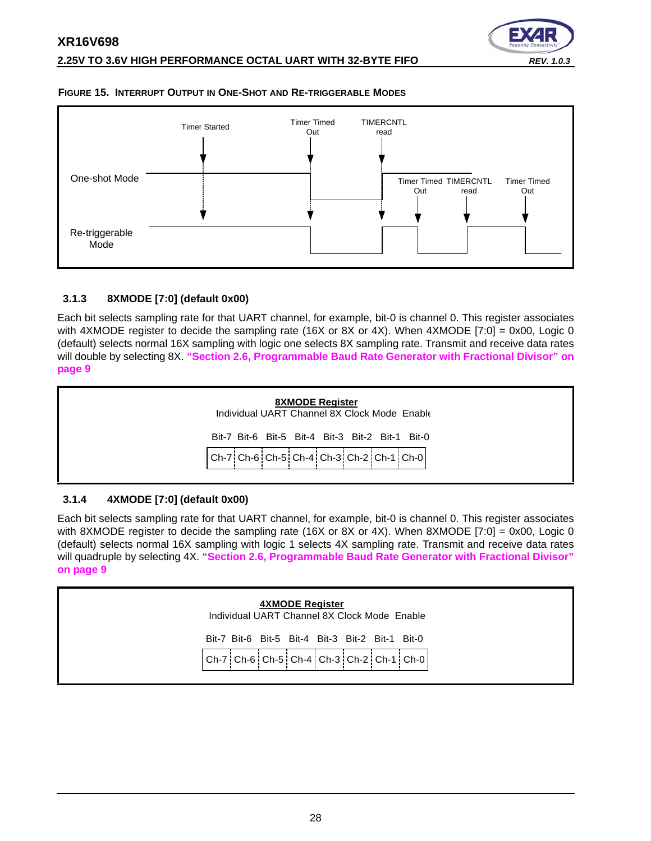#### **2.25V TO 3.6V HIGH PERFORMANCE OCTAL UART WITH 32-BYTE FIFO** *REV. 1.0.3*

![](_page_27_Figure_2.jpeg)

#### <span id="page-27-1"></span>**FIGURE 15. INTERRUPT OUTPUT IN ONE-SHOT AND RE-TRIGGERABLE MODES**

#### <span id="page-27-0"></span>**3.1.3 8XMODE [7:0] (default 0x00)**

Each bit selects sampling rate for that UART channel, for example, bit-0 is channel 0. This register associates with 4XMODE register to decide the sampling rate (16X or 8X or 4X). When 4XMODE [7:0] = 0x00, Logic 0 (default) selects normal 16X sampling with logic one selects 8X sampling rate. Transmit and receive data rates will double by selecting 8X. **["Section 2.6, Programmable Baud Rate Generator with Fractional Divisor" on](#page-8-0) [page](#page-8-0) 9**

![](_page_27_Figure_6.jpeg)

#### <span id="page-27-2"></span>**3.1.4 4XMODE [7:0] (default 0x00)**

Each bit selects sampling rate for that UART channel, for example, bit-0 is channel 0. This register associates with 8XMODE register to decide the sampling rate (16X or 8X or 4X). When 8XMODE [7:0] = 0x00, Logic 0 (default) selects normal 16X sampling with logic 1 selects 4X sampling rate. Transmit and receive data rates will quadruple by selecting 4X. **["Section 2.6, Programmable Baud Rate Generator with Fractional Divisor"](#page-8-0) [on page](#page-8-0) 9**

![](_page_27_Figure_9.jpeg)

![](_page_27_Figure_10.jpeg)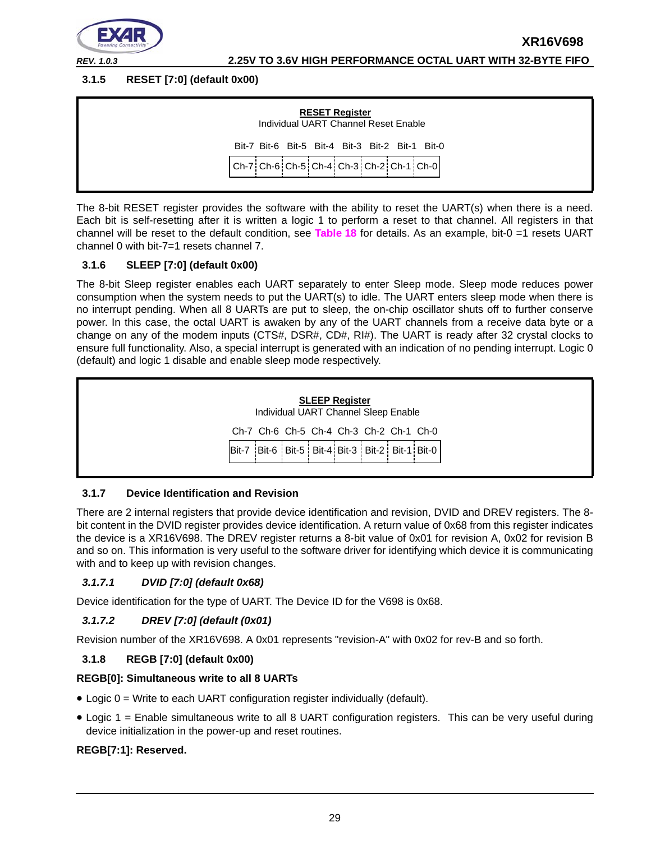![](_page_28_Picture_0.jpeg)

#### <span id="page-28-0"></span>**3.1.5 RESET [7:0] (default 0x00)**

| <b>RESET Register</b><br>Individual UART Channel Reset Enable |  |
|---------------------------------------------------------------|--|
| Bit-7 Bit-6 Bit-5 Bit-4 Bit-3 Bit-2 Bit-1 Bit-0               |  |
| $ Ch-7 Ch-6 Ch-5 Ch-4 Ch-3 Ch-2 Ch-1 Ch-0 $                   |  |

The 8-bit RESET register provides the software with the ability to reset the UART(s) when there is a need. Each bit is self-resetting after it is written a logic 1 to perform a reset to that channel. All registers in that channel will be reset to the default condition, see **[Table](#page-46-0) 18** for details. As an example, bit-0 =1 resets UART channel 0 with bit-7=1 resets channel 7.

#### <span id="page-28-1"></span>**3.1.6 SLEEP [7:0] (default 0x00)**

The 8-bit Sleep register enables each UART separately to enter Sleep mode. Sleep mode reduces power consumption when the system needs to put the UART(s) to idle. The UART enters sleep mode when there is no interrupt pending. When all 8 UARTs are put to sleep, the on-chip oscillator shuts off to further conserve power. In this case, the octal UART is awaken by any of the UART channels from a receive data byte or a change on any of the modem inputs (CTS#, DSR#, CD#, RI#). The UART is ready after 32 crystal clocks to ensure full functionality. Also, a special interrupt is generated with an indication of no pending interrupt. Logic 0 (default) and logic 1 disable and enable sleep mode respectively.

| <b>SLEEP Register</b>                                         |  |
|---------------------------------------------------------------|--|
| Individual UART Channel Sleep Enable                          |  |
| Ch-7 Ch-6 Ch-5 Ch-4 Ch-3 Ch-2 Ch-1 Ch-0                       |  |
| Bit-7 : Bit-6 : Bit-5 : Bit-4 : Bit-3 : Bit-2 : Bit-1 : Bit-0 |  |
|                                                               |  |

#### <span id="page-28-2"></span>**3.1.7 Device Identification and Revision**

There are 2 internal registers that provide device identification and revision, DVID and DREV registers. The 8 bit content in the DVID register provides device identification. A return value of 0x68 from this register indicates the device is a XR16V698. The DREV register returns a 8-bit value of 0x01 for revision A, 0x02 for revision B and so on. This information is very useful to the software driver for identifying which device it is communicating with and to keep up with revision changes.

#### <span id="page-28-3"></span>*3.1.7.1 DVID [7:0] (default 0x68)*

Device identification for the type of UART. The Device ID for the V698 is 0x68.

#### <span id="page-28-4"></span>*3.1.7.2 DREV [7:0] (default (0x01)*

Revision number of the XR16V698. A 0x01 represents "revision-A" with 0x02 for rev-B and so forth.

#### <span id="page-28-5"></span>**3.1.8 REGB [7:0] (default 0x00)**

#### **REGB[0]: Simultaneous write to all 8 UARTs**

- Logic  $0 = W$ rite to each UART configuration register individually (default).
- Logic 1 = Enable simultaneous write to all 8 UART configuration registers. This can be very useful during device initialization in the power-up and reset routines.

#### **REGB[7:1]: Reserved.**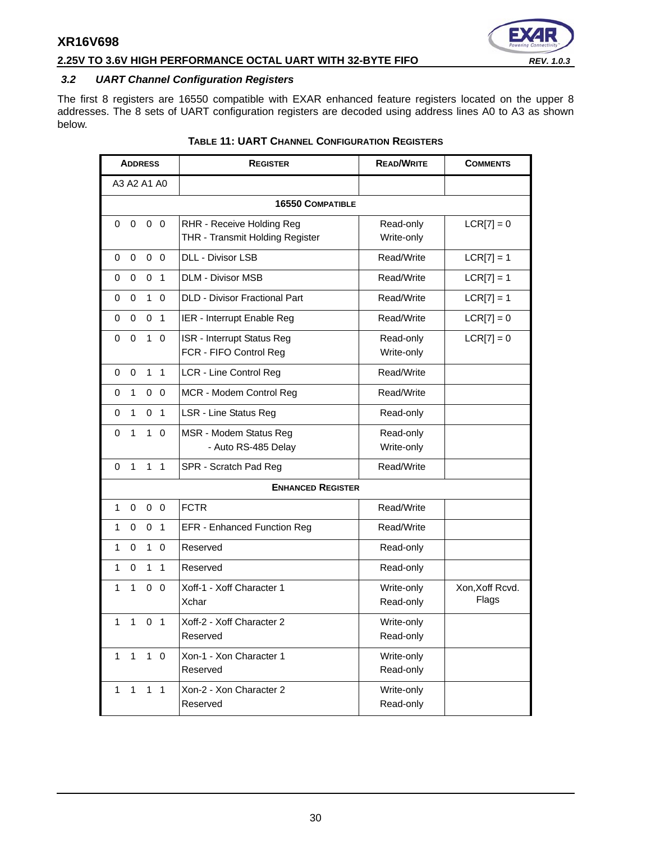## **2.25V TO 3.6V HIGH PERFORMANCE OCTAL UART WITH 32-BYTE FIFO** *REV. 1.0.3*

# E)

#### <span id="page-29-1"></span>*3.2 UART Channel Configuration Registers*

<span id="page-29-0"></span>The first 8 registers are 16550 compatible with EXAR enhanced feature registers located on the upper 8 addresses. The 8 sets of UART configuration registers are decoded using address lines A0 to A3 as shown below.

| <b>ADDRESS</b>                                    | <b>REGISTER</b>                                              | <b>READ/WRITE</b>       | <b>COMMENTS</b>          |  |  |  |  |  |  |  |  |
|---------------------------------------------------|--------------------------------------------------------------|-------------------------|--------------------------|--|--|--|--|--|--|--|--|
| A3 A2 A1 A0                                       |                                                              |                         |                          |  |  |  |  |  |  |  |  |
|                                                   | <b>16550 COMPATIBLE</b>                                      |                         |                          |  |  |  |  |  |  |  |  |
| $\mathbf 0$<br>$0\quad 0$<br>0                    | RHR - Receive Holding Reg<br>THR - Transmit Holding Register | Read-only<br>Write-only | $LCR[7] = 0$             |  |  |  |  |  |  |  |  |
| 0<br>$0\quad 0$<br>0                              | <b>DLL - Divisor LSB</b>                                     | Read/Write              | $LCR[7] = 1$             |  |  |  |  |  |  |  |  |
| 0 <sub>1</sub><br>0<br>0                          | <b>DLM - Divisor MSB</b>                                     | Read/Write              | $LCR[7] = 1$             |  |  |  |  |  |  |  |  |
| $\mathbf 0$<br>$1\quad$ 0<br>0                    | <b>DLD - Divisor Fractional Part</b>                         | Read/Write              | $LCR[7] = 1$             |  |  |  |  |  |  |  |  |
| $\mathbf 0$<br>$\mathbf 0$<br>$\overline{1}$<br>0 | IER - Interrupt Enable Reg                                   | Read/Write              | $LCR[7] = 0$             |  |  |  |  |  |  |  |  |
| $\mathbf 0$<br>$1\quad$ 0<br>0                    | ISR - Interrupt Status Reg<br>FCR - FIFO Control Reg         | Read-only<br>Write-only | $LCR[7] = 0$             |  |  |  |  |  |  |  |  |
| $\mathbf 0$<br>1 <sub>1</sub><br>0                | LCR - Line Control Reg                                       | Read/Write              |                          |  |  |  |  |  |  |  |  |
| $\mathbf{1}$<br>0<br>$0\quad 0$                   | MCR - Modem Control Reg                                      | Read/Write              |                          |  |  |  |  |  |  |  |  |
| $\mathbf{1}$<br>0 <sub>1</sub><br>0               | LSR - Line Status Reg                                        | Read-only               |                          |  |  |  |  |  |  |  |  |
| $\mathbf{1}$<br>1<br>$\overline{0}$<br>0          | MSR - Modem Status Reg<br>- Auto RS-485 Delay                | Read-only<br>Write-only |                          |  |  |  |  |  |  |  |  |
| $\mathbf{1}$<br>$1 \quad 1$<br>0                  | SPR - Scratch Pad Reg                                        | Read/Write              |                          |  |  |  |  |  |  |  |  |
|                                                   | <b>ENHANCED REGISTER</b>                                     |                         |                          |  |  |  |  |  |  |  |  |
| 1<br>$\mathbf 0$<br>0 <sub>0</sub>                | <b>FCTR</b>                                                  | Read/Write              |                          |  |  |  |  |  |  |  |  |
| 0 <sub>1</sub><br>1<br>0                          | EFR - Enhanced Function Reg                                  | Read/Write              |                          |  |  |  |  |  |  |  |  |
| $\mathbf 0$<br>$\mathbf{1}$<br>$\mathbf 0$<br>1   | Reserved                                                     | Read-only               |                          |  |  |  |  |  |  |  |  |
| $\mathbf 0$<br>1 <sub>1</sub><br>1                | Reserved                                                     | Read-only               |                          |  |  |  |  |  |  |  |  |
| 1<br>0 <sub>0</sub><br>1                          | Xoff-1 - Xoff Character 1<br>Xchar                           | Write-only<br>Read-only | Xon, Xoff Rcvd.<br>Flags |  |  |  |  |  |  |  |  |
| 1<br>$\mathbf{1}$<br>0 <sub>1</sub>               | Xoff-2 - Xoff Character 2<br>Reserved                        | Write-only<br>Read-only |                          |  |  |  |  |  |  |  |  |
| $\mathbf{1}$<br>$1\quad 0$<br>1                   | Xon-1 - Xon Character 1<br>Reserved                          | Write-only<br>Read-only |                          |  |  |  |  |  |  |  |  |
| $\mathbf{1}$<br>$1 \quad 1$<br>1                  | Xon-2 - Xon Character 2<br>Reserved                          | Write-only<br>Read-only |                          |  |  |  |  |  |  |  |  |

#### **TABLE 11: UART CHANNEL CONFIGURATION REGISTERS**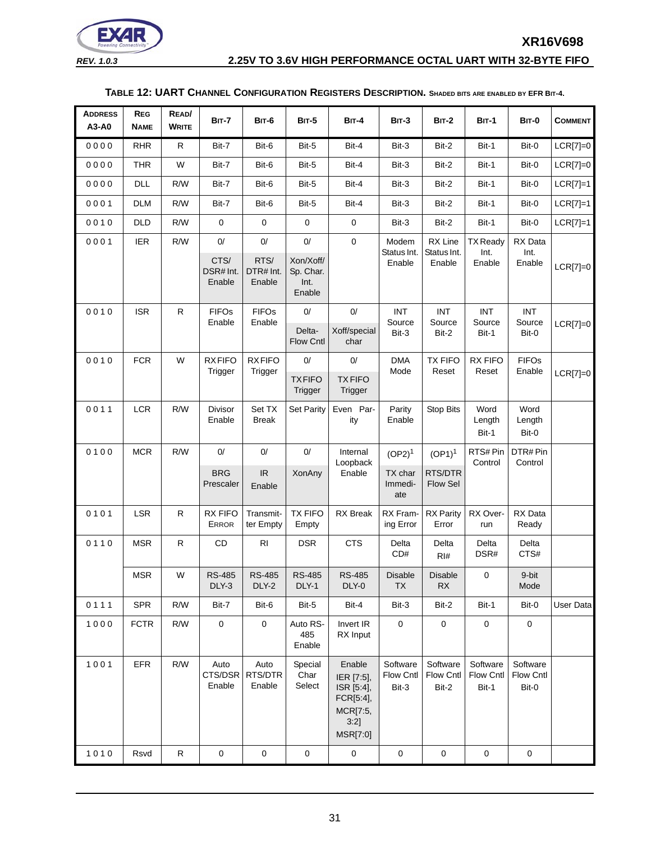![](_page_30_Picture_0.jpeg)

#### **TABLE 12: UART CHANNEL CONFIGURATION REGISTERS DESCRIPTION. SHADED BITS ARE ENABLED BY EFR BIT-4.**

<span id="page-30-0"></span>

| <b>ADDRESS</b><br>A3-A0 | <b>REG</b><br><b>NAME</b> | READ/<br><b>WRITE</b> | <b>BIT-7</b>                   | <b>BIT-6</b>                | <b>BIT-5</b>                             | <b>BIT-4</b>                                                                    | $BIT-3$                        | $BIT-2$                        | <b>BIT-1</b>                   | <b>BIT-0</b>                   | <b>COMMENT</b> |
|-------------------------|---------------------------|-----------------------|--------------------------------|-----------------------------|------------------------------------------|---------------------------------------------------------------------------------|--------------------------------|--------------------------------|--------------------------------|--------------------------------|----------------|
| 0000                    | <b>RHR</b>                | $\mathsf R$           | Bit-7                          | Bit-6                       | Bit-5                                    | Bit-4                                                                           | Bit-3                          | Bit-2                          | Bit-1                          | Bit-0                          | $LCR[7]=0$     |
| 0000                    | <b>THR</b>                | W                     | Bit-7                          | Bit-6                       | Bit-5                                    | Bit-4                                                                           | Bit-3                          | Bit-2                          | Bit-1                          | Bit-0                          | $LCR[7]=0$     |
| 0000                    | <b>DLL</b>                | R/W                   | Bit-7                          | Bit-6                       | Bit-5                                    | Bit-4                                                                           | Bit-3                          | Bit-2                          | Bit-1                          | Bit-0                          | $LCR[7]=1$     |
| 0001                    | <b>DLM</b>                | R/W                   | Bit-7                          | Bit-6                       | Bit-5                                    | Bit-4                                                                           | Bit-3                          | Bit-2                          | Bit-1                          | Bit-0                          | $LCR[7]=1$     |
| 0010                    | <b>DLD</b>                | R/W                   | $\pmb{0}$                      | $\mathbf 0$                 | $\pmb{0}$                                | $\mathbf 0$                                                                     | Bit-3                          | Bit-2                          | Bit-1                          | Bit-0                          | $LCR[7]=1$     |
| 0001                    | <b>IER</b>                | R/W                   | 0/                             | $0/$                        | $0/$                                     | $\mathbf 0$                                                                     | Modem                          | RX Line                        | <b>TX Ready</b>                | RX Data                        |                |
|                         |                           |                       | CTS/<br>DSR# Int.<br>Enable    | RTS/<br>DTR# Int.<br>Enable | Xon/Xoff/<br>Sp. Char.<br>Int.<br>Enable |                                                                                 | Status Int.<br>Enable          | Status Int.<br>Enable          | Int.<br>Enable                 | Int.<br>Enable                 | $LCR[7]=0$     |
| 0010                    | <b>ISR</b>                | $\mathsf R$           | <b>FIFOs</b>                   | <b>FIFOs</b>                | $0/$                                     | 0/                                                                              | <b>INT</b>                     | INT                            | INT                            | <b>INT</b>                     |                |
|                         |                           |                       | Enable                         | Enable                      | Delta-<br>Flow Cntl                      | Xoff/special<br>char                                                            | Source<br>Bit-3                | Source<br>Bit-2                | Source<br>Bit-1                | Source<br>Bit-0                | $LCR[7]=0$     |
| 0010                    | <b>FCR</b>                | W                     | <b>RXFIFO</b>                  | <b>RXFIFO</b>               | 0/                                       | 0/                                                                              | <b>DMA</b><br>Mode             | <b>TX FIFO</b><br>Reset        | <b>RX FIFO</b>                 | <b>FIFOs</b>                   |                |
|                         |                           |                       | Trigger                        | Trigger                     | <b>TXFIFO</b><br>Trigger                 | <b>TXFIFO</b><br>Trigger                                                        |                                |                                | Reset                          | Enable                         | $LCR[7]=0$     |
| 0011                    | <b>LCR</b>                | R/W                   | Divisor<br>Enable              | Set TX<br><b>Break</b>      | <b>Set Parity</b>                        | Even Par-<br>ity                                                                | Parity<br>Enable               | <b>Stop Bits</b>               | Word<br>Length                 | Word<br>Length                 |                |
|                         |                           |                       |                                |                             |                                          |                                                                                 |                                |                                | Bit-1                          | Bit-0                          |                |
| 0100                    | <b>MCR</b>                | R/W                   | $0/$                           | $0/$                        | $0/$                                     | Internal                                                                        | $(OP2)^1$                      | $(OP1)^1$                      | RTS# Pin                       | DTR# Pin                       |                |
|                         |                           |                       | <b>BRG</b><br>Prescaler        | IR<br>Enable                | XonAny                                   | Loopback<br>Enable                                                              | TX char<br>Immedi-<br>ate      | RTS/DTR<br><b>Flow Sel</b>     | Control                        | Control                        |                |
| 0101                    | <b>LSR</b>                | $\mathsf R$           | <b>RX FIFO</b><br><b>ERROR</b> | Transmit-<br>ter Empty      | <b>TX FIFO</b><br>Empty                  | <b>RX</b> Break                                                                 | RX Fram-<br>ing Error          | <b>RX Parity</b><br>Error      | RX Over-<br>run                | RX Data<br>Ready               |                |
| 0110                    | <b>MSR</b>                | ${\sf R}$             | CD                             | R <sub>l</sub>              | <b>DSR</b>                               | <b>CTS</b>                                                                      | Delta<br>CD#                   | Delta<br>$R$ <sup>#</sup>      | Delta<br>DSR#                  | Delta<br>CTS#                  |                |
|                         | <b>MSR</b>                | W                     | <b>RS-485</b><br>DLY-3         | <b>RS-485</b><br>DLY-2      | <b>RS-485</b><br>DLY-1                   | <b>RS-485</b><br>DLY-0                                                          | <b>Disable</b><br><b>TX</b>    | <b>Disable</b><br>RX           | $\mathbf 0$                    | 9-bit<br>Mode                  |                |
| 0111                    | <b>SPR</b>                | R/W                   | Bit-7                          | Bit-6                       | Bit-5                                    | Bit-4                                                                           | Bit-3                          | Bit-2                          | Bit-1                          | Bit-0                          | User Data      |
| 1000                    | <b>FCTR</b>               | R/W                   | $\mathsf{O}\xspace$            | $\mathbf 0$                 | Auto RS-<br>485<br>Enable                | Invert IR<br>RX Input                                                           | $\pmb{0}$                      | $\mathbf 0$                    | $\pmb{0}$                      | $\mathbf 0$                    |                |
| 1001                    | EFR                       | R/W                   | Auto<br>CTS/DSR<br>Enable      | Auto<br>RTS/DTR<br>Enable   | Special<br>Char<br>Select                | Enable<br>IER [7:5],<br>ISR [5:4],<br>FCR[5:4],<br>MCR[7:5,<br>3:2]<br>MSR[7:0] | Software<br>Flow Cntl<br>Bit-3 | Software<br>Flow Cntl<br>Bit-2 | Software<br>Flow Cntl<br>Bit-1 | Software<br>Flow Cntl<br>Bit-0 |                |
| 1010                    | Rsvd                      | ${\sf R}$             | $\mathbf 0$                    | $\mathbf 0$                 | $\pmb{0}$                                | $\pmb{0}$                                                                       | $\mathsf 0$                    | $\mathbf 0$                    | 0                              | $\mathbf 0$                    |                |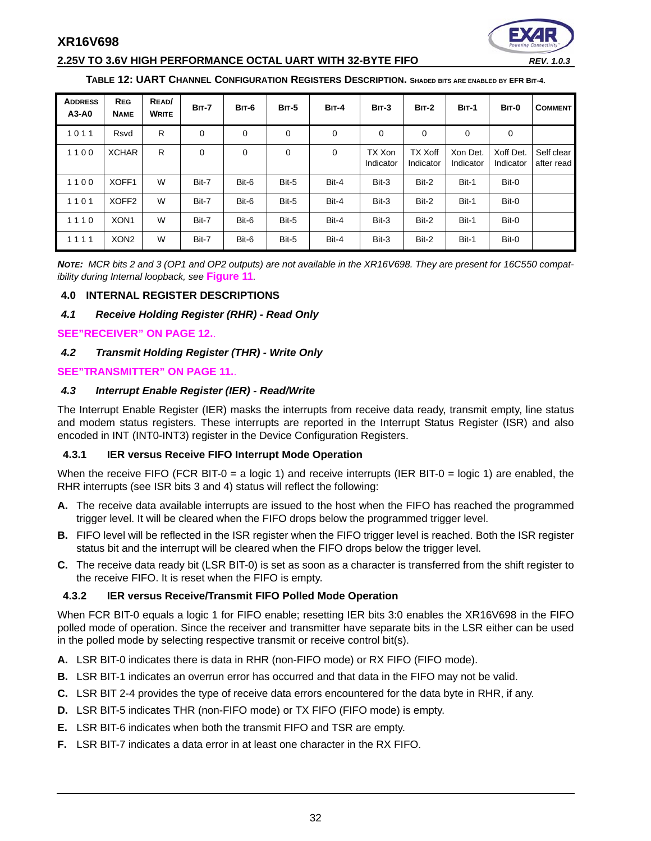#### **2.25V TO 3.6V HIGH PERFORMANCE OCTAL UART WITH 32-BYTE FIFO** *REV. 1.0.3*

![](_page_31_Picture_2.jpeg)

#### **TABLE 12: UART CHANNEL CONFIGURATION REGISTERS DESCRIPTION. SHADED BITS ARE ENABLED BY EFR BIT-4.**

| <b>ADDRESS</b><br>A3-A0 | <b>REG</b><br><b>NAME</b> | READ/<br><b>WRITE</b> | <b>BIT-7</b> | <b>BIT-6</b> | <b>BIT-5</b> | <b>BIT-4</b> | $BII-3$             | $BIT-2$                     | $BIT-1$               | <b>BIT-0</b>           | <b>COMMENT</b>           |
|-------------------------|---------------------------|-----------------------|--------------|--------------|--------------|--------------|---------------------|-----------------------------|-----------------------|------------------------|--------------------------|
| 1011                    | Rsvd                      | R                     | 0            | 0            | 0            | 0            | $\Omega$            | $\Omega$                    | 0                     | 0                      |                          |
| 1100                    | <b>XCHAR</b>              | R                     | 0            | 0            | $\mathbf 0$  | 0            | TX Xon<br>Indicator | <b>TX Xoff</b><br>Indicator | Xon Det.<br>Indicator | Xoff Det.<br>Indicator | Self clear<br>after read |
| 1100                    | XOFF1                     | W                     | Bit-7        | Bit-6        | Bit-5        | Bit-4        | Bit-3               | Bit-2                       | Bit-1                 | Bit-0                  |                          |
| 1101                    | XOFF <sub>2</sub>         | W                     | Bit-7        | Bit-6        | Bit-5        | Bit-4        | Bit-3               | Bit-2                       | Bit-1                 | Bit-0                  |                          |
| 1110                    | XON <sub>1</sub>          | W                     | Bit-7        | Bit-6        | Bit-5        | Bit-4        | Bit-3               | Bit-2                       | Bit-1                 | Bit-0                  |                          |
| 1111                    | XON <sub>2</sub>          | W                     | Bit-7        | Bit-6        | Bit-5        | Bit-4        | Bit-3               | Bit-2                       | Bit-1                 | Bit-0                  |                          |

*NOTE: MCR bits 2 and 3 (OP1 and OP2 outputs) are not available in the XR16V698. They are present for 16C550 compatibility during Internal loopback, see* **[Figure](#page-20-0) 11***.* 

#### <span id="page-31-0"></span>**4.0 INTERNAL REGISTER DESCRIPTIONS**

#### <span id="page-31-1"></span>*4.1 Receive Holding Register (RHR) - Read Only*

**[SEE"RECEIVER" ON PAGE](#page-11-0) 12.**.

#### <span id="page-31-2"></span>*4.2 Transmit Holding Register (THR) - Write Only*

#### **[SEE"TRANSMITTER" ON PAGE](#page-10-0) 11.**.

#### <span id="page-31-3"></span>*4.3 Interrupt Enable Register (IER) - Read/Write*

The Interrupt Enable Register (IER) masks the interrupts from receive data ready, transmit empty, line status and modem status registers. These interrupts are reported in the Interrupt Status Register (ISR) and also encoded in INT (INT0-INT3) register in the Device Configuration Registers.

#### <span id="page-31-4"></span>**4.3.1 IER versus Receive FIFO Interrupt Mode Operation**

When the receive FIFO (FCR BIT-0 = a logic 1) and receive interrupts (IER BIT-0 = logic 1) are enabled, the RHR interrupts (see ISR bits 3 and 4) status will reflect the following:

- **A.** The receive data available interrupts are issued to the host when the FIFO has reached the programmed trigger level. It will be cleared when the FIFO drops below the programmed trigger level.
- **B.** FIFO level will be reflected in the ISR register when the FIFO trigger level is reached. Both the ISR register status bit and the interrupt will be cleared when the FIFO drops below the trigger level.
- **C.** The receive data ready bit (LSR BIT-0) is set as soon as a character is transferred from the shift register to the receive FIFO. It is reset when the FIFO is empty.

#### <span id="page-31-5"></span>**4.3.2 IER versus Receive/Transmit FIFO Polled Mode Operation**

When FCR BIT-0 equals a logic 1 for FIFO enable; resetting IER bits 3:0 enables the XR16V698 in the FIFO polled mode of operation. Since the receiver and transmitter have separate bits in the LSR either can be used in the polled mode by selecting respective transmit or receive control bit(s).

- **A.** LSR BIT-0 indicates there is data in RHR (non-FIFO mode) or RX FIFO (FIFO mode).
- **B.** LSR BIT-1 indicates an overrun error has occurred and that data in the FIFO may not be valid.
- **C.** LSR BIT 2-4 provides the type of receive data errors encountered for the data byte in RHR, if any.
- **D.** LSR BIT-5 indicates THR (non-FIFO mode) or TX FIFO (FIFO mode) is empty.
- **E.** LSR BIT-6 indicates when both the transmit FIFO and TSR are empty.
- **F.** LSR BIT-7 indicates a data error in at least one character in the RX FIFO.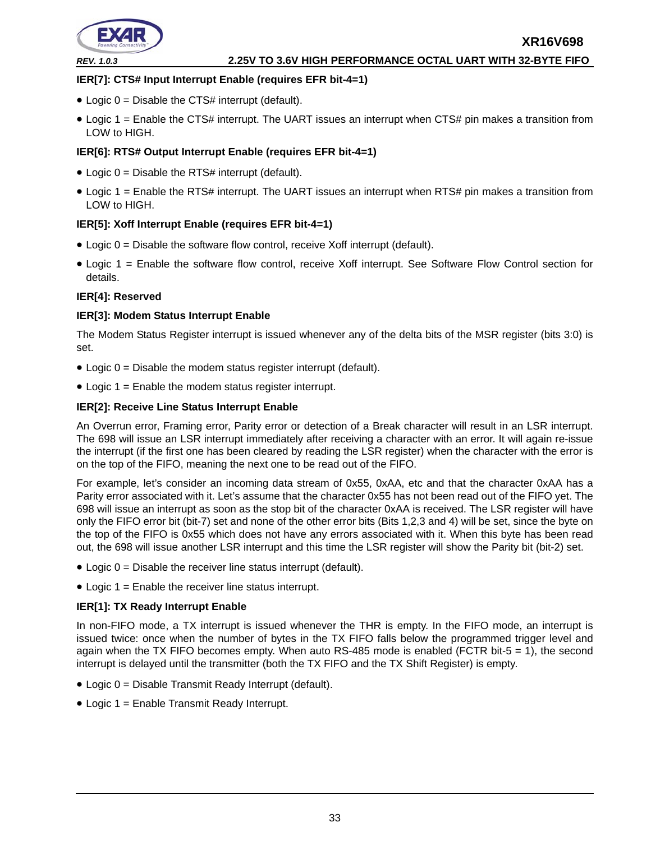![](_page_32_Picture_0.jpeg)

#### **IER[7]: CTS# Input Interrupt Enable (requires EFR bit-4=1)**

- Logic  $0 =$  Disable the CTS# interrupt (default).
- Logic 1 = Enable the CTS# interrupt. The UART issues an interrupt when CTS# pin makes a transition from LOW to HIGH.

#### **IER[6]: RTS# Output Interrupt Enable (requires EFR bit-4=1)**

- $\bullet$  Logic 0 = Disable the RTS# interrupt (default).
- Logic 1 = Enable the RTS# interrupt. The UART issues an interrupt when RTS# pin makes a transition from LOW to HIGH.

#### **IER[5]: Xoff Interrupt Enable (requires EFR bit-4=1)**

- $\bullet$  Logic  $0 =$  Disable the software flow control, receive Xoff interrupt (default).
- Logic 1 = Enable the software flow control, receive Xoff interrupt. See Software Flow Control section for details.

#### **IER[4]: Reserved**

#### **IER[3]: Modem Status Interrupt Enable**

The Modem Status Register interrupt is issued whenever any of the delta bits of the MSR register (bits 3:0) is set.

- Logic 0 = Disable the modem status register interrupt (default).
- Logic 1 = Enable the modem status register interrupt.

#### **IER[2]: Receive Line Status Interrupt Enable**

An Overrun error, Framing error, Parity error or detection of a Break character will result in an LSR interrupt. The 698 will issue an LSR interrupt immediately after receiving a character with an error. It will again re-issue the interrupt (if the first one has been cleared by reading the LSR register) when the character with the error is on the top of the FIFO, meaning the next one to be read out of the FIFO.

For example, let's consider an incoming data stream of 0x55, 0xAA, etc and that the character 0xAA has a Parity error associated with it. Let's assume that the character 0x55 has not been read out of the FIFO yet. The 698 will issue an interrupt as soon as the stop bit of the character 0xAA is received. The LSR register will have only the FIFO error bit (bit-7) set and none of the other error bits (Bits 1,2,3 and 4) will be set, since the byte on the top of the FIFO is 0x55 which does not have any errors associated with it. When this byte has been read out, the 698 will issue another LSR interrupt and this time the LSR register will show the Parity bit (bit-2) set.

- $\bullet$  Logic  $0 =$  Disable the receiver line status interrupt (default).
- $\bullet$  Logic 1 = Enable the receiver line status interrupt.

#### **IER[1]: TX Ready Interrupt Enable**

In non-FIFO mode, a TX interrupt is issued whenever the THR is empty. In the FIFO mode, an interrupt is issued twice: once when the number of bytes in the TX FIFO falls below the programmed trigger level and again when the TX FIFO becomes empty. When auto RS-485 mode is enabled (FCTR bit-5 = 1), the second interrupt is delayed until the transmitter (both the TX FIFO and the TX Shift Register) is empty.

- Logic 0 = Disable Transmit Ready Interrupt (default).
- Logic 1 = Enable Transmit Ready Interrupt.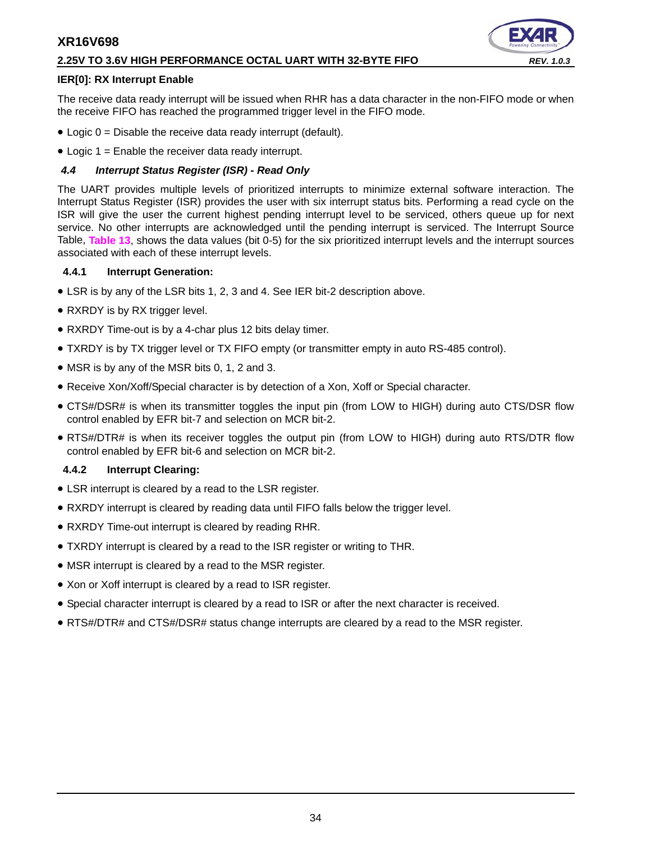#### **2.25V TO 3.6V HIGH PERFORMANCE OCTAL UART WITH 32-BYTE FIFO** *REV. 1.0.3*

#### **IER[0]: RX Interrupt Enable**

The receive data ready interrupt will be issued when RHR has a data character in the non-FIFO mode or when the receive FIFO has reached the programmed trigger level in the FIFO mode.

- Logic  $0 =$  Disable the receive data ready interrupt (default).
- Logic 1 = Enable the receiver data ready interrupt.

#### <span id="page-33-2"></span>*4.4 Interrupt Status Register (ISR) - Read Only*

The UART provides multiple levels of prioritized interrupts to minimize external software interaction. The Interrupt Status Register (ISR) provides the user with six interrupt status bits. Performing a read cycle on the ISR will give the user the current highest pending interrupt level to be serviced, others queue up for next service. No other interrupts are acknowledged until the pending interrupt is serviced. The Interrupt Source Table, **[Table](#page-34-0) 13**, shows the data values (bit 0-5) for the six prioritized interrupt levels and the interrupt sources associated with each of these interrupt levels.

#### <span id="page-33-1"></span>**4.4.1 Interrupt Generation:**

- LSR is by any of the LSR bits 1, 2, 3 and 4. See IER bit-2 description above.
- RXRDY is by RX trigger level.
- RXRDY Time-out is by a 4-char plus 12 bits delay timer.
- TXRDY is by TX trigger level or TX FIFO empty (or transmitter empty in auto RS-485 control).
- MSR is by any of the MSR bits 0, 1, 2 and 3.
- Receive Xon/Xoff/Special character is by detection of a Xon, Xoff or Special character.
- CTS#/DSR# is when its transmitter toggles the input pin (from LOW to HIGH) during auto CTS/DSR flow control enabled by EFR bit-7 and selection on MCR bit-2.
- RTS#/DTR# is when its receiver toggles the output pin (from LOW to HIGH) during auto RTS/DTR flow control enabled by EFR bit-6 and selection on MCR bit-2.

#### <span id="page-33-0"></span>**4.4.2 Interrupt Clearing:**

- LSR interrupt is cleared by a read to the LSR register.
- RXRDY interrupt is cleared by reading data until FIFO falls below the trigger level.
- RXRDY Time-out interrupt is cleared by reading RHR.
- TXRDY interrupt is cleared by a read to the ISR register or writing to THR.
- MSR interrupt is cleared by a read to the MSR register.
- Xon or Xoff interrupt is cleared by a read to ISR register.
- Special character interrupt is cleared by a read to ISR or after the next character is received.
- RTS#/DTR# and CTS#/DSR# status change interrupts are cleared by a read to the MSR register.

![](_page_33_Picture_27.jpeg)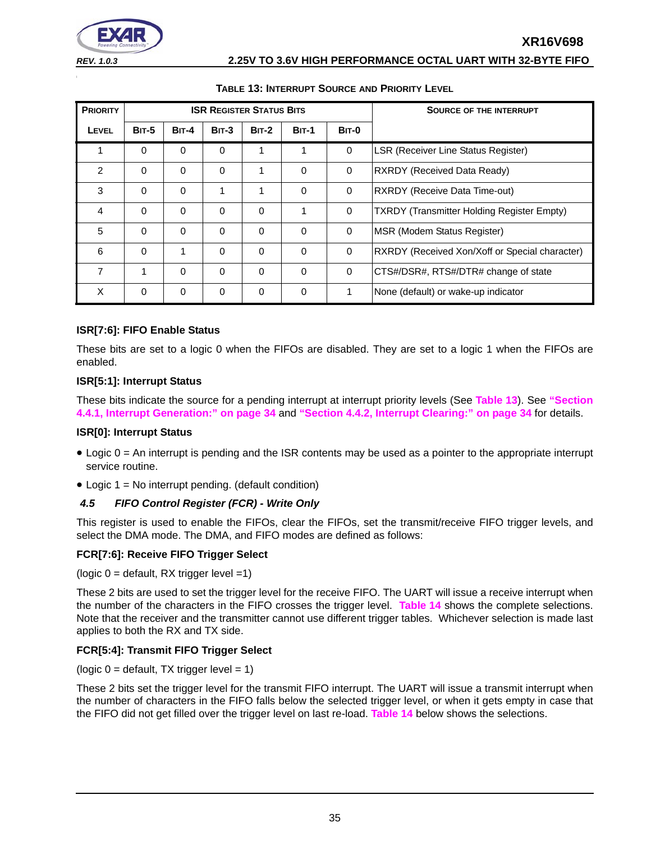![](_page_34_Picture_0.jpeg)

<span id="page-34-0"></span>

| <b>PRIORITY</b> |              |              |          | <b>ISR REGISTER STATUS BITS</b> |              | <b>SOURCE OF THE INTERRUPT</b> |                                                   |
|-----------------|--------------|--------------|----------|---------------------------------|--------------|--------------------------------|---------------------------------------------------|
| <b>LEVEL</b>    | <b>BIT-5</b> | <b>BIT-4</b> | $BIT-3$  | <b>BIT-2</b>                    | <b>BIT-1</b> | BIT-0                          |                                                   |
|                 | $\Omega$     | $\Omega$     | $\Omega$ |                                 | 1            | $\mathbf 0$                    | <b>LSR (Receiver Line Status Register)</b>        |
| 2               | $\Omega$     | $\Omega$     | $\Omega$ |                                 | $\Omega$     | 0                              | <b>RXRDY (Received Data Ready)</b>                |
| 3               | $\Omega$     | $\Omega$     | 1        | 1                               | $\Omega$     | 0                              | <b>RXRDY (Receive Data Time-out)</b>              |
| $\overline{4}$  | $\Omega$     | $\Omega$     | $\Omega$ | $\Omega$                        | 1            | 0                              | <b>TXRDY (Transmitter Holding Register Empty)</b> |
| 5               | $\Omega$     | $\Omega$     | $\Omega$ | $\Omega$                        | $\Omega$     | $\Omega$                       | MSR (Modem Status Register)                       |
| 6               | $\Omega$     | 1            | $\Omega$ | $\Omega$                        | $\Omega$     | 0                              | RXRDY (Received Xon/Xoff or Special character)    |
| 7               | 1            | $\Omega$     | $\Omega$ | $\Omega$                        | $\Omega$     | 0                              | CTS#/DSR#, RTS#/DTR# change of state              |
| X               | $\Omega$     | $\Omega$     | $\Omega$ | $\Omega$                        | $\Omega$     | 1                              | None (default) or wake-up indicator               |

#### **TABLE 13: INTERRUPT SOURCE AND PRIORITY LEVEL**

#### **ISR[7:6]: FIFO Enable Status**

These bits are set to a logic 0 when the FIFOs are disabled. They are set to a logic 1 when the FIFOs are enabled.

#### **ISR[5:1]: Interrupt Status**

These bits indicate the source for a pending interrupt at interrupt priority levels (See **[Table](#page-34-0) 13**). See **["Section](#page-33-1)  [4.4.1, Interrupt Generation:" on page](#page-33-1) 34** and **["Section 4.4.2, Interrupt Clearing:" on page](#page-33-0) 34** for details.

#### **ISR[0]: Interrupt Status**

- Logic 0 = An interrupt is pending and the ISR contents may be used as a pointer to the appropriate interrupt service routine.
- Logic 1 = No interrupt pending. (default condition)

#### <span id="page-34-1"></span>*4.5 FIFO Control Register (FCR) - Write Only*

This register is used to enable the FIFOs, clear the FIFOs, set the transmit/receive FIFO trigger levels, and select the DMA mode. The DMA, and FIFO modes are defined as follows:

#### **FCR[7:6]: Receive FIFO Trigger Select**

(logic  $0 =$  default, RX trigger level  $=1$ )

These 2 bits are used to set the trigger level for the receive FIFO. The UART will issue a receive interrupt when the number of the characters in the FIFO crosses the trigger level. **[Table](#page-35-0) 14** shows the complete selections. Note that the receiver and the transmitter cannot use different trigger tables. Whichever selection is made last applies to both the RX and TX side.

#### **FCR[5:4]: Transmit FIFO Trigger Select**

(logic  $0 =$  default, TX trigger level = 1)

These 2 bits set the trigger level for the transmit FIFO interrupt. The UART will issue a transmit interrupt when the number of characters in the FIFO falls below the selected trigger level, or when it gets empty in case that the FIFO did not get filled over the trigger level on last re-load. **[Table](#page-35-0) 14** below shows the selections.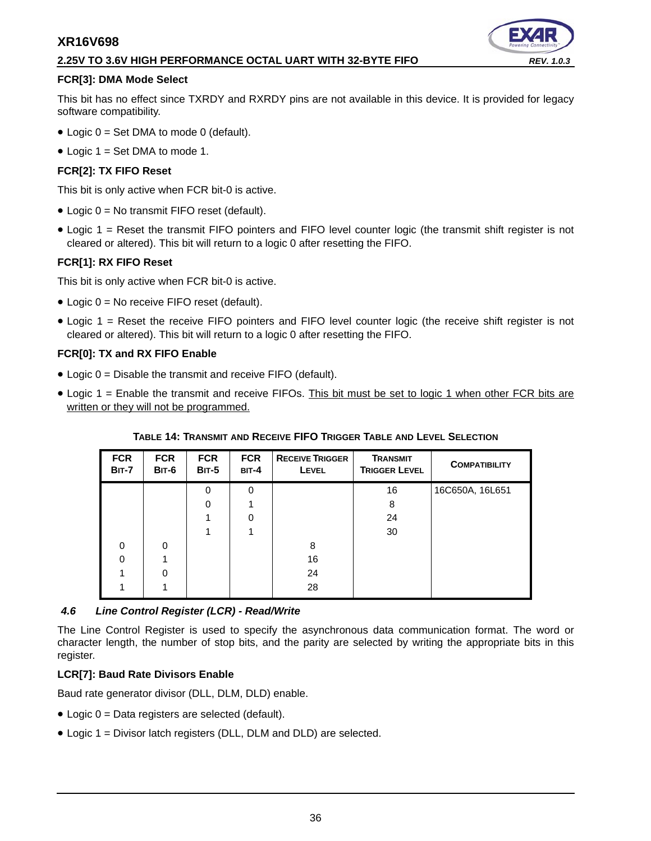#### **2.25V TO 3.6V HIGH PERFORMANCE OCTAL UART WITH 32-BYTE FIFO** *REV. 1.0.3*

#### **FCR[3]: DMA Mode Select**

This bit has no effect since TXRDY and RXRDY pins are not available in this device. It is provided for legacy software compatibility.

- Logic  $0 = Set$  DMA to mode 0 (default).
- Logic  $1 = Set$  DMA to mode 1.

#### **FCR[2]: TX FIFO Reset**

This bit is only active when FCR bit-0 is active.

- Logic 0 = No transmit FIFO reset (default).
- Logic 1 = Reset the transmit FIFO pointers and FIFO level counter logic (the transmit shift register is not cleared or altered). This bit will return to a logic 0 after resetting the FIFO.

#### **FCR[1]: RX FIFO Reset**

This bit is only active when FCR bit-0 is active.

- Logic 0 = No receive FIFO reset (default).
- Logic 1 = Reset the receive FIFO pointers and FIFO level counter logic (the receive shift register is not cleared or altered). This bit will return to a logic 0 after resetting the FIFO.

#### **FCR[0]: TX and RX FIFO Enable**

- Logic 0 = Disable the transmit and receive FIFO (default).
- <span id="page-35-0"></span>• Logic 1 = Enable the transmit and receive FIFOs. This bit must be set to logic 1 when other FCR bits are written or they will not be programmed.

| <b>FCR</b><br><b>BIT-7</b> | <b>FCR</b><br><b>BIT-6</b> | <b>FCR</b><br><b>BIT-5</b> | <b>FCR</b><br>BIT-4 | <b>RECEIVE TRIGGER</b><br>LEVEL | <b>TRANSMIT</b><br><b>TRIGGER LEVEL</b> | <b>COMPATIBILITY</b> |
|----------------------------|----------------------------|----------------------------|---------------------|---------------------------------|-----------------------------------------|----------------------|
|                            |                            | $\Omega$                   | $\Omega$            |                                 | 16                                      | 16C650A, 16L651      |
|                            |                            | $\Omega$                   |                     |                                 | 8                                       |                      |
|                            |                            |                            | 0                   |                                 | 24                                      |                      |
|                            |                            |                            |                     |                                 | 30                                      |                      |
| $\Omega$                   | 0                          |                            |                     | 8                               |                                         |                      |
| $\Omega$                   |                            |                            |                     | 16                              |                                         |                      |
|                            | 0                          |                            |                     | 24                              |                                         |                      |
|                            |                            |                            |                     | 28                              |                                         |                      |

#### **TABLE 14: TRANSMIT AND RECEIVE FIFO TRIGGER TABLE AND LEVEL SELECTION**

#### <span id="page-35-1"></span>*4.6 Line Control Register (LCR) - Read/Write*

The Line Control Register is used to specify the asynchronous data communication format. The word or character length, the number of stop bits, and the parity are selected by writing the appropriate bits in this register.

#### **LCR[7]: Baud Rate Divisors Enable**

Baud rate generator divisor (DLL, DLM, DLD) enable.

- Logic 0 = Data registers are selected (default).
- Logic 1 = Divisor latch registers (DLL, DLM and DLD) are selected.

![](_page_35_Picture_26.jpeg)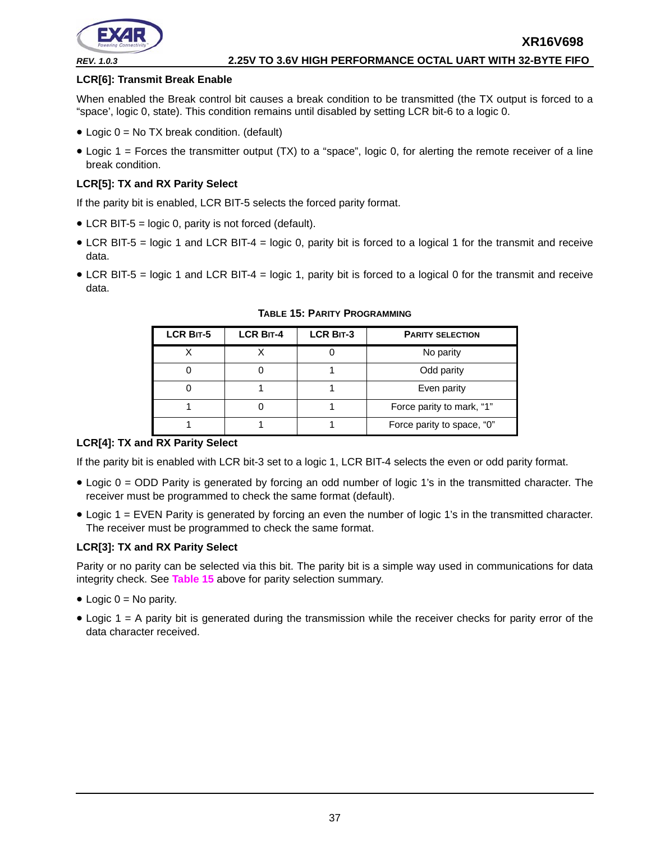![](_page_36_Picture_0.jpeg)

#### **LCR[6]: Transmit Break Enable**

When enabled the Break control bit causes a break condition to be transmitted (the TX output is forced to a "space', logic 0, state). This condition remains until disabled by setting LCR bit-6 to a logic 0.

- Logic  $0 = No$  TX break condition. (default)
- Logic 1 = Forces the transmitter output (TX) to a "space", logic 0, for alerting the remote receiver of a line break condition.

#### **LCR[5]: TX and RX Parity Select**

If the parity bit is enabled, LCR BIT-5 selects the forced parity format.

- LCR BIT-5 = logic 0, parity is not forced (default).
- LCR BIT-5 = logic 1 and LCR BIT-4 = logic 0, parity bit is forced to a logical 1 for the transmit and receive data.
- <span id="page-36-0"></span>• LCR BIT-5 = logic 1 and LCR BIT-4 = logic 1, parity bit is forced to a logical 0 for the transmit and receive data.

| LCR BIT-5 | <b>LCR BIT-4</b> | <b>LCR BIT-3</b> | <b>PARITY SELECTION</b>    |
|-----------|------------------|------------------|----------------------------|
|           |                  |                  | No parity                  |
|           |                  |                  | Odd parity                 |
|           |                  |                  | Even parity                |
|           |                  |                  | Force parity to mark, "1"  |
|           |                  |                  | Force parity to space, "0" |

**TABLE 15: PARITY PROGRAMMING**

#### **LCR[4]: TX and RX Parity Select**

If the parity bit is enabled with LCR bit-3 set to a logic 1, LCR BIT-4 selects the even or odd parity format.

- Logic 0 = ODD Parity is generated by forcing an odd number of logic 1's in the transmitted character. The receiver must be programmed to check the same format (default).
- Logic 1 = EVEN Parity is generated by forcing an even the number of logic 1's in the transmitted character. The receiver must be programmed to check the same format.

#### **LCR[3]: TX and RX Parity Select**

Parity or no parity can be selected via this bit. The parity bit is a simple way used in communications for data integrity check. See **[Table](#page-36-0) 15** above for parity selection summary.

- $\bullet$  Logic  $0 = No$  parity.
- Logic 1 = A parity bit is generated during the transmission while the receiver checks for parity error of the data character received.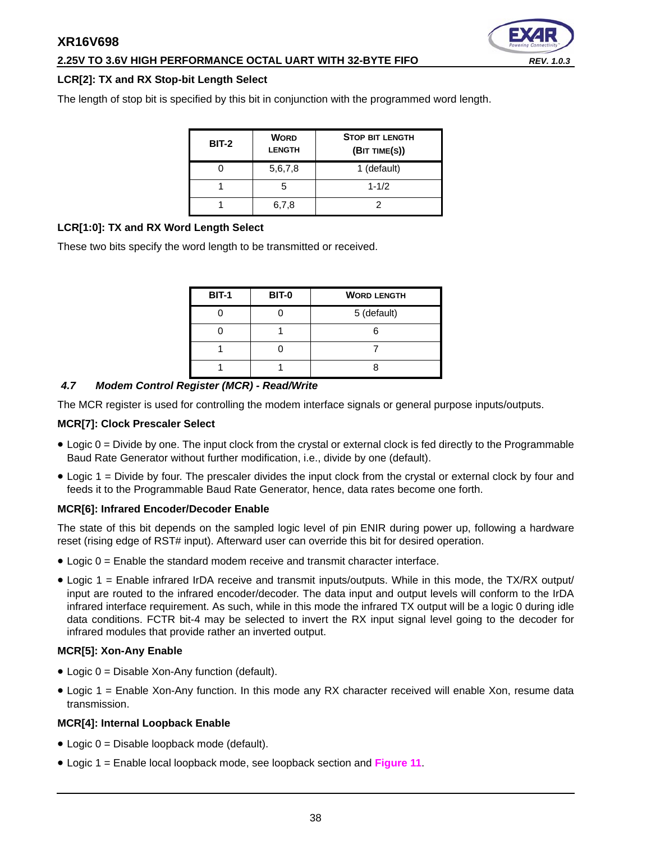#### **2.25V TO 3.6V HIGH PERFORMANCE OCTAL UART WITH 32-BYTE FIFO** *REV. 1.0.3*

#### **LCR[2]: TX and RX Stop-bit Length Select**

The length of stop bit is specified by this bit in conjunction with the programmed word length.

| <b>BIT-2</b> | <b>WORD</b><br><b>LENGTH</b> | <b>STOP BIT LENGTH</b><br>(BIT TIME(S)) |
|--------------|------------------------------|-----------------------------------------|
|              | 5,6,7,8                      | 1 (default)                             |
|              |                              | $1 - 1/2$                               |
|              | 6,7,8                        |                                         |

#### **LCR[1:0]: TX and RX Word Length Select**

These two bits specify the word length to be transmitted or received.

| <b>BIT-1</b> | <b>BIT-0</b> | <b>WORD LENGTH</b> |
|--------------|--------------|--------------------|
|              |              | 5 (default)        |
|              |              |                    |
|              |              |                    |
|              |              |                    |

#### <span id="page-37-0"></span>*4.7 Modem Control Register (MCR) - Read/Write*

The MCR register is used for controlling the modem interface signals or general purpose inputs/outputs.

#### **MCR[7]: Clock Prescaler Select**

- Logic 0 = Divide by one. The input clock from the crystal or external clock is fed directly to the Programmable Baud Rate Generator without further modification, i.e., divide by one (default).
- Logic 1 = Divide by four. The prescaler divides the input clock from the crystal or external clock by four and feeds it to the Programmable Baud Rate Generator, hence, data rates become one forth.

#### **MCR[6]: Infrared Encoder/Decoder Enable**

The state of this bit depends on the sampled logic level of pin ENIR during power up, following a hardware reset (rising edge of RST# input). Afterward user can override this bit for desired operation.

- Logic 0 = Enable the standard modem receive and transmit character interface.
- Logic 1 = Enable infrared IrDA receive and transmit inputs/outputs. While in this mode, the TX/RX output/ input are routed to the infrared encoder/decoder. The data input and output levels will conform to the IrDA infrared interface requirement. As such, while in this mode the infrared TX output will be a logic 0 during idle data conditions. FCTR bit-4 may be selected to invert the RX input signal level going to the decoder for infrared modules that provide rather an inverted output.

#### **MCR[5]: Xon-Any Enable**

- Logic 0 = Disable Xon-Any function (default).
- Logic 1 = Enable Xon-Any function. In this mode any RX character received will enable Xon, resume data transmission.

#### **MCR[4]: Internal Loopback Enable**

- Logic 0 = Disable loopback mode (default).
- Logic 1 = Enable local loopback mode, see loopback section and **[Figure](#page-20-0) 11**.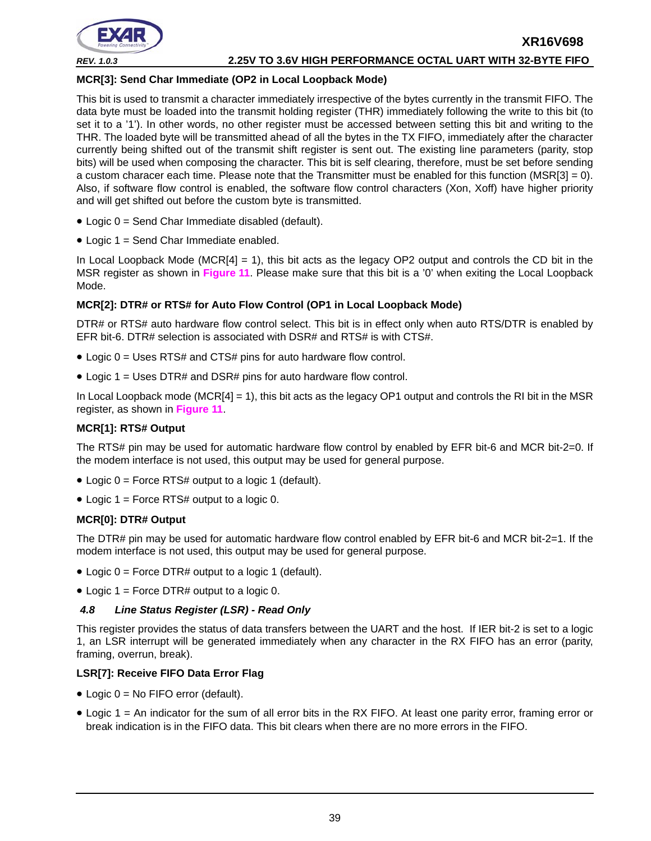![](_page_38_Picture_0.jpeg)

#### **MCR[3]: Send Char Immediate (OP2 in Local Loopback Mode)**

This bit is used to transmit a character immediately irrespective of the bytes currently in the transmit FIFO. The data byte must be loaded into the transmit holding register (THR) immediately following the write to this bit (to set it to a '1'). In other words, no other register must be accessed between setting this bit and writing to the THR. The loaded byte will be transmitted ahead of all the bytes in the TX FIFO, immediately after the character currently being shifted out of the transmit shift register is sent out. The existing line parameters (parity, stop bits) will be used when composing the character. This bit is self clearing, therefore, must be set before sending a custom characer each time. Please note that the Transmitter must be enabled for this function (MSR[3] = 0). Also, if software flow control is enabled, the software flow control characters (Xon, Xoff) have higher priority and will get shifted out before the custom byte is transmitted.

- Logic 0 = Send Char Immediate disabled (default).
- Logic 1 = Send Char Immediate enabled.

In Local Loopback Mode ( $MCR[4] = 1$ ), this bit acts as the legacy OP2 output and controls the CD bit in the MSR register as shown in **[Figure](#page-20-0) 11**. Please make sure that this bit is a '0' when exiting the Local Loopback Mode.

#### **MCR[2]: DTR# or RTS# for Auto Flow Control (OP1 in Local Loopback Mode)**

DTR# or RTS# auto hardware flow control select. This bit is in effect only when auto RTS/DTR is enabled by EFR bit-6. DTR# selection is associated with DSR# and RTS# is with CTS#.

- Logic 0 = Uses RTS# and CTS# pins for auto hardware flow control.
- Logic 1 = Uses DTR# and DSR# pins for auto hardware flow control.

In Local Loopback mode (MCR[4] = 1), this bit acts as the legacy OP1 output and controls the RI bit in the MSR register, as shown in **[Figure](#page-20-0) 11**.

#### **MCR[1]: RTS# Output**

The RTS# pin may be used for automatic hardware flow control by enabled by EFR bit-6 and MCR bit-2=0. If the modem interface is not used, this output may be used for general purpose.

- Logic 0 = Force RTS# output to a logic 1 (default).
- Logic  $1 =$  Force RTS# output to a logic 0.

#### **MCR[0]: DTR# Output**

The DTR# pin may be used for automatic hardware flow control enabled by EFR bit-6 and MCR bit-2=1. If the modem interface is not used, this output may be used for general purpose.

- Logic 0 = Force DTR# output to a logic 1 (default).
- Logic  $1 =$  Force DTR# output to a logic 0.

#### <span id="page-38-0"></span>*4.8 Line Status Register (LSR) - Read Only*

This register provides the status of data transfers between the UART and the host. If IER bit-2 is set to a logic 1, an LSR interrupt will be generated immediately when any character in the RX FIFO has an error (parity, framing, overrun, break).

#### **LSR[7]: Receive FIFO Data Error Flag**

- Logic 0 = No FIFO error (default).
- Logic 1 = An indicator for the sum of all error bits in the RX FIFO. At least one parity error, framing error or break indication is in the FIFO data. This bit clears when there are no more errors in the FIFO.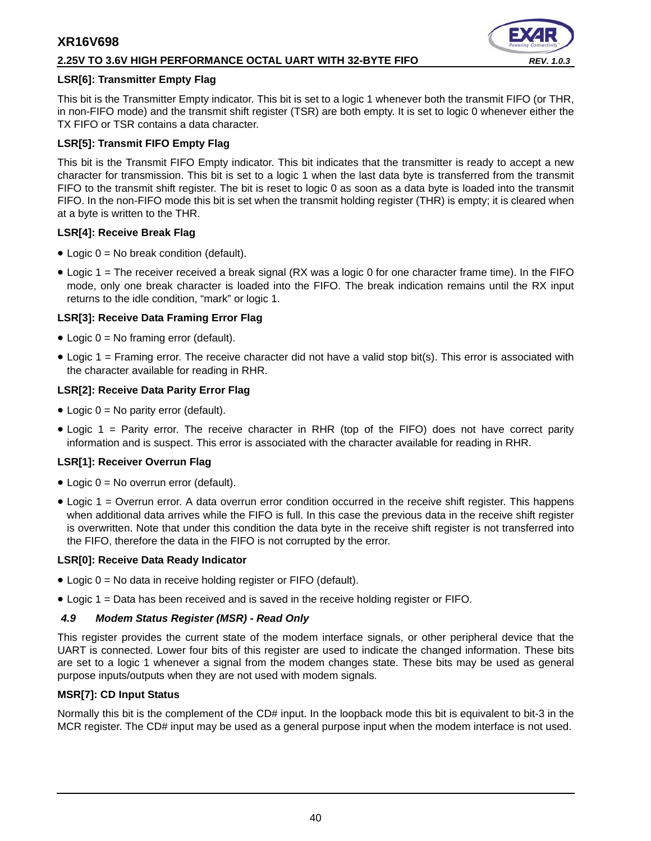#### **2.25V TO 3.6V HIGH PERFORMANCE OCTAL UART WITH 32-BYTE FIFO** *REV. 1.0.3*

![](_page_39_Picture_2.jpeg)

#### **LSR[6]: Transmitter Empty Flag**

This bit is the Transmitter Empty indicator. This bit is set to a logic 1 whenever both the transmit FIFO (or THR, in non-FIFO mode) and the transmit shift register (TSR) are both empty. It is set to logic 0 whenever either the TX FIFO or TSR contains a data character.

#### **LSR[5]: Transmit FIFO Empty Flag**

This bit is the Transmit FIFO Empty indicator. This bit indicates that the transmitter is ready to accept a new character for transmission. This bit is set to a logic 1 when the last data byte is transferred from the transmit FIFO to the transmit shift register. The bit is reset to logic 0 as soon as a data byte is loaded into the transmit FIFO. In the non-FIFO mode this bit is set when the transmit holding register (THR) is empty; it is cleared when at a byte is written to the THR.

#### **LSR[4]: Receive Break Flag**

- $\bullet$  Logic 0 = No break condition (default).
- Logic 1 = The receiver received a break signal (RX was a logic 0 for one character frame time). In the FIFO mode, only one break character is loaded into the FIFO. The break indication remains until the RX input returns to the idle condition, "mark" or logic 1.

#### **LSR[3]: Receive Data Framing Error Flag**

- Logic 0 = No framing error (default).
- $\bullet$  Logic 1 = Framing error. The receive character did not have a valid stop bit(s). This error is associated with the character available for reading in RHR.

#### **LSR[2]: Receive Data Parity Error Flag**

- Logic  $0 = No$  parity error (default).
- Logic 1 = Parity error. The receive character in RHR (top of the FIFO) does not have correct parity information and is suspect. This error is associated with the character available for reading in RHR.

#### **LSR[1]: Receiver Overrun Flag**

- Logic  $0 = No$  overrun error (default).
- Logic 1 = Overrun error. A data overrun error condition occurred in the receive shift register. This happens when additional data arrives while the FIFO is full. In this case the previous data in the receive shift register is overwritten. Note that under this condition the data byte in the receive shift register is not transferred into the FIFO, therefore the data in the FIFO is not corrupted by the error.

#### **LSR[0]: Receive Data Ready Indicator**

- Logic 0 = No data in receive holding register or FIFO (default).
- Logic 1 = Data has been received and is saved in the receive holding register or FIFO.

#### <span id="page-39-0"></span>*4.9 Modem Status Register (MSR) - Read Only*

This register provides the current state of the modem interface signals, or other peripheral device that the UART is connected. Lower four bits of this register are used to indicate the changed information. These bits are set to a logic 1 whenever a signal from the modem changes state. These bits may be used as general purpose inputs/outputs when they are not used with modem signals.

#### **MSR[7]: CD Input Status**

Normally this bit is the complement of the CD# input. In the loopback mode this bit is equivalent to bit-3 in the MCR register. The CD# input may be used as a general purpose input when the modem interface is not used.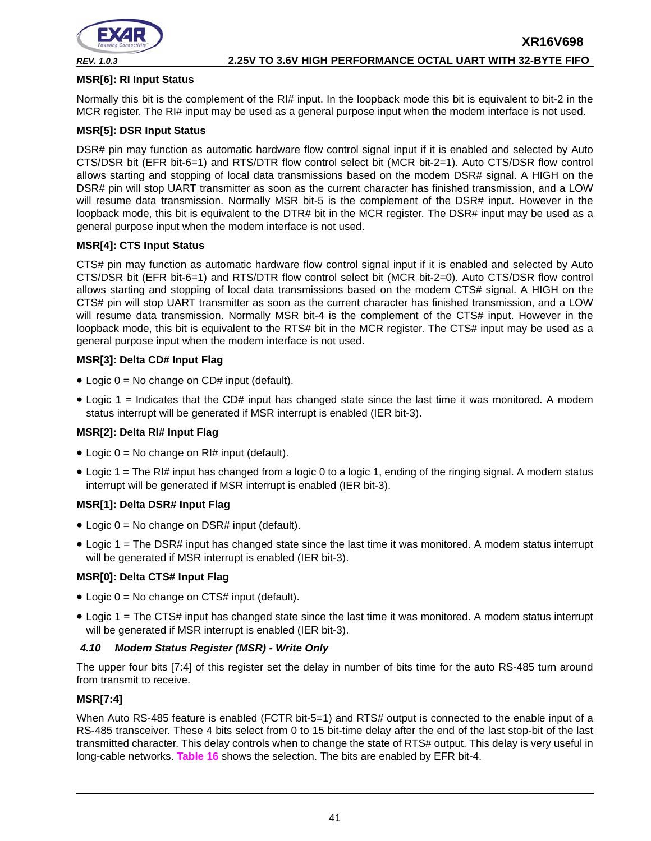![](_page_40_Picture_0.jpeg)

#### **MSR[6]: RI Input Status**

Normally this bit is the complement of the RI# input. In the loopback mode this bit is equivalent to bit-2 in the MCR register. The RI# input may be used as a general purpose input when the modem interface is not used.

#### **MSR[5]: DSR Input Status**

DSR# pin may function as automatic hardware flow control signal input if it is enabled and selected by Auto CTS/DSR bit (EFR bit-6=1) and RTS/DTR flow control select bit (MCR bit-2=1). Auto CTS/DSR flow control allows starting and stopping of local data transmissions based on the modem DSR# signal. A HIGH on the DSR# pin will stop UART transmitter as soon as the current character has finished transmission, and a LOW will resume data transmission. Normally MSR bit-5 is the complement of the DSR# input. However in the loopback mode, this bit is equivalent to the DTR# bit in the MCR register. The DSR# input may be used as a general purpose input when the modem interface is not used.

#### **MSR[4]: CTS Input Status**

CTS# pin may function as automatic hardware flow control signal input if it is enabled and selected by Auto CTS/DSR bit (EFR bit-6=1) and RTS/DTR flow control select bit (MCR bit-2=0). Auto CTS/DSR flow control allows starting and stopping of local data transmissions based on the modem CTS# signal. A HIGH on the CTS# pin will stop UART transmitter as soon as the current character has finished transmission, and a LOW will resume data transmission. Normally MSR bit-4 is the complement of the CTS# input. However in the loopback mode, this bit is equivalent to the RTS# bit in the MCR register. The CTS# input may be used as a general purpose input when the modem interface is not used.

#### **MSR[3]: Delta CD# Input Flag**

- Logic  $0 = No$  change on CD# input (default).
- Logic 1 = Indicates that the CD# input has changed state since the last time it was monitored. A modem status interrupt will be generated if MSR interrupt is enabled (IER bit-3).

#### **MSR[2]: Delta RI# Input Flag**

- Logic  $0 = No$  change on RI# input (default).
- Logic 1 = The RI# input has changed from a logic 0 to a logic 1, ending of the ringing signal. A modem status interrupt will be generated if MSR interrupt is enabled (IER bit-3).

#### **MSR[1]: Delta DSR# Input Flag**

- Logic  $0 = No$  change on DSR# input (default).
- Logic 1 = The DSR# input has changed state since the last time it was monitored. A modem status interrupt will be generated if MSR interrupt is enabled (IER bit-3).

#### **MSR[0]: Delta CTS# Input Flag**

- Logic  $0 = No$  change on CTS# input (default).
- Logic 1 = The CTS# input has changed state since the last time it was monitored. A modem status interrupt will be generated if MSR interrupt is enabled (IER bit-3).

#### <span id="page-40-0"></span>*4.10 Modem Status Register (MSR) - Write Only*

The upper four bits [7:4] of this register set the delay in number of bits time for the auto RS-485 turn around from transmit to receive.

#### **MSR[7:4]**

When Auto RS-485 feature is enabled (FCTR bit-5=1) and RTS# output is connected to the enable input of a RS-485 transceiver. These 4 bits select from 0 to 15 bit-time delay after the end of the last stop-bit of the last transmitted character. This delay controls when to change the state of RTS# output. This delay is very useful in long-cable networks. **[Table](#page-41-0) 16** shows the selection. The bits are enabled by EFR bit-4.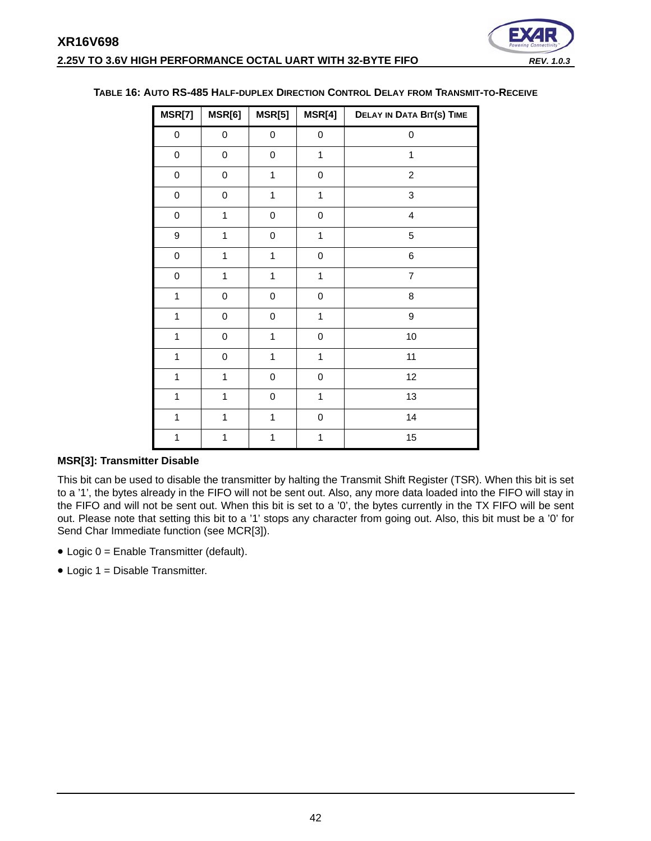![](_page_41_Picture_1.jpeg)

| MSR[7]         | MSR[6]       | MSR[5]         | MSR[4]       | <b>DELAY IN DATA BIT(S) TIME</b> |
|----------------|--------------|----------------|--------------|----------------------------------|
| 0              | $\pmb{0}$    | 0              | $\mathbf 0$  | 0                                |
| $\mathbf 0$    | $\pmb{0}$    | 0              | $\mathbf{1}$ | $\mathbf{1}$                     |
| $\pmb{0}$      | $\mathbf 0$  | $\mathbf 1$    | $\pmb{0}$    | $\overline{c}$                   |
| 0              | 0            | $\overline{1}$ | $\mathbf{1}$ | 3                                |
| $\pmb{0}$      | $\mathbf 1$  | 0              | $\pmb{0}$    | $\overline{\mathbf{4}}$          |
| 9              | $\mathbf 1$  | 0              | $\mathbf{1}$ | 5                                |
| $\mathbf 0$    | $\mathbf 1$  | $\mathbf 1$    | $\mathbf 0$  | 6                                |
| $\mathbf 0$    | $\mathbf{1}$ | $\mathbf{1}$   | $\mathbf{1}$ | $\overline{7}$                   |
| $\overline{1}$ | $\mathbf 0$  | $\mathsf 0$    | $\mathbf 0$  | 8                                |
| $\mathbf{1}$   | $\pmb{0}$    | 0              | $\mathbf 1$  | 9                                |
| $\mathbf{1}$   | $\pmb{0}$    | $\mathbf{1}$   | $\mathbf 0$  | 10                               |
| $\mathbf{1}$   | $\mathbf 0$  | $\mathbf{1}$   | $\mathbf{1}$ | 11                               |
| $\overline{1}$ | $\mathbf{1}$ | 0              | $\mathbf 0$  | 12                               |
| $\mathbf{1}$   | $\mathbf 1$  | 0              | $\mathbf{1}$ | 13                               |
| $\mathbf{1}$   | $\mathbf 1$  | $\mathbf{1}$   | $\mathbf 0$  | 14                               |
| $\mathbf{1}$   | $\mathbf 1$  | $\mathbf{1}$   | $\mathbf{1}$ | 15                               |

#### <span id="page-41-0"></span>**TABLE 16: AUTO RS-485 HALF-DUPLEX DIRECTION CONTROL DELAY FROM TRANSMIT-TO-RECEIVE**

#### **MSR[3]: Transmitter Disable**

This bit can be used to disable the transmitter by halting the Transmit Shift Register (TSR). When this bit is set to a '1', the bytes already in the FIFO will not be sent out. Also, any more data loaded into the FIFO will stay in the FIFO and will not be sent out. When this bit is set to a '0', the bytes currently in the TX FIFO will be sent out. Please note that setting this bit to a '1' stops any character from going out. Also, this bit must be a '0' for Send Char Immediate function (see MCR[3]).

- Logic 0 = Enable Transmitter (default).
- Logic 1 = Disable Transmitter.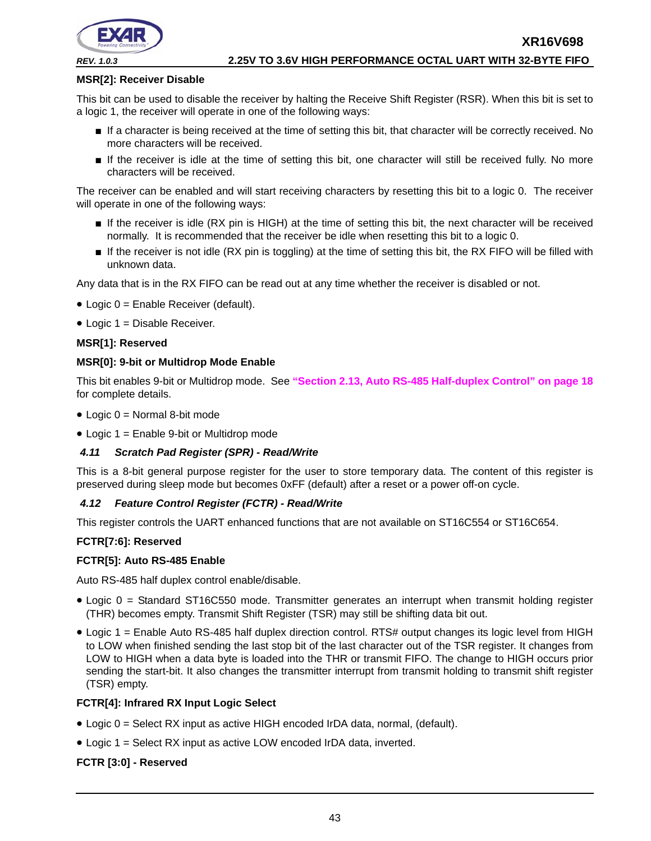![](_page_42_Picture_1.jpeg)

#### **MSR[2]: Receiver Disable**

This bit can be used to disable the receiver by halting the Receive Shift Register (RSR). When this bit is set to a logic 1, the receiver will operate in one of the following ways:

- If a character is being received at the time of setting this bit, that character will be correctly received. No more characters will be received.
- If the receiver is idle at the time of setting this bit, one character will still be received fully. No more characters will be received.

The receiver can be enabled and will start receiving characters by resetting this bit to a logic 0. The receiver will operate in one of the following ways:

- If the receiver is idle (RX pin is HIGH) at the time of setting this bit, the next character will be received normally. It is recommended that the receiver be idle when resetting this bit to a logic 0.
- If the receiver is not idle (RX pin is toggling) at the time of setting this bit, the RX FIFO will be filled with unknown data.

Any data that is in the RX FIFO can be read out at any time whether the receiver is disabled or not.

- Logic 0 = Enable Receiver (default).
- Logic 1 = Disable Receiver.

#### **MSR[1]: Reserved**

#### **MSR[0]: 9-bit or Multidrop Mode Enable**

This bit enables 9-bit or Multidrop mode. See **["Section 2.13, Auto RS-485 Half-duplex Control" on page](#page-17-0) 18** for complete details.

- Logic 0 = Normal 8-bit mode
- Logic 1 = Enable 9-bit or Multidrop mode

#### <span id="page-42-0"></span>*4.11 Scratch Pad Register (SPR) - Read/Write*

This is a 8-bit general purpose register for the user to store temporary data. The content of this register is preserved during sleep mode but becomes 0xFF (default) after a reset or a power off-on cycle.

#### <span id="page-42-1"></span>*4.12 Feature Control Register (FCTR) - Read/Write*

This register controls the UART enhanced functions that are not available on ST16C554 or ST16C654.

#### **FCTR[7:6]: Reserved**

#### **FCTR[5]: Auto RS-485 Enable**

Auto RS-485 half duplex control enable/disable.

- Logic 0 = Standard ST16C550 mode. Transmitter generates an interrupt when transmit holding register (THR) becomes empty. Transmit Shift Register (TSR) may still be shifting data bit out.
- Logic 1 = Enable Auto RS-485 half duplex direction control. RTS# output changes its logic level from HIGH to LOW when finished sending the last stop bit of the last character out of the TSR register. It changes from LOW to HIGH when a data byte is loaded into the THR or transmit FIFO. The change to HIGH occurs prior sending the start-bit. It also changes the transmitter interrupt from transmit holding to transmit shift register (TSR) empty.

#### **FCTR[4]: Infrared RX Input Logic Select**

- Logic 0 = Select RX input as active HIGH encoded IrDA data, normal, (default).
- Logic 1 = Select RX input as active LOW encoded IrDA data, inverted.

#### **FCTR [3:0] - Reserved**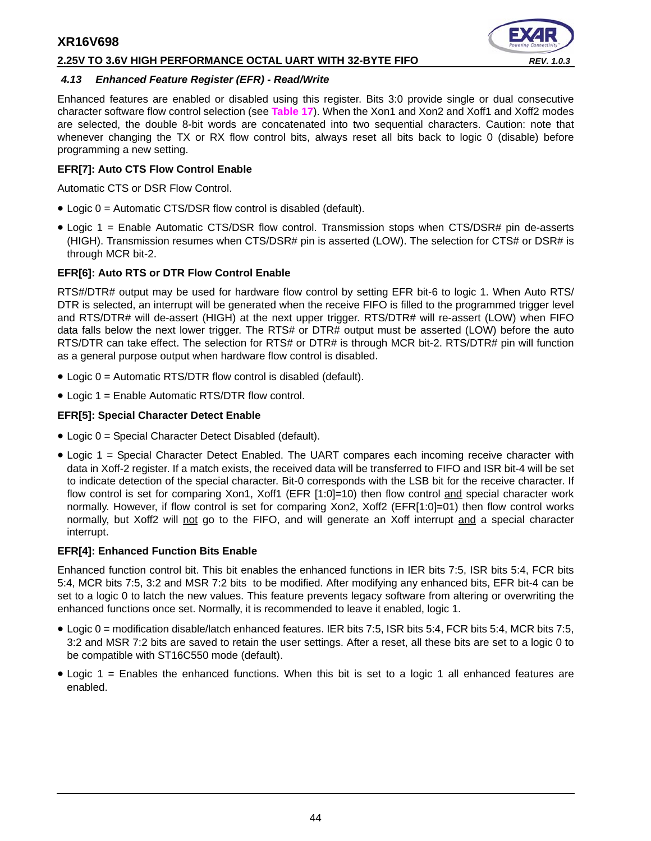#### **2.25V TO 3.6V HIGH PERFORMANCE OCTAL UART WITH 32-BYTE FIFO** *REV. 1.0.3*

![](_page_43_Picture_2.jpeg)

#### <span id="page-43-0"></span>*4.13 Enhanced Feature Register (EFR) - Read/Write*

Enhanced features are enabled or disabled using this register. Bits 3:0 provide single or dual consecutive character software flow control selection (see **[Table](#page-44-0) 17**). When the Xon1 and Xon2 and Xoff1 and Xoff2 modes are selected, the double 8-bit words are concatenated into two sequential characters. Caution: note that whenever changing the TX or RX flow control bits, always reset all bits back to logic 0 (disable) before programming a new setting.

#### **EFR[7]: Auto CTS Flow Control Enable**

Automatic CTS or DSR Flow Control.

- Logic 0 = Automatic CTS/DSR flow control is disabled (default).
- Logic 1 = Enable Automatic CTS/DSR flow control. Transmission stops when CTS/DSR# pin de-asserts (HIGH). Transmission resumes when CTS/DSR# pin is asserted (LOW). The selection for CTS# or DSR# is through MCR bit-2.

#### **EFR[6]: Auto RTS or DTR Flow Control Enable**

RTS#/DTR# output may be used for hardware flow control by setting EFR bit-6 to logic 1. When Auto RTS/ DTR is selected, an interrupt will be generated when the receive FIFO is filled to the programmed trigger level and RTS/DTR# will de-assert (HIGH) at the next upper trigger. RTS/DTR# will re-assert (LOW) when FIFO data falls below the next lower trigger. The RTS# or DTR# output must be asserted (LOW) before the auto RTS/DTR can take effect. The selection for RTS# or DTR# is through MCR bit-2. RTS/DTR# pin will function as a general purpose output when hardware flow control is disabled.

- Logic 0 = Automatic RTS/DTR flow control is disabled (default).
- Logic 1 = Enable Automatic RTS/DTR flow control.

#### **EFR[5]: Special Character Detect Enable**

- Logic 0 = Special Character Detect Disabled (default).
- Logic 1 = Special Character Detect Enabled. The UART compares each incoming receive character with data in Xoff-2 register. If a match exists, the received data will be transferred to FIFO and ISR bit-4 will be set to indicate detection of the special character. Bit-0 corresponds with the LSB bit for the receive character. If flow control is set for comparing Xon1, Xoff1 (EFR [1:0]=10) then flow control and special character work normally. However, if flow control is set for comparing Xon2, Xoff2 (EFR[1:0]=01) then flow control works normally, but Xoff2 will not go to the FIFO, and will generate an Xoff interrupt and a special character interrupt.

#### **EFR[4]: Enhanced Function Bits Enable**

Enhanced function control bit. This bit enables the enhanced functions in IER bits 7:5, ISR bits 5:4, FCR bits 5:4, MCR bits 7:5, 3:2 and MSR 7:2 bits to be modified. After modifying any enhanced bits, EFR bit-4 can be set to a logic 0 to latch the new values. This feature prevents legacy software from altering or overwriting the enhanced functions once set. Normally, it is recommended to leave it enabled, logic 1.

- Logic 0 = modification disable/latch enhanced features. IER bits 7:5, ISR bits 5:4, FCR bits 5:4, MCR bits 7:5, 3:2 and MSR 7:2 bits are saved to retain the user settings. After a reset, all these bits are set to a logic 0 to be compatible with ST16C550 mode (default).
- Logic 1 = Enables the enhanced functions. When this bit is set to a logic 1 all enhanced features are enabled.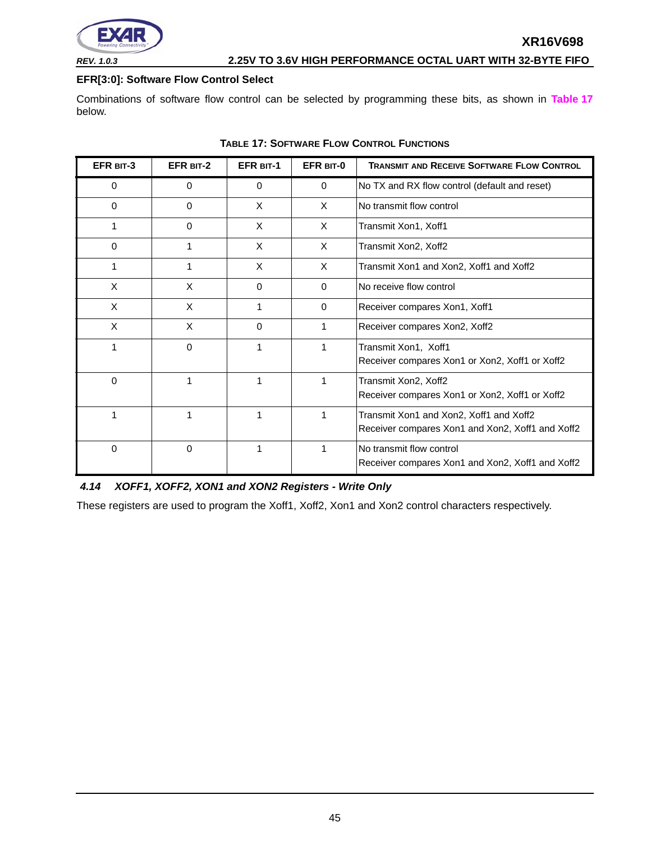![](_page_44_Picture_0.jpeg)

#### **EFR[3:0]: Software Flow Control Select**

Combinations of software flow control can be selected by programming these bits, as shown in **[Table](#page-44-0) 17** below.

<span id="page-44-0"></span>

| EFR BIT-3    | EFR BIT-2 | <b>EFR BIT-1</b> | EFR BIT-0    | <b>TRANSMIT AND RECEIVE SOFTWARE FLOW CONTROL</b>                                           |
|--------------|-----------|------------------|--------------|---------------------------------------------------------------------------------------------|
| 0            | $\Omega$  | $\Omega$         | $\mathbf{0}$ | No TX and RX flow control (default and reset)                                               |
| 0            | 0         | X                | $\times$     | No transmit flow control                                                                    |
|              | $\Omega$  | X                | X            | Transmit Xon1, Xoff1                                                                        |
| 0            |           | X                | X            | Transmit Xon2, Xoff2                                                                        |
|              |           | X                | $\times$     | Transmit Xon1 and Xon2, Xoff1 and Xoff2                                                     |
| X            | X         | $\Omega$         | $\Omega$     | No receive flow control                                                                     |
| X            | X         | 1                | $\Omega$     | Receiver compares Xon1, Xoff1                                                               |
| X            | X         | $\mathbf 0$      | 1            | Receiver compares Xon2, Xoff2                                                               |
|              | $\Omega$  | 1                | 1            | Transmit Xon1, Xoff1<br>Receiver compares Xon1 or Xon2, Xoff1 or Xoff2                      |
| $\mathbf{0}$ | 1         | 1                | 1            | Transmit Xon2, Xoff2<br>Receiver compares Xon1 or Xon2, Xoff1 or Xoff2                      |
|              |           |                  | 1            | Transmit Xon1 and Xon2, Xoff1 and Xoff2<br>Receiver compares Xon1 and Xon2, Xoff1 and Xoff2 |
| 0            | $\Omega$  | 1                | 1            | No transmit flow control<br>Receiver compares Xon1 and Xon2, Xoff1 and Xoff2                |

#### **TABLE 17: SOFTWARE FLOW CONTROL FUNCTIONS**

<span id="page-44-1"></span>*4.14 XOFF1, XOFF2, XON1 and XON2 Registers - Write Only*

These registers are used to program the Xoff1, Xoff2, Xon1 and Xon2 control characters respectively.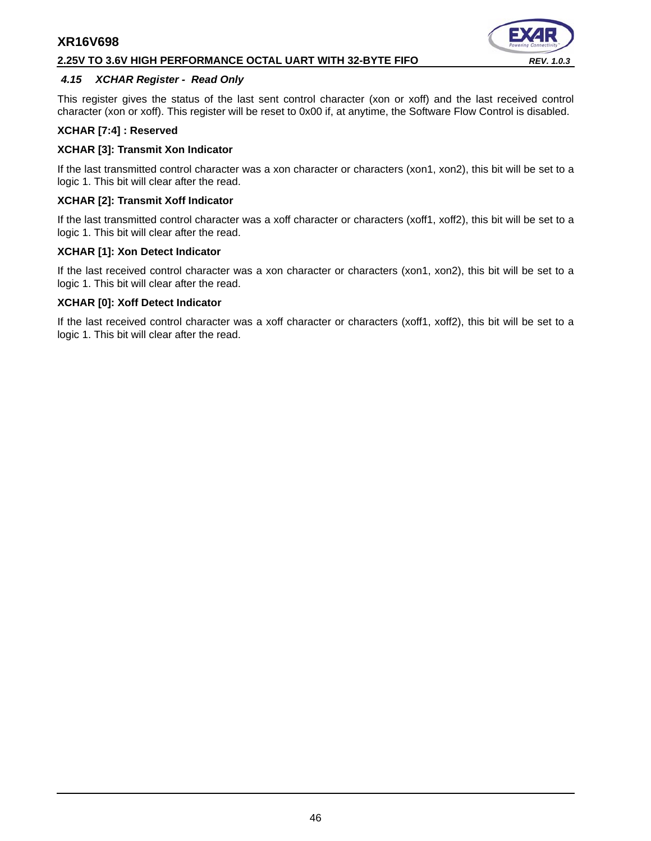#### **2.25V TO 3.6V HIGH PERFORMANCE OCTAL UART WITH 32-BYTE FIFO** *REV. 1.0.3*

![](_page_45_Picture_2.jpeg)

#### <span id="page-45-0"></span>*4.15 XCHAR Register - Read Only*

This register gives the status of the last sent control character (xon or xoff) and the last received control character (xon or xoff). This register will be reset to 0x00 if, at anytime, the Software Flow Control is disabled.

#### **XCHAR [7:4] : Reserved**

#### **XCHAR [3]: Transmit Xon Indicator**

If the last transmitted control character was a xon character or characters (xon1, xon2), this bit will be set to a logic 1. This bit will clear after the read.

#### **XCHAR [2]: Transmit Xoff Indicator**

If the last transmitted control character was a xoff character or characters (xoff1, xoff2), this bit will be set to a logic 1. This bit will clear after the read.

#### **XCHAR [1]: Xon Detect Indicator**

If the last received control character was a xon character or characters (xon1, xon2), this bit will be set to a logic 1. This bit will clear after the read.

#### **XCHAR [0]: Xoff Detect Indicator**

If the last received control character was a xoff character or characters (xoff1, xoff2), this bit will be set to a logic 1. This bit will clear after the read.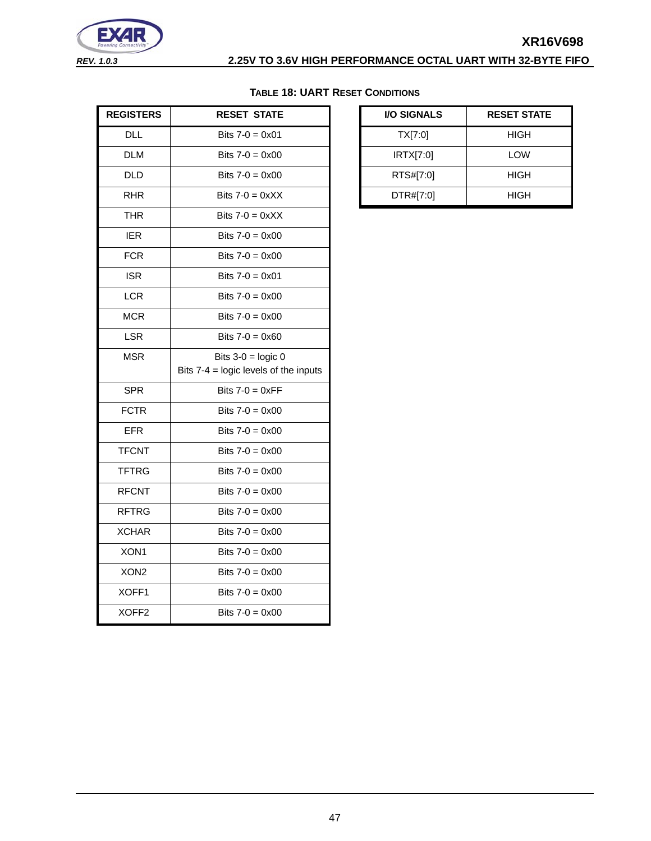![](_page_46_Picture_0.jpeg)

#### **TABLE 18: UART RESET CONDITIONS**

<span id="page-46-0"></span>

| <b>REGISTERS</b>  | <b>RESET STATE</b>                                                      | <b>I/O SIGNALS</b> | <b>RESET STATE</b> |
|-------------------|-------------------------------------------------------------------------|--------------------|--------------------|
| <b>DLL</b>        | Bits $7 - 0 = 0 \times 01$                                              | TX[7:0]            | <b>HIGH</b>        |
| <b>DLM</b>        | Bits $7 - 0 = 0 \times 00$                                              | IRTX[7:0]          | LOW                |
| <b>DLD</b>        | Bits $7 - 0 = 0 \times 00$                                              | RTS#[7:0]          | <b>HIGH</b>        |
| <b>RHR</b>        | Bits $7-0 = 0 \times X$                                                 | DTR#[7:0]          | <b>HIGH</b>        |
| <b>THR</b>        | Bits $7-0 = 0 \times X$                                                 |                    |                    |
| <b>IER</b>        | Bits $7 - 0 = 0 \times 00$                                              |                    |                    |
| <b>FCR</b>        | Bits $7 - 0 = 0 \times 00$                                              |                    |                    |
| <b>ISR</b>        | Bits $7 - 0 = 0 \times 01$                                              |                    |                    |
| <b>LCR</b>        | Bits $7 - 0 = 0 \times 00$                                              |                    |                    |
| <b>MCR</b>        | Bits $7 - 0 = 0 \times 00$                                              |                    |                    |
| <b>LSR</b>        | Bits $7-0 = 0 \times 60$                                                |                    |                    |
| <b>MSR</b>        | Bits $3-0 = \text{logic } 0$<br>Bits $7-4$ = logic levels of the inputs |                    |                    |
| <b>SPR</b>        | Bits $7-0 = 0 \times FF$                                                |                    |                    |
| <b>FCTR</b>       | Bits $7-0 = 0 \times 00$                                                |                    |                    |
| <b>EFR</b>        | Bits $7-0 = 0 \times 00$                                                |                    |                    |
| <b>TFCNT</b>      | Bits $7 - 0 = 0 \times 00$                                              |                    |                    |
| <b>TFTRG</b>      | Bits $7 - 0 = 0 \times 00$                                              |                    |                    |
| <b>RFCNT</b>      | Bits $7-0 = 0 \times 00$                                                |                    |                    |
| <b>RFTRG</b>      | Bits $7 - 0 = 0 \times 00$                                              |                    |                    |
| <b>XCHAR</b>      | Bits $7 - 0 = 0 \times 00$                                              |                    |                    |
| XON1              | Bits $7 - 0 = 0 \times 00$                                              |                    |                    |
| XON <sub>2</sub>  | Bits $7-0 = 0 \times 00$                                                |                    |                    |
| XOFF1             | Bits $7-0 = 0 \times 00$                                                |                    |                    |
| XOFF <sub>2</sub> | Bits $7 - 0 = 0 \times 00$                                              |                    |                    |

| <b>I/O SIGNALS</b> | <b>RESET STATE</b> |
|--------------------|--------------------|
| TX[7:0]            | <b>HIGH</b>        |
| IRTX[7:0]          | LOW                |
| RTS#[7:0]          | <b>HIGH</b>        |
| DTR#[7:0]          | <b>HIGH</b>        |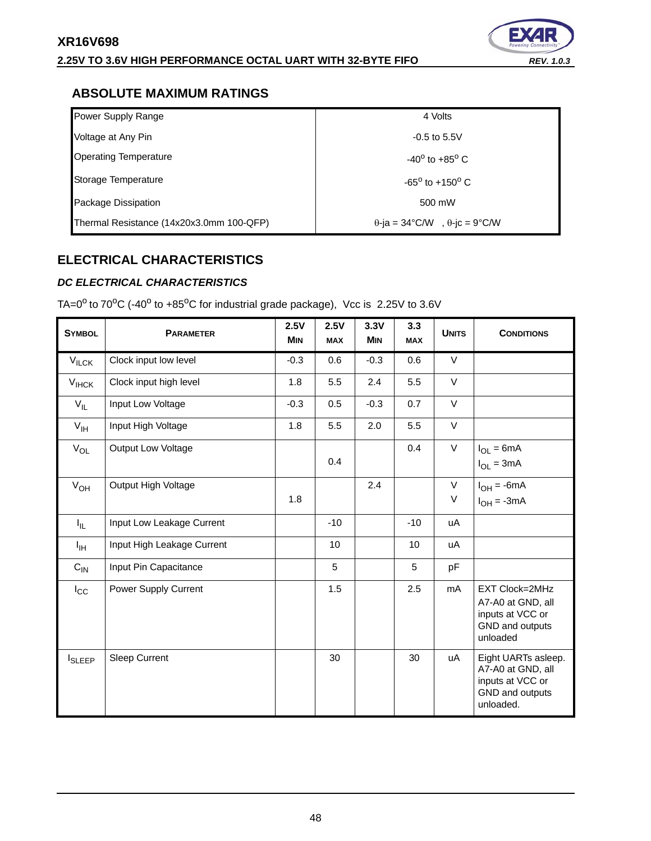# **2.25V TO 3.6V HIGH PERFORMANCE OCTAL UART WITH 32-BYTE FIFO** *REV. 1.0.3*

![](_page_47_Picture_2.jpeg)

# <span id="page-47-0"></span>**ABSOLUTE MAXIMUM RATINGS**

| Power Supply Range                       | 4 Volts                                     |
|------------------------------------------|---------------------------------------------|
| Voltage at Any Pin                       | $-0.5$ to $5.5V$                            |
| <b>Operating Temperature</b>             | $-40^{\circ}$ to $+85^{\circ}$ C            |
| Storage Temperature                      | $-65^{\circ}$ to $+150^{\circ}$ C           |
| Package Dissipation                      | 500 mW                                      |
| Thermal Resistance (14x20x3.0mm 100-QFP) | $\theta$ -ja = 34°C/W, $\theta$ -jc = 9°C/W |

# <span id="page-47-1"></span>**ELECTRICAL CHARACTERISTICS**

## <span id="page-47-2"></span>*DC ELECTRICAL CHARACTERISTICS*

TA= $0^{\circ}$  to 70 $^{\circ}$ C (-40 $^{\circ}$  to +85 $^{\circ}$ C for industrial grade package), Vcc is 2.25V to 3.6V

| <b>SYMBOL</b>   | <b>PARAMETER</b>           | 2.5V<br><b>MIN</b> | 2.5V<br><b>MAX</b> | 3.3V<br><b>MIN</b> | 3.3<br><b>MAX</b> | <b>UNITS</b> | <b>CONDITIONS</b>                                                                            |
|-----------------|----------------------------|--------------------|--------------------|--------------------|-------------------|--------------|----------------------------------------------------------------------------------------------|
| $V_{ILCK}$      | Clock input low level      | $-0.3$             | 0.6                | $-0.3$             | 0.6               | $\vee$       |                                                                                              |
| $V_{HCK}$       | Clock input high level     | 1.8                | 5.5                | 2.4                | 5.5               | $\vee$       |                                                                                              |
| $V_{IL}$        | Input Low Voltage          | $-0.3$             | 0.5                | $-0.3$             | 0.7               | $\vee$       |                                                                                              |
| $V_{\text{IH}}$ | Input High Voltage         | 1.8                | 5.5                | 2.0                | 5.5               | V            |                                                                                              |
| $V_{OL}$        | Output Low Voltage         |                    | 0.4                |                    | 0.4               | $\vee$       | $I_{OL} = 6mA$<br>$I_{OL} = 3mA$                                                             |
| $V_{OH}$        | Output High Voltage        | 1.8                |                    | 2.4                |                   | $\vee$<br>V  | $I_{OH} = -6mA$<br>$I_{OH} = -3mA$                                                           |
| Ι'n.            | Input Low Leakage Current  |                    | $-10$              |                    | $-10$             | uA           |                                                                                              |
| ŀщ              | Input High Leakage Current |                    | 10                 |                    | 10                | uA           |                                                                                              |
| $C_{\text{IN}}$ | Input Pin Capacitance      |                    | 5                  |                    | 5                 | pF           |                                                                                              |
| $I_{\rm CC}$    | Power Supply Current       |                    | 1.5                |                    | 2.5               | mA           | EXT Clock=2MHz<br>A7-A0 at GND, all<br>inputs at VCC or<br>GND and outputs<br>unloaded       |
| <b>I</b> SLEEP  | Sleep Current              |                    | 30                 |                    | 30                | uA           | Eight UARTs asleep.<br>A7-A0 at GND, all<br>inputs at VCC or<br>GND and outputs<br>unloaded. |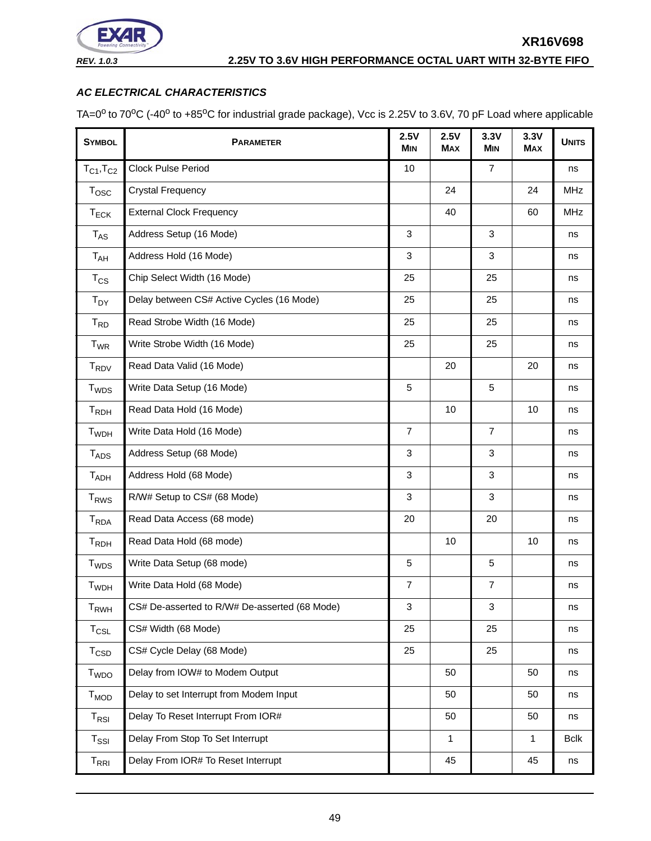![](_page_48_Picture_0.jpeg)

#### <span id="page-48-0"></span>*AC ELECTRICAL CHARACTERISTICS*

TA=0<sup>o</sup> to 70<sup>o</sup>C (-40<sup>o</sup> to +85<sup>o</sup>C for industrial grade package), Vcc is 2.25V to 3.6V, 70 pF Load where applicable

| <b>SYMBOL</b>           | <b>PARAMETER</b>                              | 2.5V<br><b>MIN</b> | 2.5V<br><b>MAX</b> | 3.3V<br>MIN    | 3.3V<br><b>MAX</b> | <b>UNITS</b> |
|-------------------------|-----------------------------------------------|--------------------|--------------------|----------------|--------------------|--------------|
| $T_{C1}$ , $T_{C2}$     | <b>Clock Pulse Period</b>                     | 10                 |                    | $\overline{7}$ |                    | ns           |
| $T_{\rm OSC}$           | <b>Crystal Frequency</b>                      |                    | 24                 |                | 24                 | <b>MHz</b>   |
| $T_{\sf ECK}$           | <b>External Clock Frequency</b>               |                    | 40                 |                | 60                 | <b>MHz</b>   |
| $T_{AS}$                | Address Setup (16 Mode)                       | 3                  |                    | 3              |                    | ns           |
| $T_{AH}$                | Address Hold (16 Mode)                        | 3                  |                    | 3              |                    | ns           |
| $T_{CS}$                | Chip Select Width (16 Mode)                   | 25                 |                    | 25             |                    | ns           |
| $T_{DY}$                | Delay between CS# Active Cycles (16 Mode)     | 25                 |                    | 25             |                    | ns           |
| $T_{RD}$                | Read Strobe Width (16 Mode)                   | 25                 |                    | 25             |                    | ns           |
| $T_{WR}$                | Write Strobe Width (16 Mode)                  | 25                 |                    | 25             |                    | ns           |
| <b>T<sub>RDV</sub></b>  | Read Data Valid (16 Mode)                     |                    | 20                 |                | 20                 | ns           |
| T <sub>WDS</sub>        | Write Data Setup (16 Mode)                    | 5                  |                    | 5              |                    | ns           |
| T <sub>RDH</sub>        | Read Data Hold (16 Mode)                      |                    | 10                 |                | 10                 | ns           |
| T <sub>WDH</sub>        | Write Data Hold (16 Mode)                     | $\overline{7}$     |                    | $\overline{7}$ |                    | ns           |
| T <sub>ADS</sub>        | Address Setup (68 Mode)                       | 3                  |                    | 3              |                    | ns           |
| T <sub>ADH</sub>        | Address Hold (68 Mode)                        | 3                  |                    | 3              |                    | ns           |
| <b>T</b> <sub>RWS</sub> | R/W# Setup to CS# (68 Mode)                   | 3                  |                    | 3              |                    | ns           |
| <b>T</b> <sub>RDA</sub> | Read Data Access (68 mode)                    | 20                 |                    | 20             |                    | ns           |
| T <sub>RDH</sub>        | Read Data Hold (68 mode)                      |                    | 10                 |                | 10                 | ns           |
| <b>T</b> <sub>WDS</sub> | Write Data Setup (68 mode)                    | 5                  |                    | 5              |                    | ns           |
| <b>T</b> <sub>WDH</sub> | Write Data Hold (68 Mode)                     | $\overline{7}$     |                    | $\overline{7}$ |                    | ns           |
| T <sub>RWH</sub>        | CS# De-asserted to R/W# De-asserted (68 Mode) | 3                  |                    | 3              |                    | ns           |
| $T_{CSL}$               | CS# Width (68 Mode)                           | 25                 |                    | 25             |                    | ns           |
| $T_{\text{CSD}}$        | CS# Cycle Delay (68 Mode)                     | 25                 |                    | 25             |                    | ns           |
| T <sub>WDO</sub>        | Delay from IOW# to Modem Output               |                    | 50                 |                | 50                 | ns           |
| <b>T<sub>MOD</sub></b>  | Delay to set Interrupt from Modem Input       |                    | 50                 |                | 50                 | ns           |
| $T_{RSI}$               | Delay To Reset Interrupt From IOR#            |                    | 50                 |                | 50                 | ns           |
| $T_{\rm SSI}$           | Delay From Stop To Set Interrupt              |                    | $\mathbf{1}$       |                | $\mathbf{1}$       | <b>Bclk</b>  |
| $T_{\sf RRI}$           | Delay From IOR# To Reset Interrupt            |                    | 45                 |                | 45                 | ns           |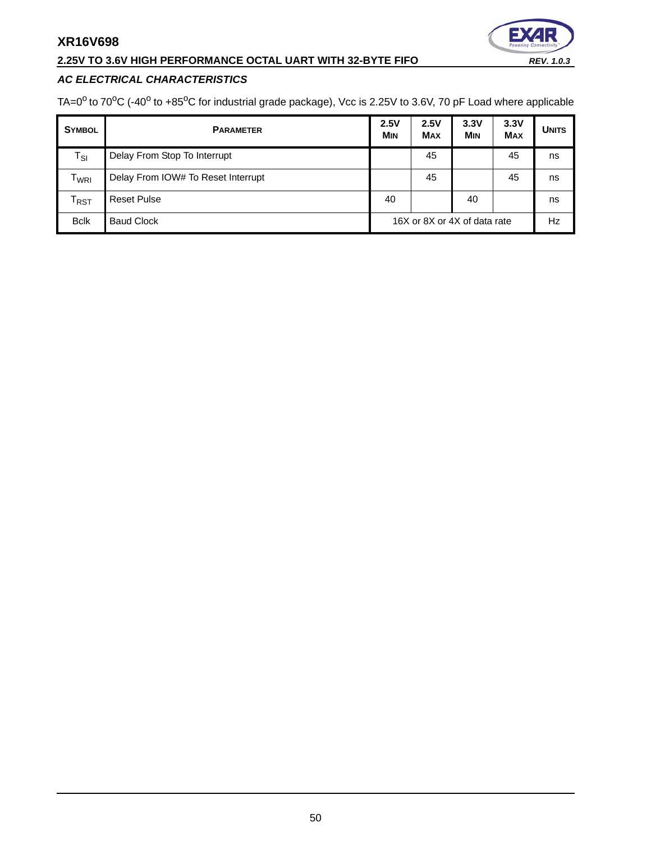# E)

# **2.25V TO 3.6V HIGH PERFORMANCE OCTAL UART WITH 32-BYTE FIFO** *REV. 1.0.3*

## *AC ELECTRICAL CHARACTERISTICS*

TA=0<sup>o</sup> to 70<sup>o</sup>C (-40<sup>o</sup> to +85<sup>o</sup>C for industrial grade package), Vcc is 2.25V to 3.6V, 70 pF Load where applicable

| <b>SYMBOL</b>               | <b>PARAMETER</b>                   | 2.5V<br><b>MIN</b>           | 2.5V<br><b>MAX</b> | 3.3V<br><b>MIN</b> | 3.3V<br><b>MAX</b> | <b>UNITS</b> |
|-----------------------------|------------------------------------|------------------------------|--------------------|--------------------|--------------------|--------------|
| $T_{SI}$                    | Delay From Stop To Interrupt       |                              | 45                 |                    | 45                 | ns           |
| $\mathsf{T}_{\mathsf{WRI}}$ | Delay From IOW# To Reset Interrupt |                              | 45                 |                    | 45                 | ns           |
| $\mathsf{T}_{\mathsf{RST}}$ | <b>Reset Pulse</b>                 | 40                           |                    | 40                 |                    | ns           |
| <b>Bclk</b>                 | <b>Baud Clock</b>                  | 16X or 8X or 4X of data rate |                    |                    | Hz                 |              |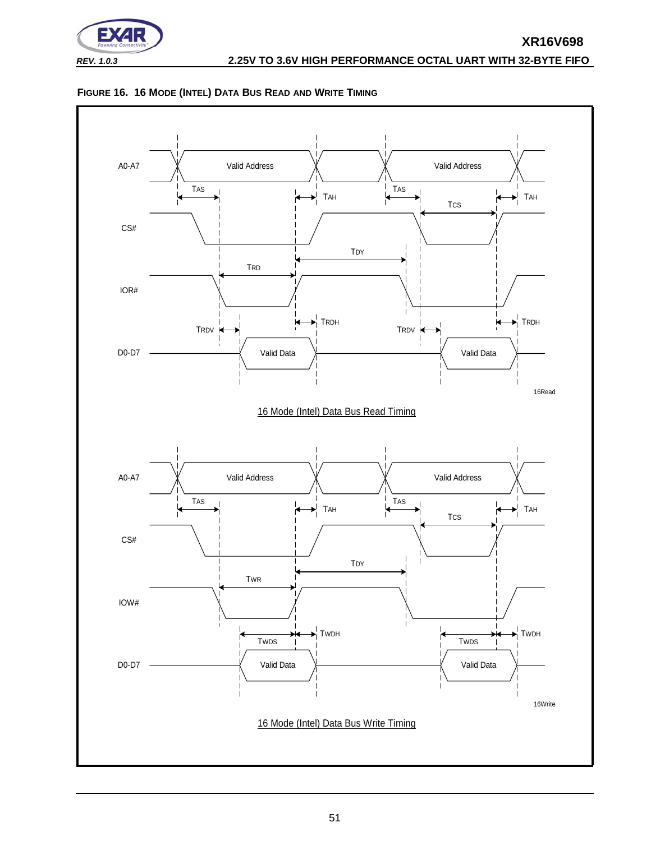![](_page_50_Picture_0.jpeg)

![](_page_50_Figure_2.jpeg)

#### <span id="page-50-0"></span>**FIGURE 16. 16 MODE (INTEL) DATA BUS READ AND WRITE TIMING**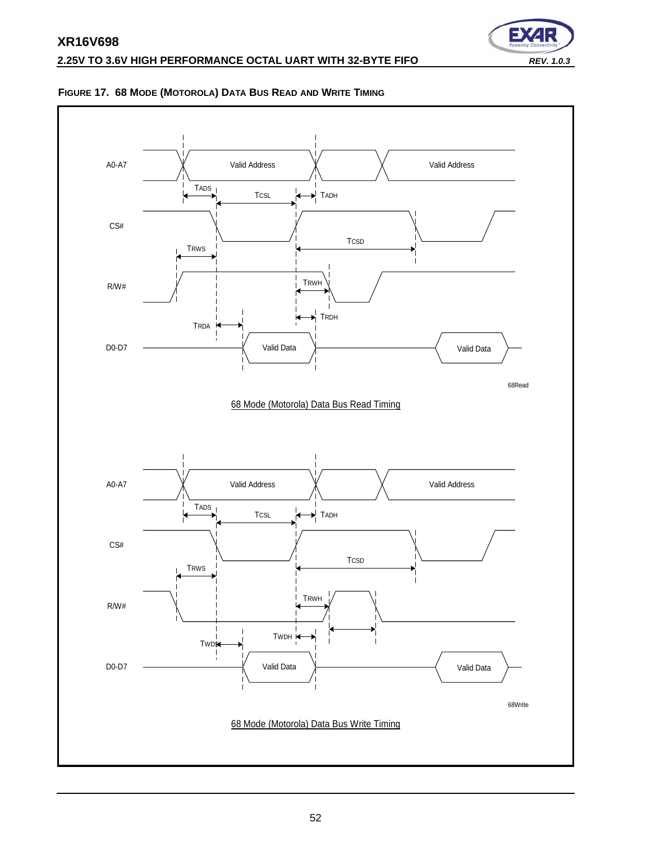#### **2.25V TO 3.6V HIGH PERFORMANCE OCTAL UART WITH 32-BYTE FIFO** *REV. 1.0.3*

![](_page_51_Figure_2.jpeg)

#### <span id="page-51-0"></span>**FIGURE 17. 68 MODE (MOTOROLA) DATA BUS READ AND WRITE TIMING**

![](_page_51_Picture_5.jpeg)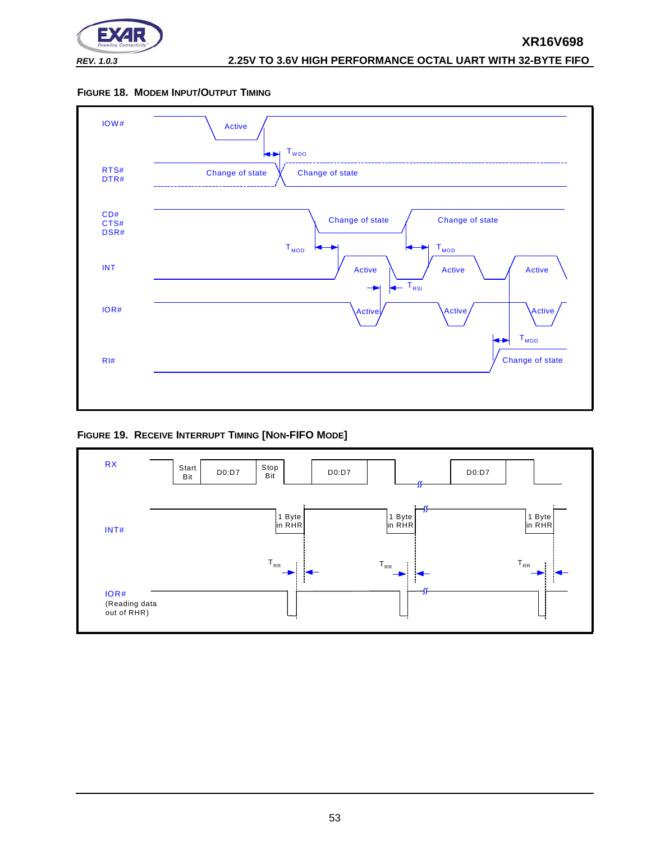![](_page_52_Picture_0.jpeg)

<span id="page-52-0"></span>![](_page_52_Figure_2.jpeg)

![](_page_52_Figure_3.jpeg)

<span id="page-52-1"></span>**FIGURE 19. RECEIVE INTERRUPT TIMING [NON-FIFO MODE]**

![](_page_52_Figure_5.jpeg)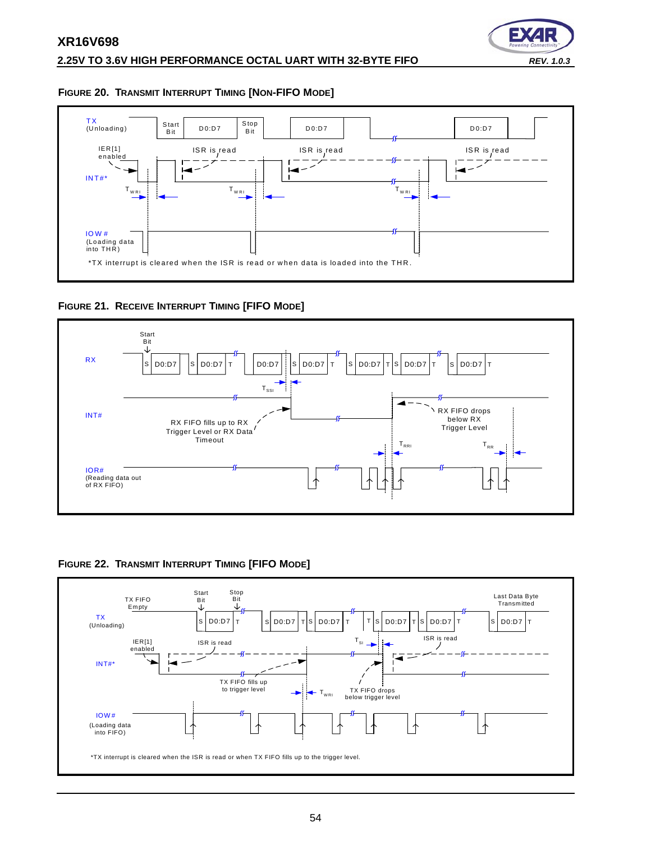#### **2.25V TO 3.6V HIGH PERFORMANCE OCTAL UART WITH 32-BYTE FIFO** *REV. 1.0.3*

![](_page_53_Picture_2.jpeg)

#### <span id="page-53-0"></span>**FIGURE 20. TRANSMIT INTERRUPT TIMING [NON-FIFO MODE]**

<span id="page-53-1"></span>![](_page_53_Figure_4.jpeg)

![](_page_53_Figure_5.jpeg)

<span id="page-53-2"></span>![](_page_53_Figure_6.jpeg)

![](_page_53_Figure_7.jpeg)

![](_page_53_Picture_8.jpeg)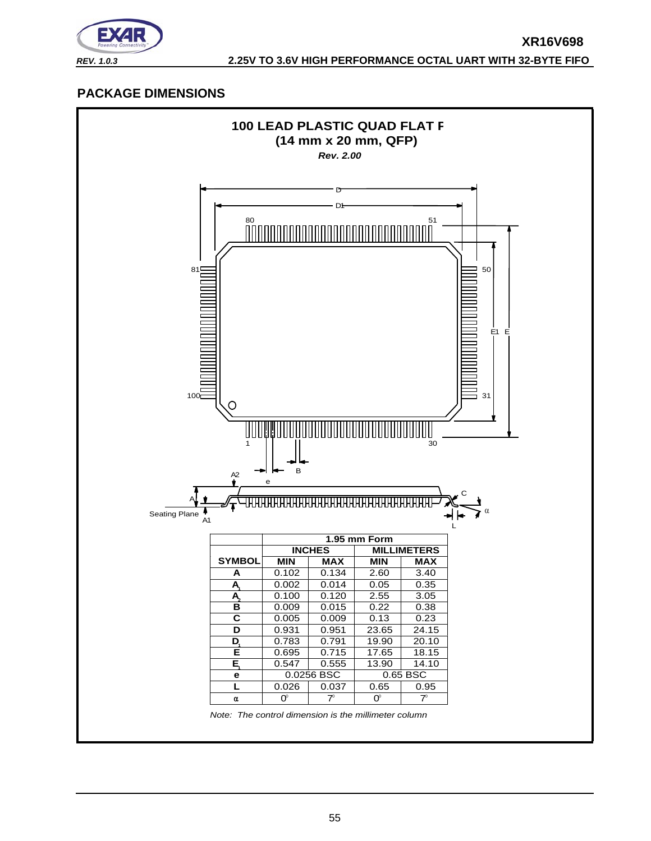![](_page_54_Picture_0.jpeg)

## <span id="page-54-0"></span>**PACKAGE DIMENSIONS**

![](_page_54_Figure_3.jpeg)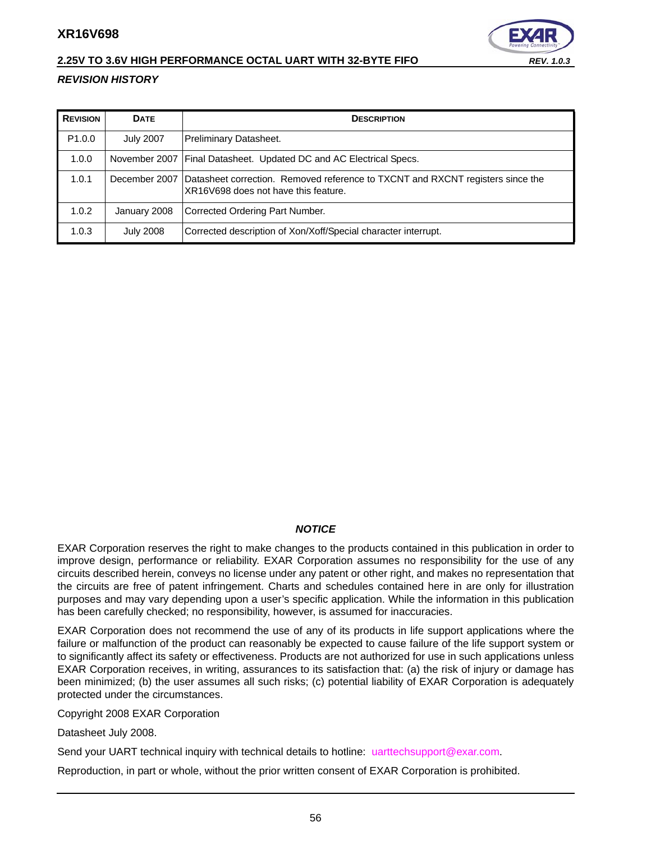#### **2.25V TO 3.6V HIGH PERFORMANCE OCTAL UART WITH 32-BYTE FIFO** *REV. 1.0.3*

![](_page_55_Picture_2.jpeg)

#### <span id="page-55-0"></span>*REVISION HISTORY*

| <b>REVISION</b>    | <b>DATE</b>      | <b>DESCRIPTION</b>                                                                                                                     |
|--------------------|------------------|----------------------------------------------------------------------------------------------------------------------------------------|
| P <sub>1.0.0</sub> | <b>July 2007</b> | Preliminary Datasheet.                                                                                                                 |
| 1.0.0              |                  | November 2007   Final Datasheet. Updated DC and AC Electrical Specs.                                                                   |
| 1.0.1              |                  | December 2007   Datasheet correction. Removed reference to TXCNT and RXCNT registers since the<br>XR16V698 does not have this feature. |
| 1.0.2              | January 2008     | Corrected Ordering Part Number.                                                                                                        |
| 1.0.3              | <b>July 2008</b> | Corrected description of Xon/Xoff/Special character interrupt.                                                                         |

#### *NOTICE*

EXAR Corporation reserves the right to make changes to the products contained in this publication in order to improve design, performance or reliability. EXAR Corporation assumes no responsibility for the use of any circuits described herein, conveys no license under any patent or other right, and makes no representation that the circuits are free of patent infringement. Charts and schedules contained here in are only for illustration purposes and may vary depending upon a user's specific application. While the information in this publication has been carefully checked; no responsibility, however, is assumed for inaccuracies.

EXAR Corporation does not recommend the use of any of its products in life support applications where the failure or malfunction of the product can reasonably be expected to cause failure of the life support system or to significantly affect its safety or effectiveness. Products are not authorized for use in such applications unless EXAR Corporation receives, in writing, assurances to its satisfaction that: (a) the risk of injury or damage has been minimized; (b) the user assumes all such risks; (c) potential liability of EXAR Corporation is adequately protected under the circumstances.

Copyright 2008 EXAR Corporation

Datasheet July 2008.

Send your UART technical inquiry with technical details to hotline: uarttechsupport@exar.com.

Reproduction, in part or whole, without the prior written consent of EXAR Corporation is prohibited.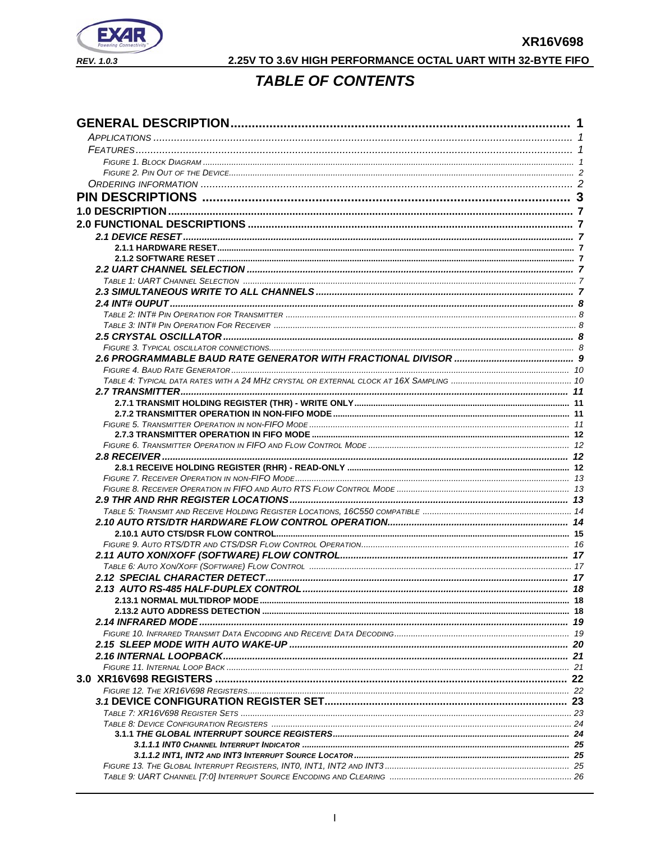![](_page_56_Picture_0.jpeg)

![](_page_56_Picture_2.jpeg)

# **TABLE OF CONTENTS**